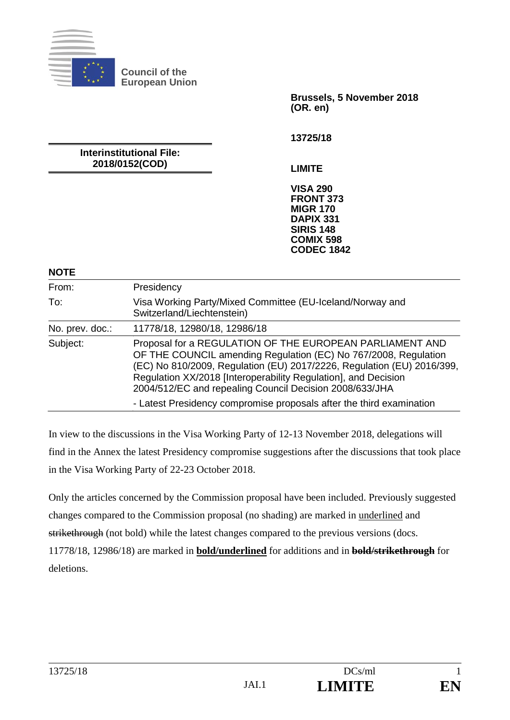

**Council of the European Union** 

> **Brussels, 5 November 2018 (OR. en)**

**13725/18** 

**Interinstitutional File: 2018/0152(COD)** 

**LIMITE** 

**VISA 290 FRONT 373 MIGR 170 DAPIX 331 SIRIS 148 COMIX 598 CODEC 1842**

#### **NOTE**

| .               |                                                                                                                                                                                                                                                                                                                                    |
|-----------------|------------------------------------------------------------------------------------------------------------------------------------------------------------------------------------------------------------------------------------------------------------------------------------------------------------------------------------|
| From:           | Presidency                                                                                                                                                                                                                                                                                                                         |
| To:             | Visa Working Party/Mixed Committee (EU-Iceland/Norway and<br>Switzerland/Liechtenstein)                                                                                                                                                                                                                                            |
| No. prev. doc.: | 11778/18, 12980/18, 12986/18                                                                                                                                                                                                                                                                                                       |
| Subject:        | Proposal for a REGULATION OF THE EUROPEAN PARLIAMENT AND<br>OF THE COUNCIL amending Regulation (EC) No 767/2008, Regulation<br>(EC) No 810/2009, Regulation (EU) 2017/2226, Regulation (EU) 2016/399,<br>Regulation XX/2018 [Interoperability Regulation], and Decision<br>2004/512/EC and repealing Council Decision 2008/633/JHA |
|                 | - Latest Presidency compromise proposals after the third examination                                                                                                                                                                                                                                                               |

In view to the discussions in the Visa Working Party of 12-13 November 2018, delegations will find in the Annex the latest Presidency compromise suggestions after the discussions that took place in the Visa Working Party of 22-23 October 2018.

Only the articles concerned by the Commission proposal have been included. Previously suggested changes compared to the Commission proposal (no shading) are marked in underlined and strikethrough (not bold) while the latest changes compared to the previous versions (docs. 11778/18, 12986/18) are marked in **bold/underlined** for additions and in **bold/strikethrough** for deletions.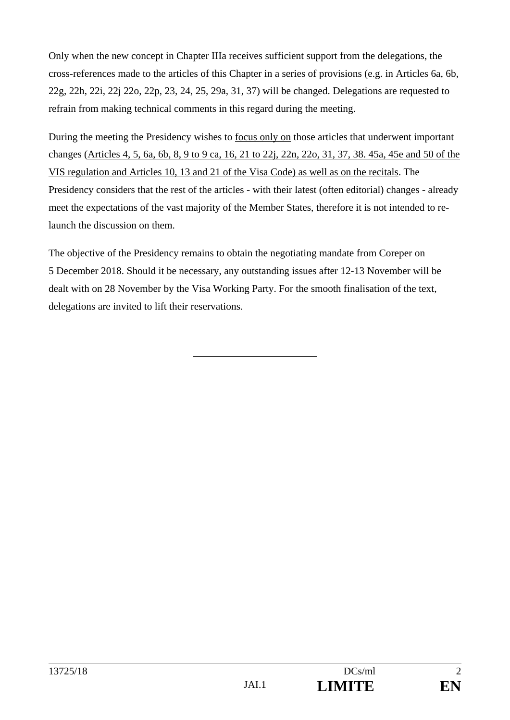Only when the new concept in Chapter IIIa receives sufficient support from the delegations, the cross-references made to the articles of this Chapter in a series of provisions (e.g. in Articles 6a, 6b, 22g, 22h, 22i, 22j 22o, 22p, 23, 24, 25, 29a, 31, 37) will be changed. Delegations are requested to refrain from making technical comments in this regard during the meeting.

During the meeting the Presidency wishes to focus only on those articles that underwent important changes (Articles 4, 5, 6a, 6b, 8, 9 to 9 ca, 16, 21 to 22j, 22n, 22o, 31, 37, 38. 45a, 45e and 50 of the VIS regulation and Articles 10, 13 and 21 of the Visa Code) as well as on the recitals. The Presidency considers that the rest of the articles - with their latest (often editorial) changes - already meet the expectations of the vast majority of the Member States, therefore it is not intended to relaunch the discussion on them.

The objective of the Presidency remains to obtain the negotiating mandate from Coreper on 5 December 2018. Should it be necessary, any outstanding issues after 12-13 November will be dealt with on 28 November by the Visa Working Party. For the smooth finalisation of the text, delegations are invited to lift their reservations.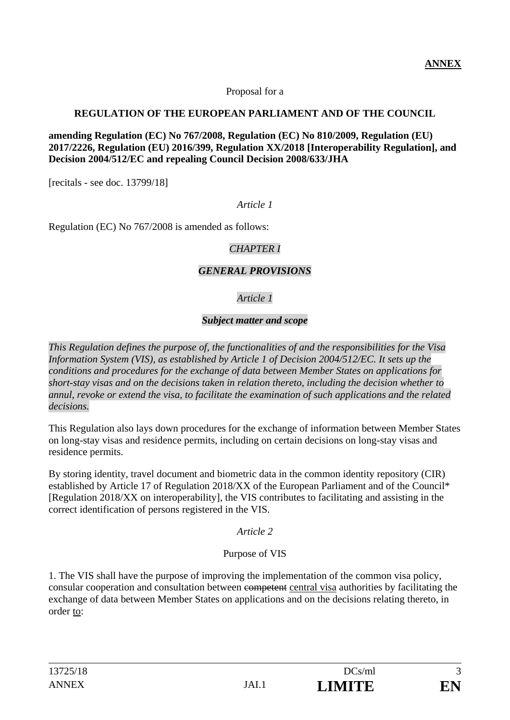Proposal for a

### **REGULATION OF THE EUROPEAN PARLIAMENT AND OF THE COUNCIL**

#### **amending Regulation (EC) No 767/2008, Regulation (EC) No 810/2009, Regulation (EU) 2017/2226, Regulation (EU) 2016/399, Regulation XX/2018 [Interoperability Regulation], and Decision 2004/512/EC and repealing Council Decision 2008/633/JHA**

[recitals - see doc. 13799/18]

### *Article 1*

Regulation (EC) No 767/2008 is amended as follows:

### *CHAPTER I*

### *GENERAL PROVISIONS*

# *Article 1*

## *Subject matter and scope*

*This Regulation defines the purpose of, the functionalities of and the responsibilities for the Visa Information System (VIS), as established by Article 1 of Decision 2004/512/EC. It sets up the conditions and procedures for the exchange of data between Member States on applications for short-stay visas and on the decisions taken in relation thereto, including the decision whether to annul, revoke or extend the visa, to facilitate the examination of such applications and the related decisions.* 

This Regulation also lays down procedures for the exchange of information between Member States on long-stay visas and residence permits, including on certain decisions on long-stay visas and residence permits.

By storing identity, travel document and biometric data in the common identity repository (CIR) established by Article 17 of Regulation 2018/XX of the European Parliament and of the Council\* [Regulation 2018/XX on interoperability], the VIS contributes to facilitating and assisting in the correct identification of persons registered in the VIS.

### *Article 2*

### Purpose of VIS

1. The VIS shall have the purpose of improving the implementation of the common visa policy, consular cooperation and consultation between competent central visa authorities by facilitating the exchange of data between Member States on applications and on the decisions relating thereto, in order to: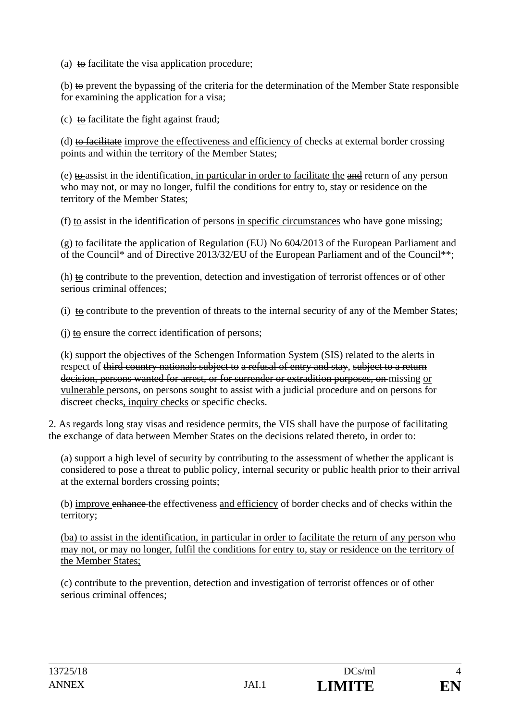(a) to facilitate the visa application procedure;

(b)  $\underline{\omega}$  prevent the bypassing of the criteria for the determination of the Member State responsible for examining the application for a visa;

(c) to facilitate the fight against fraud;

(d) to facilitate improve the effectiveness and efficiency of checks at external border crossing points and within the territory of the Member States;

(e)  $\frac{1}{2}$  to assist in the identification, in particular in order to facilitate the  $\frac{1}{2}$  return of any person who may not, or may no longer, fulfil the conditions for entry to, stay or residence on the territory of the Member States;

(f) to assist in the identification of persons in specific circumstances who have gone missing;

(g) to facilitate the application of Regulation (EU) No  $604/2013$  of the European Parliament and of the Council\* and of Directive 2013/32/EU of the European Parliament and of the Council\*\*;

 $(h)$  to contribute to the prevention, detection and investigation of terrorist offences or of other serious criminal offences;

(i) to contribute to the prevention of threats to the internal security of any of the Member States;

 $(i)$  to ensure the correct identification of persons;

(k) support the objectives of the Schengen Information System (SIS) related to the alerts in respect of third country nationals subject to a refusal of entry and stay, subject to a return decision, persons wanted for arrest, or for surrender or extradition purposes, on missing or vulnerable persons, on persons sought to assist with a judicial procedure and on persons for discreet checks, inquiry checks or specific checks.

2. As regards long stay visas and residence permits, the VIS shall have the purpose of facilitating the exchange of data between Member States on the decisions related thereto, in order to:

(a) support a high level of security by contributing to the assessment of whether the applicant is considered to pose a threat to public policy, internal security or public health prior to their arrival at the external borders crossing points;

(b) improve enhance the effectiveness and efficiency of border checks and of checks within the territory;

(ba) to assist in the identification, in particular in order to facilitate the return of any person who may not, or may no longer, fulfil the conditions for entry to, stay or residence on the territory of the Member States;

(c) contribute to the prevention, detection and investigation of terrorist offences or of other serious criminal offences;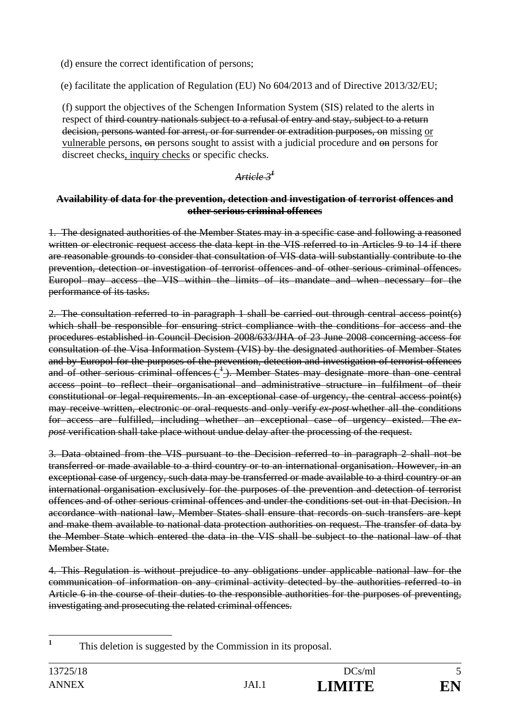(d) ensure the correct identification of persons;

(e) facilitate the application of Regulation (EU) No 604/2013 and of Directive 2013/32/EU;

(f) support the objectives of the Schengen Information System (SIS) related to the alerts in respect of third country nationals subject to a refusal of entry and stay, subject to a return decision, persons wanted for arrest, or for surrender or extradition purposes, on missing or vulnerable persons, on persons sought to assist with a judicial procedure and on persons for discreet checks, inquiry checks or specific checks.

# *Article 3<sup>1</sup>*

### **Availability of data for the prevention, detection and investigation of terrorist offences and other serious criminal offences**

1. The designated authorities of the Member States may in a specific case and following a reasoned written or electronic request access the data kept in the VIS referred to in Articles 9 to 14 if there are reasonable grounds to consider that consultation of VIS data will substantially contribute to the prevention, detection or investigation of terrorist offences and of other serious criminal offences. Europol may access the VIS within the limits of its mandate and when necessary for the performance of its tasks.

2. The consultation referred to in paragraph 1 shall be carried out through central access point(s) which shall be responsible for ensuring strict compliance with the conditions for access and the procedures established in Council Decision 2008/633/JHA of 23 June 2008 concerning access for consultation of the Visa Information System (VIS) by the designated authorities of Member States and by Europol for the purposes of the prevention, detection and investigation of terrorist offences and of other serious criminal offences  $\frac{1}{2}$ . Member States may designate more than one central access point to reflect their organisational and administrative structure in fulfilment of their constitutional or legal requirements. In an exceptional case of urgency, the central access point(s) may receive written, electronic or oral requests and only verify *ex-post* whether all the conditions for access are fulfilled, including whether an exceptional case of urgency existed. The *expost* verification shall take place without undue delay after the processing of the request.

3. Data obtained from the VIS pursuant to the Decision referred to in paragraph 2 shall not be transferred or made available to a third country or to an international organisation. However, in an exceptional case of urgency, such data may be transferred or made available to a third country or an international organisation exclusively for the purposes of the prevention and detection of terrorist offences and of other serious criminal offences and under the conditions set out in that Decision. In accordance with national law, Member States shall ensure that records on such transfers are kept and make them available to national data protection authorities on request. The transfer of data by the Member State which entered the data in the VIS shall be subject to the national law of that Member State.

4. This Regulation is without prejudice to any obligations under applicable national law for the communication of information on any criminal activity detected by the authorities referred to in Article 6 in the course of their duties to the responsible authorities for the purposes of preventing, investigating and prosecuting the related criminal offences.

**1**

This deletion is suggested by the Commission in its proposal.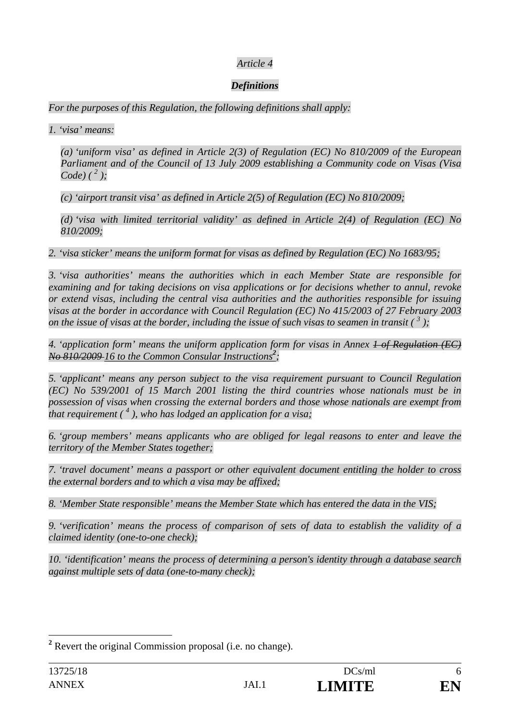## *Definitions*

*For the purposes of this Regulation, the following definitions shall apply:* 

*1. 'visa' means:* 

*(a) 'uniform visa' as defined in Article 2(3) of Regulation (EC) No 810/2009 of the European Parliament and of the Council of 13 July 2009 establishing a Community code on Visas (Visa Code*)  $({}^{2}$  );

*(c) 'airport transit visa' as defined in Article 2(5) of Regulation (EC) No 810/2009;* 

*(d) 'visa with limited territorial validity' as defined in Article 2(4) of Regulation (EC) No 810/2009;* 

*2. 'visa sticker' means the uniform format for visas as defined by Regulation (EC) No 1683/95;* 

*3. 'visa authorities' means the authorities which in each Member State are responsible for examining and for taking decisions on visa applications or for decisions whether to annul, revoke or extend visas, including the central visa authorities and the authorities responsible for issuing visas at the border in accordance with Council Regulation (EC) No 415/2003 of 27 February 2003 on the issue of visas at the border, including the issue of such visas to seamen in transit*  $\binom{3}{2}$ ;

*4. 'application form' means the uniform application form for visas in Annex 1 of Regulation (EC) No 810/2009 16 to the Common Consular Instructions<sup>2</sup> ;* 

*5. 'applicant' means any person subject to the visa requirement pursuant to Council Regulation (EC) No 539/2001 of 15 March 2001 listing the third countries whose nationals must be in possession of visas when crossing the external borders and those whose nationals are exempt from that requirement ( 4 ), who has lodged an application for a visa;* 

*6. 'group members' means applicants who are obliged for legal reasons to enter and leave the territory of the Member States together;* 

*7. 'travel document' means a passport or other equivalent document entitling the holder to cross the external borders and to which a visa may be affixed;* 

*8. 'Member State responsible' means the Member State which has entered the data in the VIS;* 

*9. 'verification' means the process of comparison of sets of data to establish the validity of a claimed identity (one-to-one check);* 

*10. 'identification' means the process of determining a person's identity through a database search against multiple sets of data (one-to-many check);* 

 $\overline{a}$ 

<sup>&</sup>lt;sup>2</sup> Revert the original Commission proposal (i.e. no change).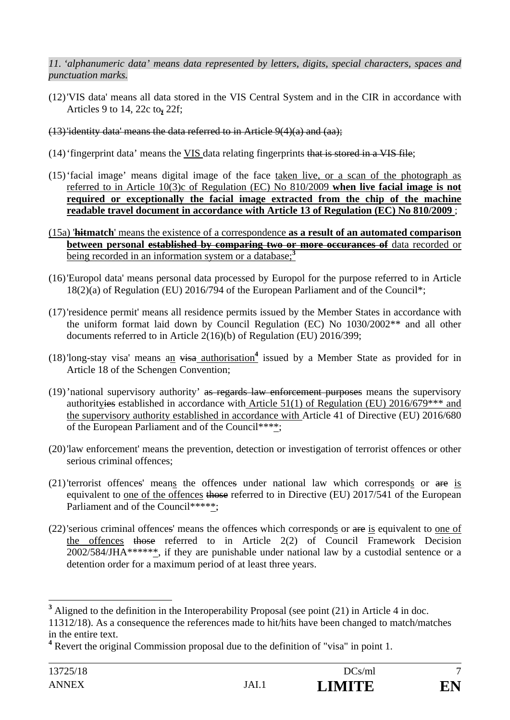*11. 'alphanumeric data' means data represented by letters, digits, special characters, spaces and punctuation marks.* 

- (12)'VIS data' means all data stored in the VIS Central System and in the CIR in accordance with Articles 9 to 14, 22c to**,** 22f;
- $(13)$  identity data' means the data referred to in Article  $9(4)(a)$  and  $(aa)$ ;
- (14)'fingerprint data' means the VIS data relating fingerprints that is stored in a VIS file;
- (15)'facial image' means digital image of the face taken live, or a scan of the photograph as referred to in Article 10(3)c of Regulation (EC) No 810/2009 **when live facial image is not required or exceptionally the facial image extracted from the chip of the machine readable travel document in accordance with Article 13 of Regulation (EC) No 810/2009** ;
- (15a) '**hitmatch**' means the existence of a correspondence **as a result of an automated comparison between personal established by comparing two or more occurances of** data recorded or being recorded in an information system or a database;**<sup>3</sup>**
- (16)'Europol data' means personal data processed by Europol for the purpose referred to in Article 18(2)(a) of Regulation (EU) 2016/794 of the European Parliament and of the Council\*;
- (17)'residence permit' means all residence permits issued by the Member States in accordance with the uniform format laid down by Council Regulation (EC) No 1030/2002\*\* and all other documents referred to in Article 2(16)(b) of Regulation (EU) 2016/399;
- (18)'long-stay visa' means an visa authorisation<sup>4</sup> issued by a Member State as provided for in Article 18 of the Schengen Convention;
- (19)'national supervisory authority' as regards law enforcement purposes means the supervisory authorityies established in accordance with Article 51(1) of Regulation (EU) 2016/679\*\*\* and the supervisory authority established in accordance with Article 41 of Directive (EU) 2016/680 of the European Parliament and of the Council\*\*\*\*;
- (20)'law enforcement' means the prevention, detection or investigation of terrorist offences or other serious criminal offences;
- (21)'terrorist offences' means the offences under national law which corresponds or are is equivalent to one of the offences those referred to in Directive (EU) 2017/541 of the European Parliament and of the Council\*\*\*\*\*;
- (22)'serious criminal offences' means the offences which corresponds or are is equivalent to one of the offences those referred to in Article 2(2) of Council Framework Decision 2002/584/JHA\*\*\*\*\*\*, if they are punishable under national law by a custodial sentence or a detention order for a maximum period of at least three years.

 $\overline{a}$ 

<sup>&</sup>lt;sup>3</sup> Aligned to the definition in the Interoperability Proposal (see point (21) in Article 4 in doc.

<sup>11312/18).</sup> As a consequence the references made to hit/hits have been changed to match/matches in the entire text.

<sup>&</sup>lt;sup>4</sup> Revert the original Commission proposal due to the definition of "visa" in point 1.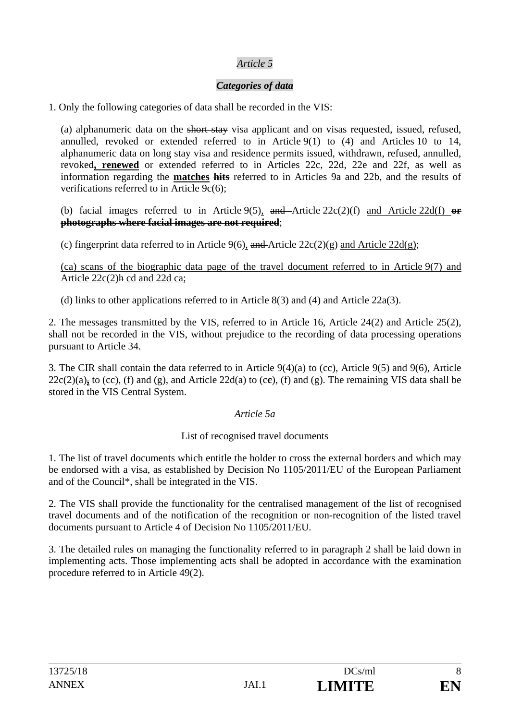# *Categories of data*

1. Only the following categories of data shall be recorded in the VIS:

(a) alphanumeric data on the short stay visa applicant and on visas requested, issued, refused, annulled, revoked or extended referred to in Article 9(1) to (4) and Articles 10 to 14, alphanumeric data on long stay visa and residence permits issued, withdrawn, refused, annulled, revoked**, renewed** or extended referred to in Articles 22c, 22d, 22e and 22f, as well as information regarding the **matches hits** referred to in Articles 9a and 22b, and the results of verifications referred to in Article 9c(6);

(b) facial images referred to in Article 9(5), and Article 22c(2)(f) and Article 22d(f) **or photographs where facial images are not required**;

(c) fingerprint data referred to in Article 9(6), and Article  $22c(2)(g)$  and Article  $22d(g)$ ;

(ca) scans of the biographic data page of the travel document referred to in Article 9(7) and Article  $22c(2)$ h cd and  $22d$  ca;

(d) links to other applications referred to in Article 8(3) and (4) and Article 22a(3).

2. The messages transmitted by the VIS, referred to in Article 16, Article 24(2) and Article 25(2), shall not be recorded in the VIS, without prejudice to the recording of data processing operations pursuant to Article 34.

3. The CIR shall contain the data referred to in Article 9(4)(a) to (cc), Article 9(5) and 9(6), Article 22c(2)(a)**,** to (cc), (f) and (g), and Article 22d(a) to (c**c**), (f) and (g). The remaining VIS data shall be stored in the VIS Central System.

### *Article 5a*

### List of recognised travel documents

1. The list of travel documents which entitle the holder to cross the external borders and which may be endorsed with a visa, as established by Decision No 1105/2011/EU of the European Parliament and of the Council\*, shall be integrated in the VIS.

2. The VIS shall provide the functionality for the centralised management of the list of recognised travel documents and of the notification of the recognition or non-recognition of the listed travel documents pursuant to Article 4 of Decision No 1105/2011/EU.

3. The detailed rules on managing the functionality referred to in paragraph 2 shall be laid down in implementing acts. Those implementing acts shall be adopted in accordance with the examination procedure referred to in Article 49(2).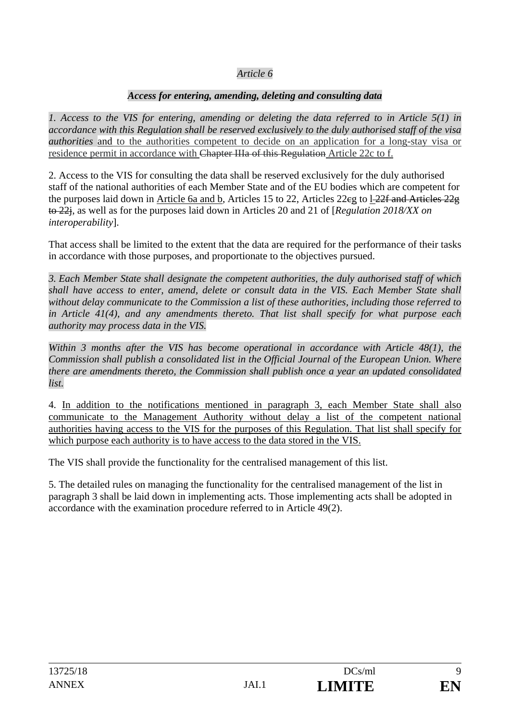## *Access for entering, amending, deleting and consulting data*

*1. Access to the VIS for entering, amending or deleting the data referred to in Article 5(1) in accordance with this Regulation shall be reserved exclusively to the duly authorised staff of the visa authorities* and to the authorities competent to decide on an application for a long-stay visa or residence permit in accordance with Chapter IIIa of this Regulation Article 22c to f.

2. Access to the VIS for consulting the data shall be reserved exclusively for the duly authorised staff of the national authorities of each Member State and of the EU bodies which are competent for the purposes laid down in Article 6a and b, Articles 15 to 22, Articles 22eg to 1<del>22f and Articles 22g</del> to 22j, as well as for the purposes laid down in Articles 20 and 21 of [*Regulation 2018/XX on interoperability*].

That access shall be limited to the extent that the data are required for the performance of their tasks in accordance with those purposes, and proportionate to the objectives pursued.

*3. Each Member State shall designate the competent authorities, the duly authorised staff of which shall have access to enter, amend, delete or consult data in the VIS. Each Member State shall without delay communicate to the Commission a list of these authorities, including those referred to in Article 41(4), and any amendments thereto. That list shall specify for what purpose each authority may process data in the VIS.* 

*Within 3 months after the VIS has become operational in accordance with Article 48(1), the Commission shall publish a consolidated list in the Official Journal of the European Union. Where there are amendments thereto, the Commission shall publish once a year an updated consolidated list.* 

4. In addition to the notifications mentioned in paragraph 3, each Member State shall also communicate to the Management Authority without delay a list of the competent national authorities having access to the VIS for the purposes of this Regulation. That list shall specify for which purpose each authority is to have access to the data stored in the VIS.

The VIS shall provide the functionality for the centralised management of this list.

5. The detailed rules on managing the functionality for the centralised management of the list in paragraph 3 shall be laid down in implementing acts. Those implementing acts shall be adopted in accordance with the examination procedure referred to in Article 49(2).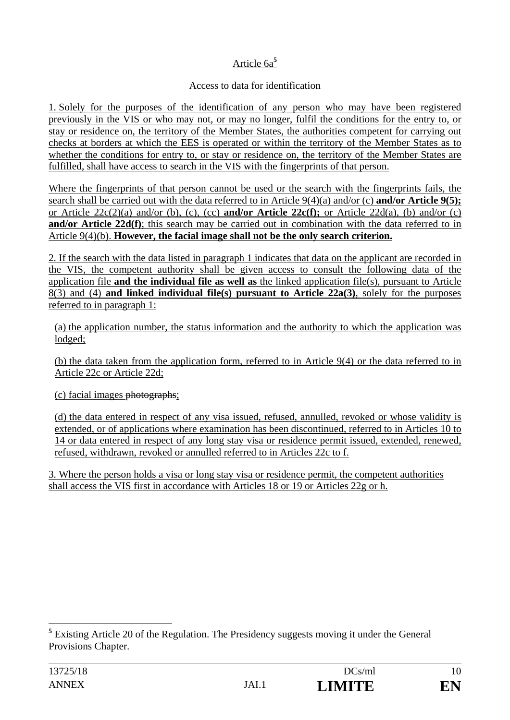# Article 6a**<sup>5</sup>**

## Access to data for identification

1. Solely for the purposes of the identification of any person who may have been registered previously in the VIS or who may not, or may no longer, fulfil the conditions for the entry to, or stay or residence on, the territory of the Member States, the authorities competent for carrying out checks at borders at which the EES is operated or within the territory of the Member States as to whether the conditions for entry to, or stay or residence on, the territory of the Member States are fulfilled, shall have access to search in the VIS with the fingerprints of that person.

Where the fingerprints of that person cannot be used or the search with the fingerprints fails, the search shall be carried out with the data referred to in Article 9(4)(a) and/or (c) **and/or Article 9(5);** or Article 22c(2)(a) and/or (b), (c), (cc) **and/or Article 22c(f);** or Article 22d(a), (b) and/or (c) **and/or Article 22d(f)**; this search may be carried out in combination with the data referred to in Article 9(4)(b). **However, the facial image shall not be the only search criterion.**

2. If the search with the data listed in paragraph 1 indicates that data on the applicant are recorded in the VIS, the competent authority shall be given access to consult the following data of the application file **and the individual file as well as** the linked application file(s), pursuant to Article 8(3) and (4) **and linked individual file(s) pursuant to Article 22a(3)**, solely for the purposes referred to in paragraph 1:

(a) the application number, the status information and the authority to which the application was lodged;

(b) the data taken from the application form, referred to in Article 9(4) or the data referred to in Article 22c or Article 22d;

(c) facial images photographs;

(d) the data entered in respect of any visa issued, refused, annulled, revoked or whose validity is extended, or of applications where examination has been discontinued, referred to in Articles 10 to 14 or data entered in respect of any long stay visa or residence permit issued, extended, renewed, refused, withdrawn, revoked or annulled referred to in Articles 22c to f.

3. Where the person holds a visa or long stay visa or residence permit, the competent authorities shall access the VIS first in accordance with Articles 18 or 19 or Articles 22g or h.

 $\overline{a}$ 

<sup>&</sup>lt;sup>5</sup> Existing Article 20 of the Regulation. The Presidency suggests moving it under the General Provisions Chapter.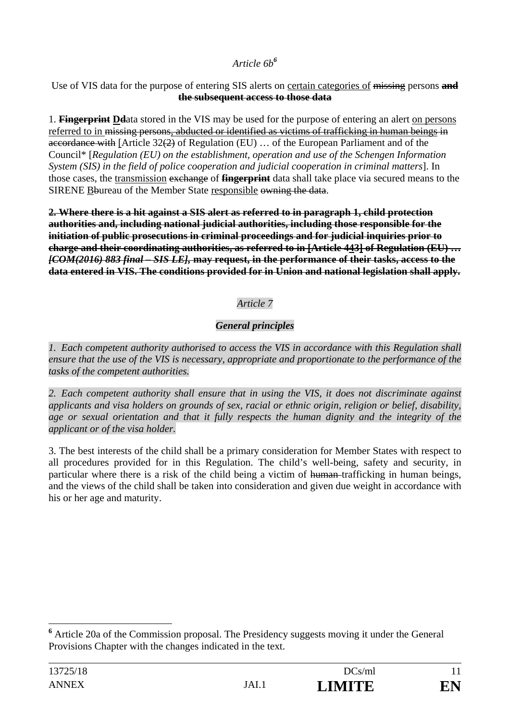# *Article 6b<sup>6</sup>*

### Use of VIS data for the purpose of entering SIS alerts on certain categories of missing persons **and the subsequent access to those data**

1. **Fingerprint Dd**ata stored in the VIS may be used for the purpose of entering an alert on persons referred to in missing persons, abducted or identified as victims of trafficking in human beings in accordance with [Article 32(2) of Regulation (EU) … of the European Parliament and of the Council\* [*Regulation (EU) on the establishment, operation and use of the Schengen Information System (SIS) in the field of police cooperation and judicial cooperation in criminal matters*]. In those cases, the transmission exchange of **fingerprint** data shall take place via secured means to the SIRENE Bbureau of the Member State responsible owning the data.

**2. Where there is a hit against a SIS alert as referred to in paragraph 1, child protection authorities and, including national judicial authorities, including those responsible for the initiation of public prosecutions in criminal proceedings and for judicial inquiries prior to charge and their coordinating authorities, as referred to in [Article 443] of Regulation (EU) …**  *[COM(2016) 883 final – SIS LE],* **may request, in the performance of their tasks, access to the data entered in VIS. The conditions provided for in Union and national legislation shall apply.**

# *Article 7*

# *General principles*

*1. Each competent authority authorised to access the VIS in accordance with this Regulation shall ensure that the use of the VIS is necessary, appropriate and proportionate to the performance of the tasks of the competent authorities.* 

*2. Each competent authority shall ensure that in using the VIS, it does not discriminate against applicants and visa holders on grounds of sex, racial or ethnic origin, religion or belief, disability, age or sexual orientation and that it fully respects the human dignity and the integrity of the applicant or of the visa holder.* 

3. The best interests of the child shall be a primary consideration for Member States with respect to all procedures provided for in this Regulation. The child's well-being, safety and security, in particular where there is a risk of the child being a victim of human trafficking in human beings, and the views of the child shall be taken into consideration and given due weight in accordance with his or her age and maturity.

 $\overline{a}$ 

<sup>&</sup>lt;sup>6</sup> Article 20a of the Commission proposal. The Presidency suggests moving it under the General Provisions Chapter with the changes indicated in the text.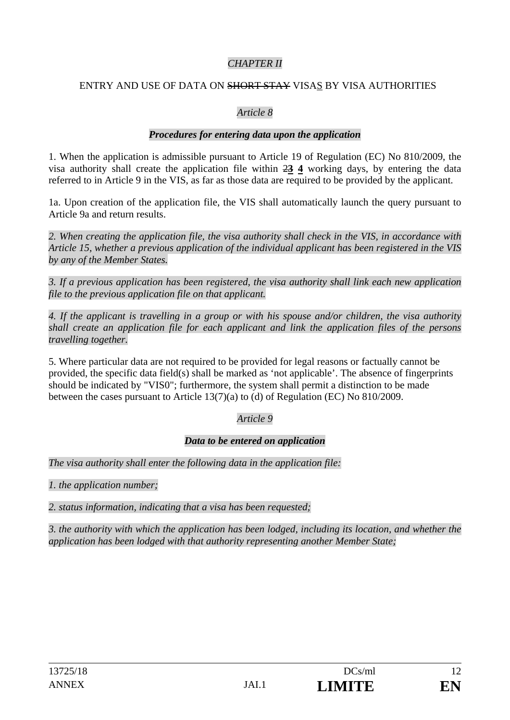# *CHAPTER II*

### ENTRY AND USE OF DATA ON SHORT STAY VISAS BY VISA AUTHORITIES

### *Article 8*

### *Procedures for entering data upon the application*

1. When the application is admissible pursuant to Article 19 of Regulation (EC) No 810/2009, the visa authority shall create the application file within 2**3 4** working days, by entering the data referred to in Article 9 in the VIS, as far as those data are required to be provided by the applicant.

1a. Upon creation of the application file, the VIS shall automatically launch the query pursuant to Article 9a and return results.

*2. When creating the application file, the visa authority shall check in the VIS, in accordance with Article 15, whether a previous application of the individual applicant has been registered in the VIS by any of the Member States.* 

*3. If a previous application has been registered, the visa authority shall link each new application file to the previous application file on that applicant.* 

*4. If the applicant is travelling in a group or with his spouse and/or children, the visa authority shall create an application file for each applicant and link the application files of the persons travelling together.* 

5. Where particular data are not required to be provided for legal reasons or factually cannot be provided, the specific data field(s) shall be marked as 'not applicable'. The absence of fingerprints should be indicated by "VIS0"; furthermore, the system shall permit a distinction to be made between the cases pursuant to Article 13(7)(a) to (d) of Regulation (EC) No 810/2009.

# *Article 9*

# *Data to be entered on application*

*The visa authority shall enter the following data in the application file:* 

*1. the application number;* 

*2. status information, indicating that a visa has been requested;* 

*3. the authority with which the application has been lodged, including its location, and whether the application has been lodged with that authority representing another Member State;*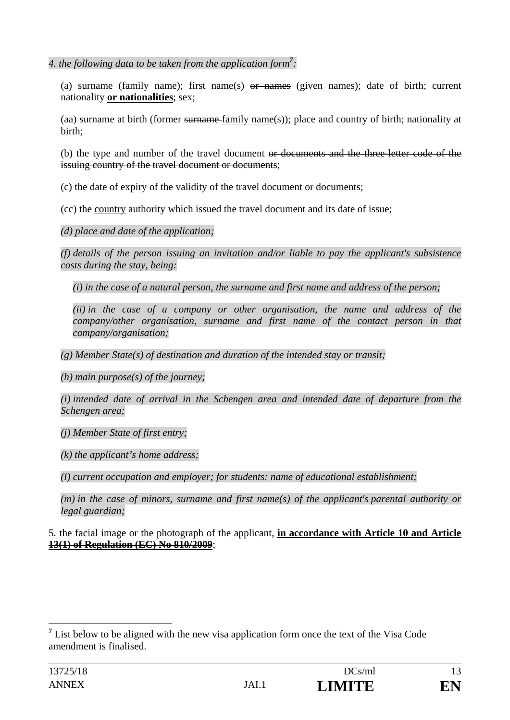*4. the following data to be taken from the application form<sup>7</sup> :* 

(a) surname (family name); first name(s) or names (given names); date of birth; current nationality **or nationalities**; sex;

(aa) surname at birth (former surname family name(s)); place and country of birth; nationality at birth;

(b) the type and number of the travel document or documents and the three-letter code of the issuing country of the travel document or documents;

(c) the date of expiry of the validity of the travel document or documents;

(cc) the country authority which issued the travel document and its date of issue;

*(d) place and date of the application;* 

*(f) details of the person issuing an invitation and/or liable to pay the applicant's subsistence costs during the stay, being:* 

*(i) in the case of a natural person, the surname and first name and address of the person;* 

*(ii) in the case of a company or other organisation, the name and address of the company/other organisation, surname and first name of the contact person in that company/organisation;* 

*(g) Member State(s) of destination and duration of the intended stay or transit;* 

*(h) main purpose(s) of the journey;* 

*(i) intended date of arrival in the Schengen area and intended date of departure from the Schengen area;* 

*(j) Member State of first entry;* 

*(k) the applicant's home address;* 

*(l) current occupation and employer; for students: name of educational establishment;* 

*(m) in the case of minors, surname and first name(s) of the applicant's parental authority or legal guardian;* 

5. the facial image or the photograph of the applicant, **in accordance with Article 10 and Article 13(1) of Regulation (EC) No 810/2009**;

 $\overline{a}$ 

<sup>&</sup>lt;sup>7</sup> List below to be aligned with the new visa application form once the text of the Visa Code amendment is finalised.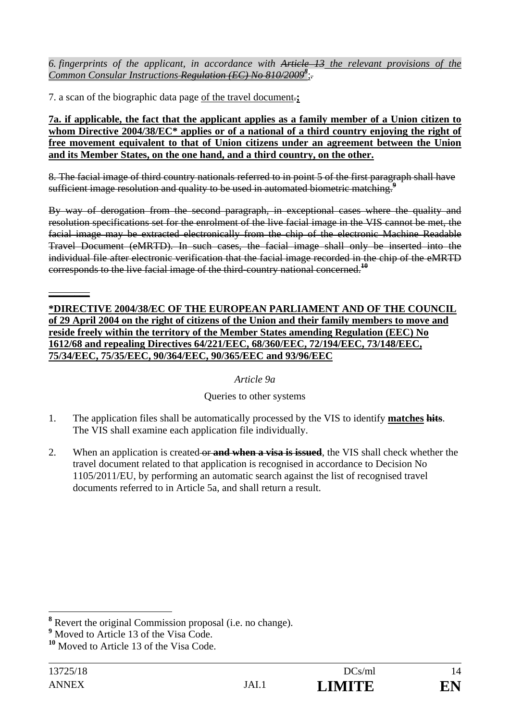*6. fingerprints of the applicant, in accordance with Article 13 the relevant provisions of the Common Consular Instructions Regulation (EC) No 810/2009<sup>8</sup>* ;*.* 

7. a scan of the biographic data page of the travel document.**;** 

**7a. if applicable, the fact that the applicant applies as a family member of a Union citizen to whom Directive 2004/38/EC\* applies or of a national of a third country enjoying the right of free movement equivalent to that of Union citizens under an agreement between the Union and its Member States, on the one hand, and a third country, on the other.** 

8. The facial image of third country nationals referred to in point 5 of the first paragraph shall have sufficient image resolution and quality to be used in automated biometric matching.<sup>9</sup>

By way of derogation from the second paragraph, in exceptional cases where the quality and resolution specifications set for the enrolment of the live facial image in the VIS cannot be met, the facial image may be extracted electronically from the chip of the electronic Machine Readable Travel Document (eMRTD). In such cases, the facial image shall only be inserted into the individual file after electronic verification that the facial image recorded in the chip of the eMRTD corresponds to the live facial image of the third-country national concerned.**<sup>10</sup>**

### **\*DIRECTIVE 2004/38/EC OF THE EUROPEAN PARLIAMENT AND OF THE COUNCIL of 29 April 2004 on the right of citizens of the Union and their family members to move and reside freely within the territory of the Member States amending Regulation (EEC) No 1612/68 and repealing Directives 64/221/EEC, 68/360/EEC, 72/194/EEC, 73/148/EEC, 75/34/EEC, 75/35/EEC, 90/364/EEC, 90/365/EEC and 93/96/EEC**

# *Article 9a*

# Queries to other systems

- 1. The application files shall be automatically processed by the VIS to identify **matches hits**. The VIS shall examine each application file individually.
- 2. When an application is created or **and when a visa is issued**, the VIS shall check whether the travel document related to that application is recognised in accordance to Decision No 1105/2011/EU, by performing an automatic search against the list of recognised travel documents referred to in Article 5a, and shall return a result.

**\_\_\_\_\_\_\_\_** 

<sup>&</sup>lt;sup>8</sup> Revert the original Commission proposal (i.e. no change).

<sup>&</sup>lt;sup>9</sup> Moved to Article 13 of the Visa Code.

**<sup>10</sup>** Moved to Article 13 of the Visa Code.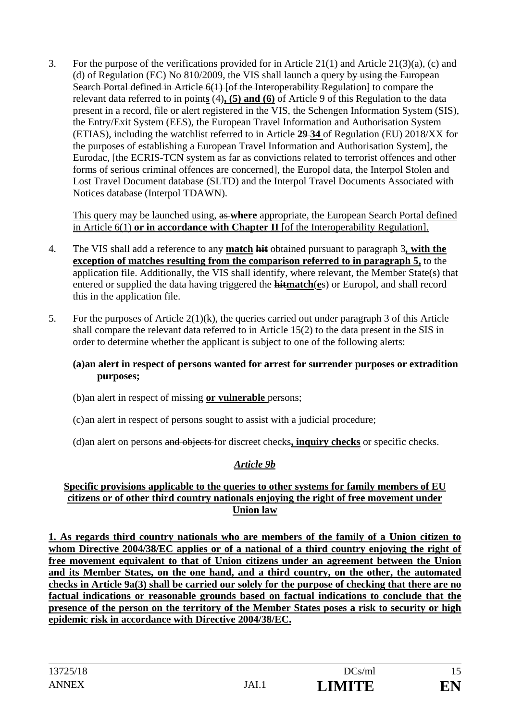3. For the purpose of the verifications provided for in Article 21(1) and Article 21(3)(a), (c) and (d) of Regulation (EC) No 810/2009, the VIS shall launch a query by using the European Search Portal defined in Article 6(1) [of the Interoperability Regulation] to compare the relevant data referred to in point**s** (4)**, (5) and (6)** of Article 9 of this Regulation to the data present in a record, file or alert registered in the VIS, the Schengen Information System (SIS), the Entry/Exit System (EES), the European Travel Information and Authorisation System (ETIAS), including the watchlist referred to in Article **29 34** of Regulation (EU) 2018/XX for the purposes of establishing a European Travel Information and Authorisation System], the Eurodac, [the ECRIS-TCN system as far as convictions related to terrorist offences and other forms of serious criminal offences are concerned], the Europol data, the Interpol Stolen and Lost Travel Document database (SLTD) and the Interpol Travel Documents Associated with Notices database (Interpol TDAWN).

This query may be launched using, as **where** appropriate, the European Search Portal defined in Article 6(1) **or in accordance with Chapter II** [of the Interoperability Regulation].

- 4. The VIS shall add a reference to any **match hit** obtained pursuant to paragraph 3*,* **with the exception of matches resulting from the comparison referred to in paragraph 5,** to the application file. Additionally, the VIS shall identify, where relevant, the Member State(s) that entered or supplied the data having triggered the **hitmatch**(**e**s) or Europol, and shall record this in the application file.
- 5. For the purposes of Article  $2(1)(k)$ , the queries carried out under paragraph 3 of this Article shall compare the relevant data referred to in Article 15(2) to the data present in the SIS in order to determine whether the applicant is subject to one of the following alerts:

### **(a)an alert in respect of persons wanted for arrest for surrender purposes or extradition purposes;**

- (b)an alert in respect of missing **or vulnerable** persons;
- (c)an alert in respect of persons sought to assist with a judicial procedure;
- (d)an alert on persons and objects for discreet checks**, inquiry checks** or specific checks.

# *Article 9b*

#### **Specific provisions applicable to the queries to other systems for family members of EU citizens or of other third country nationals enjoying the right of free movement under Union law**

**1. As regards third country nationals who are members of the family of a Union citizen to whom Directive 2004/38/EC applies or of a national of a third country enjoying the right of free movement equivalent to that of Union citizens under an agreement between the Union and its Member States, on the one hand, and a third country, on the other, the automated checks in Article 9a(3) shall be carried our solely for the purpose of checking that there are no factual indications or reasonable grounds based on factual indications to conclude that the presence of the person on the territory of the Member States poses a risk to security or high epidemic risk in accordance with Directive 2004/38/EC.**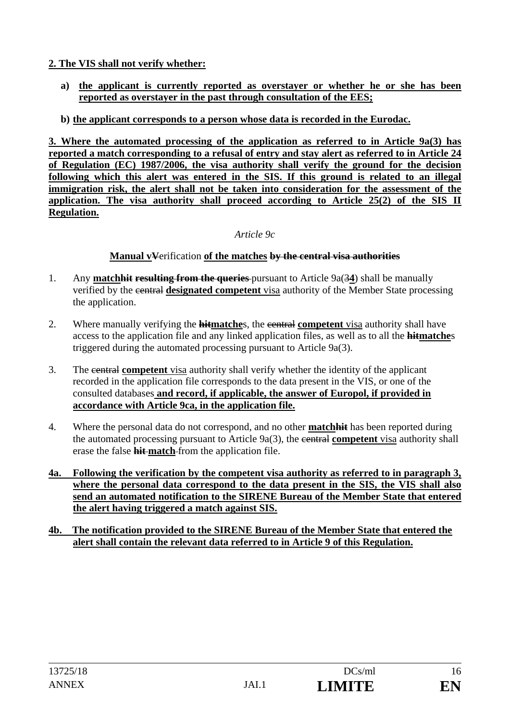**2. The VIS shall not verify whether:** 

- **a) the applicant is currently reported as overstayer or whether he or she has been reported as overstayer in the past through consultation of the EES;**
- **b) the applicant corresponds to a person whose data is recorded in the Eurodac.**

**3. Where the automated processing of the application as referred to in Article 9a(3) has reported a match corresponding to a refusal of entry and stay alert as referred to in Article 24 of Regulation (EC) 1987/2006, the visa authority shall verify the ground for the decision following which this alert was entered in the SIS. If this ground is related to an illegal immigration risk, the alert shall not be taken into consideration for the assessment of the application. The visa authority shall proceed according to Article 25(2) of the SIS II Regulation.** 

*Article 9c* 

## **Manual vV**erification **of the matches by the central visa authorities**

- 1. Any **matchhit resulting from the queries** pursuant to Article 9a(3**4**) shall be manually verified by the central **designated competent** visa authority of the Member State processing the application.
- 2. Where manually verifying the **hitmatche**s, the central **competent** visa authority shall have access to the application file and any linked application files, as well as to all the **hitmatche**s triggered during the automated processing pursuant to Article 9a(3).
- 3. The central **competent** visa authority shall verify whether the identity of the applicant recorded in the application file corresponds to the data present in the VIS, or one of the consulted databases **and record, if applicable, the answer of Europol, if provided in accordance with Article 9ca, in the application file.**
- 4. Where the personal data do not correspond, and no other **matchhit** has been reported during the automated processing pursuant to Article 9a(3), the central **competent** visa authority shall erase the false **hit match** from the application file.
- **4a. Following the verification by the competent visa authority as referred to in paragraph 3, where the personal data correspond to the data present in the SIS, the VIS shall also send an automated notification to the SIRENE Bureau of the Member State that entered the alert having triggered a match against SIS.**
- **4b. The notification provided to the SIRENE Bureau of the Member State that entered the alert shall contain the relevant data referred to in Article 9 of this Regulation.**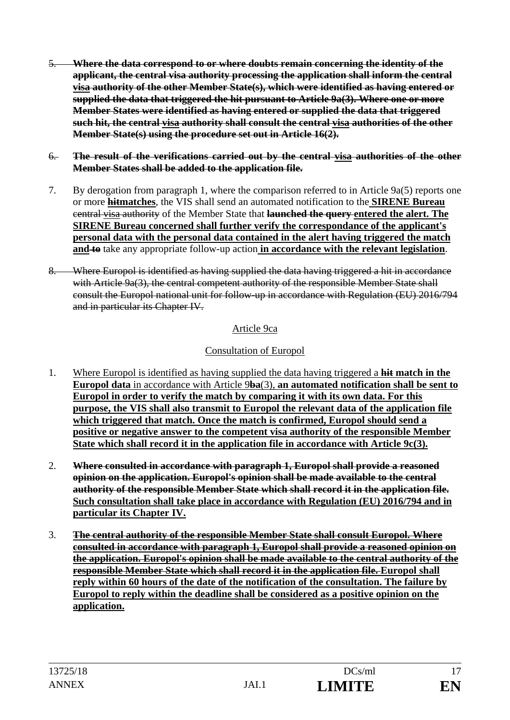- 5. **Where the data correspond to or where doubts remain concerning the identity of the applicant, the central visa authority processing the application shall inform the central visa authority of the other Member State(s), which were identified as having entered or supplied the data that triggered the hit pursuant to Article 9a(3). Where one or more Member States were identified as having entered or supplied the data that triggered such hit, the central visa authority shall consult the central visa authorities of the other Member State(s) using the procedure set out in Article 16(2).**
- 6. **The result of the verifications carried out by the central visa authorities of the other Member States shall be added to the application file.**
- 7. By derogation from paragraph 1, where the comparison referred to in Article 9a(5) reports one or more **hitmatches**, the VIS shall send an automated notification to the **SIRENE Bureau** central visa authority of the Member State that **launched the query entered the alert. The SIRENE Bureau concerned shall further verify the correspondance of the applicant's personal data with the personal data contained in the alert having triggered the match and to** take any appropriate follow-up action **in accordance with the relevant legislation**.
- 8. Where Europol is identified as having supplied the data having triggered a hit in accordance with Article 9a(3), the central competent authority of the responsible Member State shall consult the Europol national unit for follow-up in accordance with Regulation (EU) 2016/794 and in particular its Chapter IV.

## Article 9ca

## Consultation of Europol

- 1. Where Europol is identified as having supplied the data having triggered a **hit match in the Europol data** in accordance with Article 9**ba**(3), **an automated notification shall be sent to Europol in order to verify the match by comparing it with its own data. For this purpose, the VIS shall also transmit to Europol the relevant data of the application file which triggered that match. Once the match is confirmed, Europol should send a positive or negative answer to the competent visa authority of the responsible Member State which shall record it in the application file in accordance with Article 9c(3).**
- 2. **Where consulted in accordance with paragraph 1, Europol shall provide a reasoned opinion on the application. Europol's opinion shall be made available to the central authority of the responsible Member State which shall record it in the application file. Such consultation shall take place in accordance with Regulation (EU) 2016/794 and in particular its Chapter IV.**
- 3. **The central authority of the responsible Member State shall consult Europol. Where consulted in accordance with paragraph 1, Europol shall provide a reasoned opinion on the application. Europol's opinion shall be made available to the central authority of the responsible Member State which shall record it in the application file. Europol shall reply within 60 hours of the date of the notification of the consultation. The failure by Europol to reply within the deadline shall be considered as a positive opinion on the application.**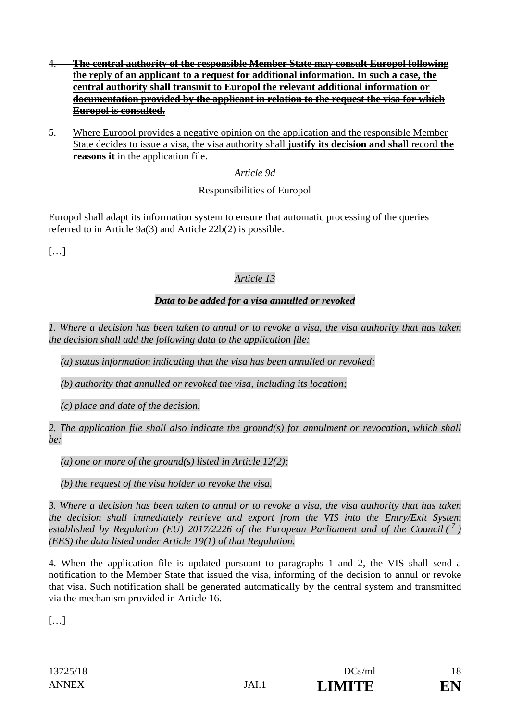- 4. **The central authority of the responsible Member State may consult Europol following the reply of an applicant to a request for additional information. In such a case, the central authority shall transmit to Europol the relevant additional information or documentation provided by the applicant in relation to the request the visa for which Europol is consulted.**
- 5. Where Europol provides a negative opinion on the application and the responsible Member State decides to issue a visa, the visa authority shall **justify its decision and shall** record **the reasons it** in the application file.

*Article 9d* 

# Responsibilities of Europol

Europol shall adapt its information system to ensure that automatic processing of the queries referred to in Article 9a(3) and Article 22b(2) is possible.

 $[...]$ 

# *Article 13*

# *Data to be added for a visa annulled or revoked*

*1. Where a decision has been taken to annul or to revoke a visa, the visa authority that has taken the decision shall add the following data to the application file:* 

*(a) status information indicating that the visa has been annulled or revoked;* 

*(b) authority that annulled or revoked the visa, including its location;* 

*(c) place and date of the decision.* 

*2. The application file shall also indicate the ground(s) for annulment or revocation, which shall be:* 

*(a) one or more of the ground(s) listed in Article 12(2);* 

*(b) the request of the visa holder to revoke the visa.* 

*3. Where a decision has been taken to annul or to revoke a visa, the visa authority that has taken the decision shall immediately retrieve and export from the VIS into the Entry/Exit System established by Regulation (EU) 2017/2226 of the European Parliament and of the Council (<sup>7</sup>) (EES) the data listed under Article 19(1) of that Regulation.* 

4. When the application file is updated pursuant to paragraphs 1 and 2, the VIS shall send a notification to the Member State that issued the visa, informing of the decision to annul or revoke that visa. Such notification shall be generated automatically by the central system and transmitted via the mechanism provided in Article 16.

[…]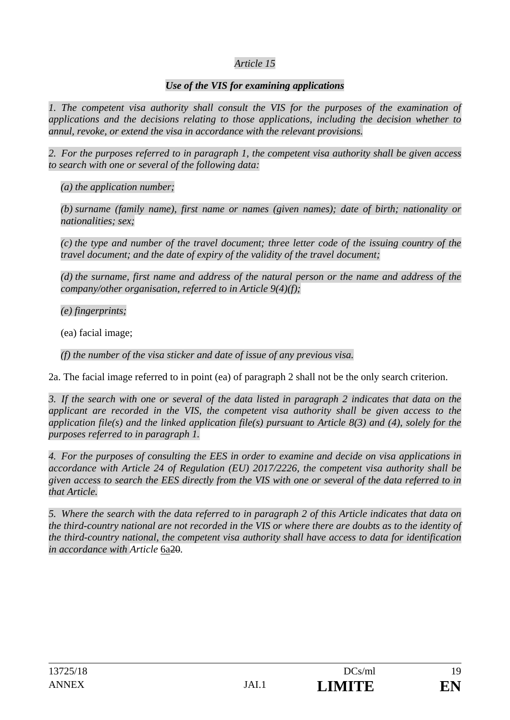### *Use of the VIS for examining applications*

*1. The competent visa authority shall consult the VIS for the purposes of the examination of applications and the decisions relating to those applications, including the decision whether to annul, revoke, or extend the visa in accordance with the relevant provisions.* 

*2. For the purposes referred to in paragraph 1, the competent visa authority shall be given access to search with one or several of the following data:* 

*(a) the application number;* 

*(b) surname (family name), first name or names (given names); date of birth; nationality or nationalities; sex;* 

*(c) the type and number of the travel document; three letter code of the issuing country of the travel document; and the date of expiry of the validity of the travel document;* 

*(d) the surname, first name and address of the natural person or the name and address of the company/other organisation, referred to in Article 9(4)(f);* 

*(e) fingerprints;* 

(ea) facial image;

*(f) the number of the visa sticker and date of issue of any previous visa.* 

2a. The facial image referred to in point (ea) of paragraph 2 shall not be the only search criterion.

*3. If the search with one or several of the data listed in paragraph 2 indicates that data on the applicant are recorded in the VIS, the competent visa authority shall be given access to the application file(s) and the linked application file(s) pursuant to Article 8(3) and (4), solely for the purposes referred to in paragraph 1.* 

*4. For the purposes of consulting the EES in order to examine and decide on visa applications in accordance with Article 24 of Regulation (EU) 2017/2226, the competent visa authority shall be given access to search the EES directly from the VIS with one or several of the data referred to in that Article.* 

*5. Where the search with the data referred to in paragraph 2 of this Article indicates that data on the third-country national are not recorded in the VIS or where there are doubts as to the identity of the third-country national, the competent visa authority shall have access to data for identification in accordance with Article* 6a20*.*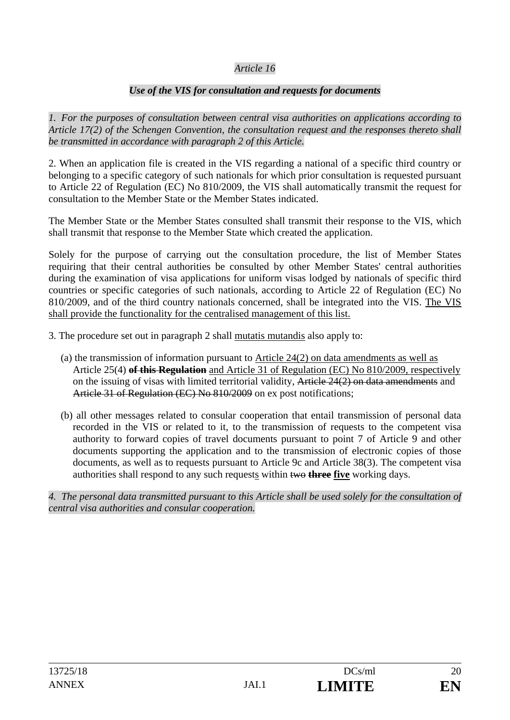### *Use of the VIS for consultation and requests for documents*

*1. For the purposes of consultation between central visa authorities on applications according to Article 17(2) of the Schengen Convention, the consultation request and the responses thereto shall be transmitted in accordance with paragraph 2 of this Article.* 

2. When an application file is created in the VIS regarding a national of a specific third country or belonging to a specific category of such nationals for which prior consultation is requested pursuant to Article 22 of Regulation (EC) No 810/2009, the VIS shall automatically transmit the request for consultation to the Member State or the Member States indicated.

The Member State or the Member States consulted shall transmit their response to the VIS, which shall transmit that response to the Member State which created the application.

Solely for the purpose of carrying out the consultation procedure, the list of Member States requiring that their central authorities be consulted by other Member States' central authorities during the examination of visa applications for uniform visas lodged by nationals of specific third countries or specific categories of such nationals, according to Article 22 of Regulation (EC) No 810/2009, and of the third country nationals concerned, shall be integrated into the VIS. The VIS shall provide the functionality for the centralised management of this list.

3. The procedure set out in paragraph 2 shall mutatis mutandis also apply to:

- (a) the transmission of information pursuant to  $\Delta$ rticle 24(2) on data amendments as well as Article 25(4) **of this Regulation** and Article 31 of Regulation (EC) No 810/2009, respectively on the issuing of visas with limited territorial validity, Article 24(2) on data amendments and Article 31 of Regulation (EC) No 810/2009 on ex post notifications;
- (b) all other messages related to consular cooperation that entail transmission of personal data recorded in the VIS or related to it, to the transmission of requests to the competent visa authority to forward copies of travel documents pursuant to point 7 of Article 9 and other documents supporting the application and to the transmission of electronic copies of those documents, as well as to requests pursuant to Article 9c and Article 38(3). The competent visa authorities shall respond to any such requests within two **three five** working days.

*4. The personal data transmitted pursuant to this Article shall be used solely for the consultation of central visa authorities and consular cooperation.*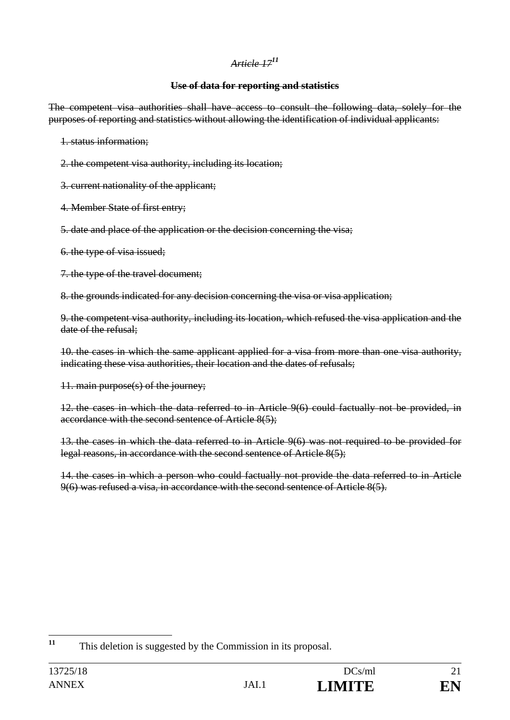### **Use of data for reporting and statistics**

The competent visa authorities shall have access to consult the following data, solely for the purposes of reporting and statistics without allowing the identification of individual applicants:

1. status information;

- 2. the competent visa authority, including its location;
- 3. current nationality of the applicant;
- 4. Member State of first entry;
- 5. date and place of the application or the decision concerning the visa;
- 6. the type of visa issued;
- 7. the type of the travel document;

8. the grounds indicated for any decision concerning the visa or visa application;

9. the competent visa authority, including its location, which refused the visa application and the date of the refusal;

10. the cases in which the same applicant applied for a visa from more than one visa authority, indicating these visa authorities, their location and the dates of refusals;

11. main purpose(s) of the journey;

12. the cases in which the data referred to in Article 9(6) could factually not be provided, in accordance with the second sentence of Article 8(5);

13. the cases in which the data referred to in Article 9(6) was not required to be provided for legal reasons, in accordance with the second sentence of Article 8(5);

14. the cases in which a person who could factually not provide the data referred to in Article 9(6) was refused a visa, in accordance with the second sentence of Article 8(5).

 $11$ **<sup>11</sup>** This deletion is suggested by the Commission in its proposal.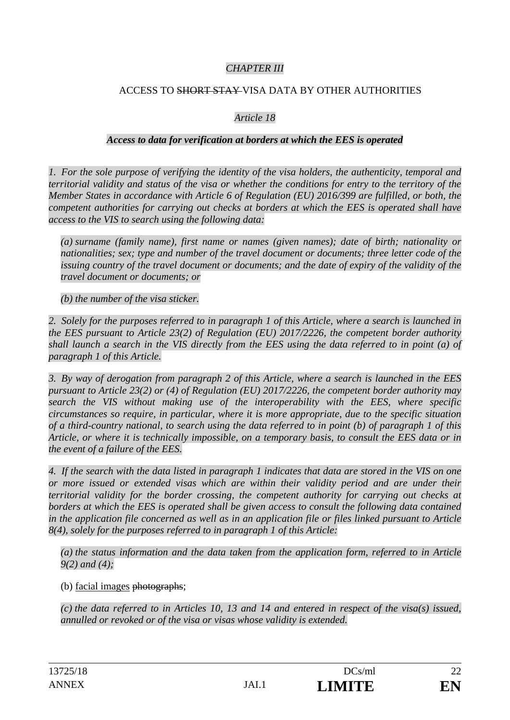### *CHAPTER III*

### ACCESS TO SHORT STAY VISA DATA BY OTHER AUTHORITIES

### *Article 18*

#### *Access to data for verification at borders at which the EES is operated*

*1. For the sole purpose of verifying the identity of the visa holders, the authenticity, temporal and territorial validity and status of the visa or whether the conditions for entry to the territory of the Member States in accordance with Article 6 of Regulation (EU) 2016/399 are fulfilled, or both, the competent authorities for carrying out checks at borders at which the EES is operated shall have access to the VIS to search using the following data:* 

*(a) surname (family name), first name or names (given names); date of birth; nationality or nationalities; sex; type and number of the travel document or documents; three letter code of the issuing country of the travel document or documents; and the date of expiry of the validity of the travel document or documents; or* 

*(b) the number of the visa sticker.* 

*2. Solely for the purposes referred to in paragraph 1 of this Article, where a search is launched in the EES pursuant to Article 23(2) of Regulation (EU) 2017/2226, the competent border authority shall launch a search in the VIS directly from the EES using the data referred to in point (a) of paragraph 1 of this Article.* 

*3. By way of derogation from paragraph 2 of this Article, where a search is launched in the EES pursuant to Article 23(2) or (4) of Regulation (EU) 2017/2226, the competent border authority may search the VIS without making use of the interoperability with the EES, where specific circumstances so require, in particular, where it is more appropriate, due to the specific situation of a third-country national, to search using the data referred to in point (b) of paragraph 1 of this Article, or where it is technically impossible, on a temporary basis, to consult the EES data or in the event of a failure of the EES.* 

*4. If the search with the data listed in paragraph 1 indicates that data are stored in the VIS on one or more issued or extended visas which are within their validity period and are under their territorial validity for the border crossing, the competent authority for carrying out checks at borders at which the EES is operated shall be given access to consult the following data contained in the application file concerned as well as in an application file or files linked pursuant to Article 8(4), solely for the purposes referred to in paragraph 1 of this Article:* 

*(a) the status information and the data taken from the application form, referred to in Article 9(2) and (4);* 

(b) facial images photographs;

*(c) the data referred to in Articles 10, 13 and 14 and entered in respect of the visa(s) issued, annulled or revoked or of the visa or visas whose validity is extended.*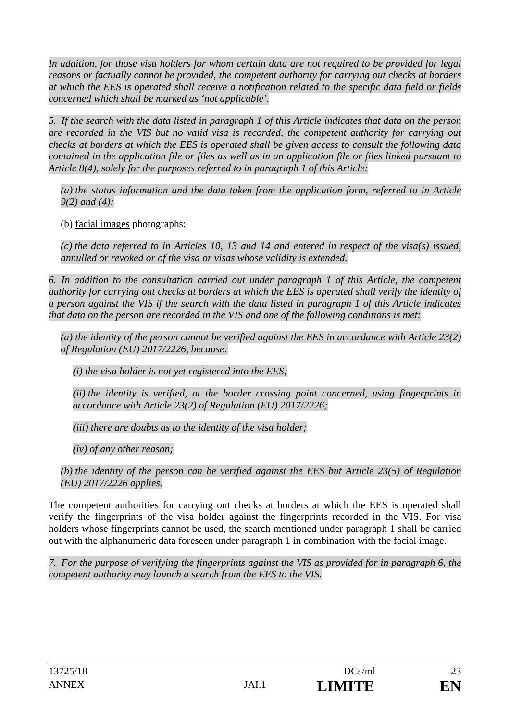*In addition, for those visa holders for whom certain data are not required to be provided for legal reasons or factually cannot be provided, the competent authority for carrying out checks at borders at which the EES is operated shall receive a notification related to the specific data field or fields concerned which shall be marked as 'not applicable'.* 

*5. If the search with the data listed in paragraph 1 of this Article indicates that data on the person are recorded in the VIS but no valid visa is recorded, the competent authority for carrying out checks at borders at which the EES is operated shall be given access to consult the following data contained in the application file or files as well as in an application file or files linked pursuant to Article 8(4), solely for the purposes referred to in paragraph 1 of this Article:* 

*(a) the status information and the data taken from the application form, referred to in Article 9(2) and (4);* 

(b) facial images photographs;

*(c) the data referred to in Articles 10, 13 and 14 and entered in respect of the visa(s) issued, annulled or revoked or of the visa or visas whose validity is extended.* 

*6. In addition to the consultation carried out under paragraph 1 of this Article, the competent authority for carrying out checks at borders at which the EES is operated shall verify the identity of a person against the VIS if the search with the data listed in paragraph 1 of this Article indicates that data on the person are recorded in the VIS and one of the following conditions is met:* 

*(a) the identity of the person cannot be verified against the EES in accordance with Article 23(2) of Regulation (EU) 2017/2226, because:* 

*(i) the visa holder is not yet registered into the EES;* 

*(ii) the identity is verified, at the border crossing point concerned, using fingerprints in accordance with Article 23(2) of Regulation (EU) 2017/2226;* 

*(iii) there are doubts as to the identity of the visa holder;* 

*(iv) of any other reason;* 

*(b) the identity of the person can be verified against the EES but Article 23(5) of Regulation (EU) 2017/2226 applies.* 

The competent authorities for carrying out checks at borders at which the EES is operated shall verify the fingerprints of the visa holder against the fingerprints recorded in the VIS. For visa holders whose fingerprints cannot be used, the search mentioned under paragraph 1 shall be carried out with the alphanumeric data foreseen under paragraph 1 in combination with the facial image.

*7. For the purpose of verifying the fingerprints against the VIS as provided for in paragraph 6, the competent authority may launch a search from the EES to the VIS.*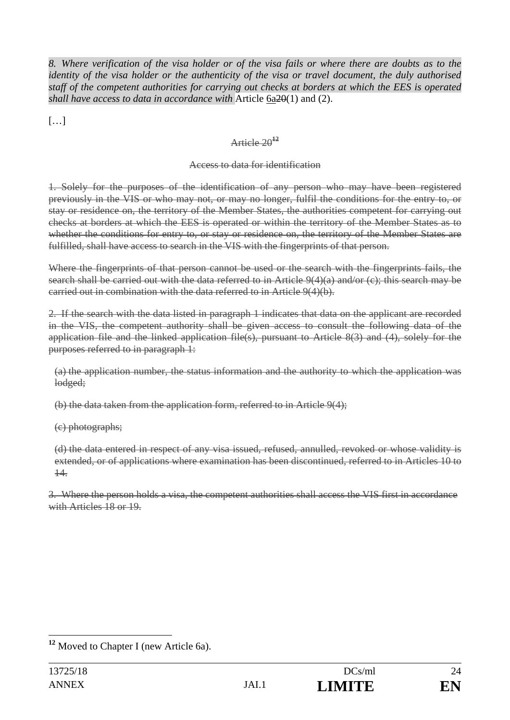*8. Where verification of the visa holder or of the visa fails or where there are doubts as to the identity of the visa holder or the authenticity of the visa or travel document, the duly authorised staff of the competent authorities for carrying out checks at borders at which the EES is operated shall have access to data in accordance with* Article 6a20(1) and (2).

[…]

# Article 20**<sup>12</sup>**

# Access to data for identification

1. Solely for the purposes of the identification of any person who may have been registered previously in the VIS or who may not, or may no longer, fulfil the conditions for the entry to, or stay or residence on, the territory of the Member States, the authorities competent for carrying out checks at borders at which the EES is operated or within the territory of the Member States as to whether the conditions for entry to, or stay or residence on, the territory of the Member States are fulfilled, shall have access to search in the VIS with the fingerprints of that person.

Where the fingerprints of that person cannot be used or the search with the fingerprints fails, the search shall be carried out with the data referred to in Article  $9(4)(a)$  and/or (c); this search may be carried out in combination with the data referred to in Article 9(4)(b).

2. If the search with the data listed in paragraph 1 indicates that data on the applicant are recorded in the VIS, the competent authority shall be given access to consult the following data of the application file and the linked application file(s), pursuant to Article 8(3) and (4), solely for the purposes referred to in paragraph 1:

(a) the application number, the status information and the authority to which the application was lodged;

(b) the data taken from the application form, referred to in Article 9(4);

(c) photographs;

(d) the data entered in respect of any visa issued, refused, annulled, revoked or whose validity is extended, or of applications where examination has been discontinued, referred to in Articles 10 to 14.

3. Where the person holds a visa, the competent authorities shall access the VIS first in accordance with Articles 18 or 19.

 $\overline{a}$ **<sup>12</sup>** Moved to Chapter I (new Article 6a).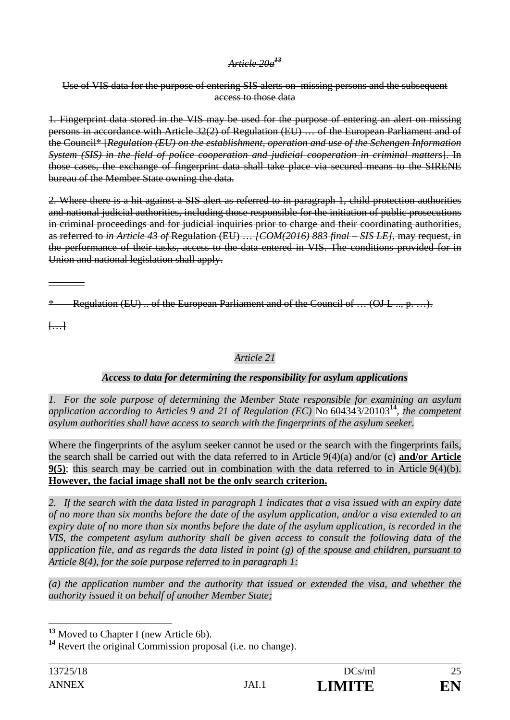### *Article 20a<sup>13</sup>*

Use of VIS data for the purpose of entering SIS alerts on missing persons and the subsequent access to those data

1. Fingerprint data stored in the VIS may be used for the purpose of entering an alert on missing persons in accordance with Article 32(2) of Regulation (EU) … of the European Parliament and of the Council\* [*Regulation (EU) on the establishment, operation and use of the Schengen Information System (SIS) in the field of police cooperation and judicial cooperation in criminal matters*]. In those cases, the exchange of fingerprint data shall take place via secured means to the SIRENE bureau of the Member State owning the data.

2. Where there is a hit against a SIS alert as referred to in paragraph 1, child protection authorities and national judicial authorities, including those responsible for the initiation of public prosecutions in criminal proceedings and for judicial inquiries prior to charge and their coordinating authorities, as referred to *in Article 43 of* Regulation (EU) … *[COM(2016) 883 final – SIS LE],* may request, in the performance of their tasks, access to the data entered in VIS. The conditions provided for in Union and national legislation shall apply.

**Regulation (EU) .. of the European Parliament and of the Council of ... (OJ L .., p. ...).** 

 $\overline{$ ...

 $\overline{\phantom{a}}$   $\overline{\phantom{a}}$ 

# *Article 21*

# *Access to data for determining the responsibility for asylum applications*

*1. For the sole purpose of determining the Member State responsible for examining an asylum application according to Articles 9 and 21 of Regulation (EC)* No 604343/20103**<sup>14</sup>**, *the competent asylum authorities shall have access to search with the fingerprints of the asylum seeker.* 

Where the fingerprints of the asylum seeker cannot be used or the search with the fingerprints fails, the search shall be carried out with the data referred to in Article 9(4)(a) and/or (c) **and/or Article 9(5)**; this search may be carried out in combination with the data referred to in Article 9(4)(b). **However, the facial image shall not be the only search criterion.**

*2. If the search with the data listed in paragraph 1 indicates that a visa issued with an expiry date of no more than six months before the date of the asylum application, and/or a visa extended to an expiry date of no more than six months before the date of the asylum application, is recorded in the VIS, the competent asylum authority shall be given access to consult the following data of the application file, and as regards the data listed in point (g) of the spouse and children, pursuant to Article 8(4), for the sole purpose referred to in paragraph 1:* 

*(a) the application number and the authority that issued or extended the visa, and whether the authority issued it on behalf of another Member State;* 

 $\overline{a}$ 

**<sup>13</sup>** Moved to Chapter I (new Article 6b).

**<sup>14</sup>** Revert the original Commission proposal (i.e. no change).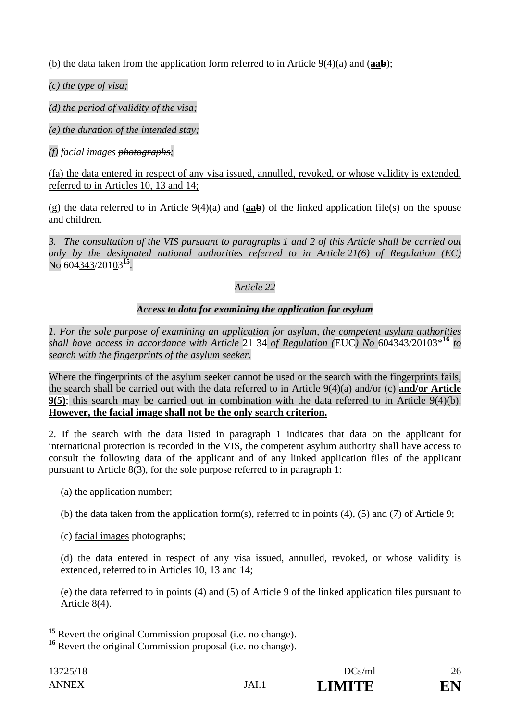(b) the data taken from the application form referred to in Article 9(4)(a) and (**aab**);

*(c) the type of visa;* 

*(d) the period of validity of the visa;* 

*(e) the duration of the intended stay;* 

*(f) facial images photographs;* 

(fa) the data entered in respect of any visa issued, annulled, revoked, or whose validity is extended, referred to in Articles 10, 13 and 14;

(g) the data referred to in Article 9(4)(a) and (**aab**) of the linked application file(s) on the spouse and children.

*3. The consultation of the VIS pursuant to paragraphs 1 and 2 of this Article shall be carried out only by the designated national authorities referred to in Article 21(6) of Regulation (EC)*  No 604343/20103**<sup>15</sup>***.* 

# *Article 22*

# *Access to data for examining the application for asylum*

*1. For the sole purpose of examining an application for asylum, the competent asylum authorities shall have access in accordance with Article* 21 34 *of Regulation (*EUC*) No* 604343/20103\***<sup>16</sup>** *to search with the fingerprints of the asylum seeker.* 

Where the fingerprints of the asylum seeker cannot be used or the search with the fingerprints fails, the search shall be carried out with the data referred to in Article 9(4)(a) and/or (c) **and/or Article 9(5)**; this search may be carried out in combination with the data referred to in Article 9(4)(b). **However, the facial image shall not be the only search criterion.**

2. If the search with the data listed in paragraph 1 indicates that data on the applicant for international protection is recorded in the VIS, the competent asylum authority shall have access to consult the following data of the applicant and of any linked application files of the applicant pursuant to Article 8(3), for the sole purpose referred to in paragraph 1:

- (a) the application number;
- (b) the data taken from the application form(s), referred to in points (4), (5) and (7) of Article 9;
- (c) facial images photographs;

(d) the data entered in respect of any visa issued, annulled, revoked, or whose validity is extended, referred to in Articles 10, 13 and 14;

(e) the data referred to in points (4) and (5) of Article 9 of the linked application files pursuant to Article 8(4).

 $\overline{a}$ <sup>15</sup> Revert the original Commission proposal (i.e. no change).

**<sup>16</sup>** Revert the original Commission proposal (i.e. no change).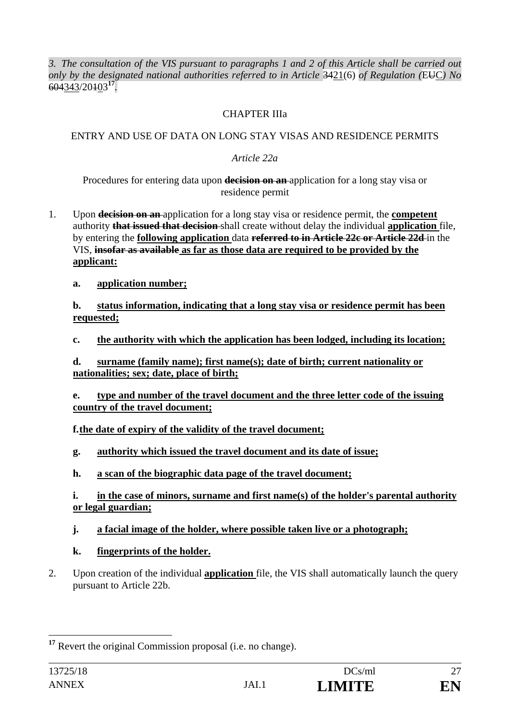*3. The consultation of the VIS pursuant to paragraphs 1 and 2 of this Article shall be carried out only by the designated national authorities referred to in Article* 3421(6) *of Regulation (*EUC*) No*  604343/20103**<sup>17</sup>***.* 

### CHAPTER IIIa

## ENTRY AND USE OF DATA ON LONG STAY VISAS AND RESIDENCE PERMITS

## *Article 22a*

Procedures for entering data upon **decision on an** application for a long stay visa or residence permit

- 1. Upon **decision on an** application for a long stay visa or residence permit, the **competent**  authority **that issued that decision** shall create without delay the individual **application** file, by entering the **following application** data **referred to in Article 22c or Article 22d** in the VIS, **insofar as available as far as those data are required to be provided by the applicant:** 
	- **a. application number;**

**b. status information, indicating that a long stay visa or residence permit has been requested;** 

**c. the authority with which the application has been lodged, including its location;** 

**d. surname (family name); first name(s); date of birth; current nationality or nationalities; sex; date, place of birth;** 

**e. type and number of the travel document and the three letter code of the issuing country of the travel document;** 

# **f.the date of expiry of the validity of the travel document;**

- **g. authority which issued the travel document and its date of issue;**
- **h. a scan of the biographic data page of the travel document;**

**i. in the case of minors, surname and first name(s) of the holder's parental authority or legal guardian;** 

# **j. a facial image of the holder, where possible taken live or a photograph;**

- **k. fingerprints of the holder.**
- 2. Upon creation of the individual **application** file, the VIS shall automatically launch the query pursuant to Article 22b.

 $\overline{a}$ <sup>17</sup> Revert the original Commission proposal (i.e. no change).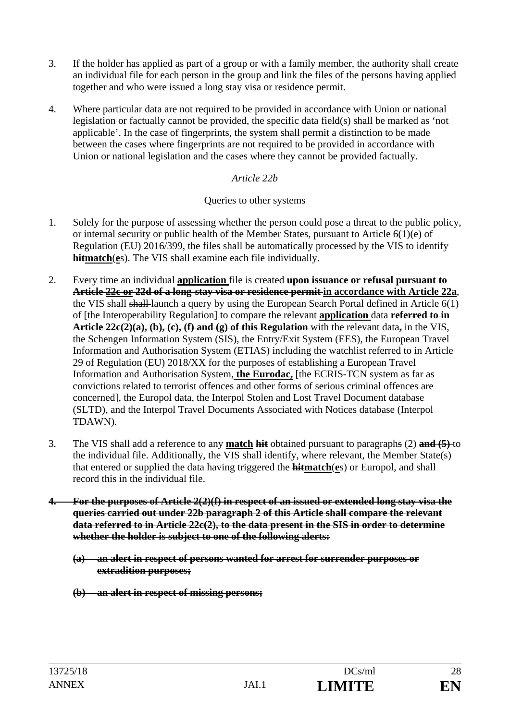- 3. If the holder has applied as part of a group or with a family member, the authority shall create an individual file for each person in the group and link the files of the persons having applied together and who were issued a long stay visa or residence permit.
- 4. Where particular data are not required to be provided in accordance with Union or national legislation or factually cannot be provided, the specific data field(s) shall be marked as 'not applicable'. In the case of fingerprints, the system shall permit a distinction to be made between the cases where fingerprints are not required to be provided in accordance with Union or national legislation and the cases where they cannot be provided factually.

### *Article 22b*

### Queries to other systems

- 1. Solely for the purpose of assessing whether the person could pose a threat to the public policy, or internal security or public health of the Member States, pursuant to Article 6(1)(e) of Regulation (EU) 2016/399, the files shall be automatically processed by the VIS to identify **hitmatch**(**e**s). The VIS shall examine each file individually.
- 2. Every time an individual **application** file is created **upon issuance or refusal pursuant to Article 22c or 22d of a long-stay visa or residence permit in accordance with Article 22a**, the VIS shall shall launch a query by using the European Search Portal defined in Article 6(1) of [the Interoperability Regulation] to compare the relevant **application** data **referred to in Article 22c(2)(a), (b), (c), (f) and (g) of this Regulation** with the relevant data**,** in the VIS, the Schengen Information System (SIS), the Entry/Exit System (EES), the European Travel Information and Authorisation System (ETIAS) including the watchlist referred to in Article 29 of Regulation (EU) 2018/XX for the purposes of establishing a European Travel Information and Authorisation System, **the Eurodac,** [the ECRIS-TCN system as far as convictions related to terrorist offences and other forms of serious criminal offences are concerned], the Europol data, the Interpol Stolen and Lost Travel Document database (SLTD), and the Interpol Travel Documents Associated with Notices database (Interpol TDAWN).
- 3. The VIS shall add a reference to any **match hit** obtained pursuant to paragraphs (2) **and (5)** to the individual file. Additionally, the VIS shall identify, where relevant, the Member State(s) that entered or supplied the data having triggered the **hitmatch**(**e**s) or Europol, and shall record this in the individual file.
- **4. For the purposes of Article 2(2)(f) in respect of an issued or extended long stay visa the queries carried out under 22b paragraph 2 of this Article shall compare the relevant data referred to in Article 22c(2), to the data present in the SIS in order to determine whether the holder is subject to one of the following alerts:** 
	- **(a) an alert in respect of persons wanted for arrest for surrender purposes or extradition purposes;**
	- **(b) an alert in respect of missing persons;**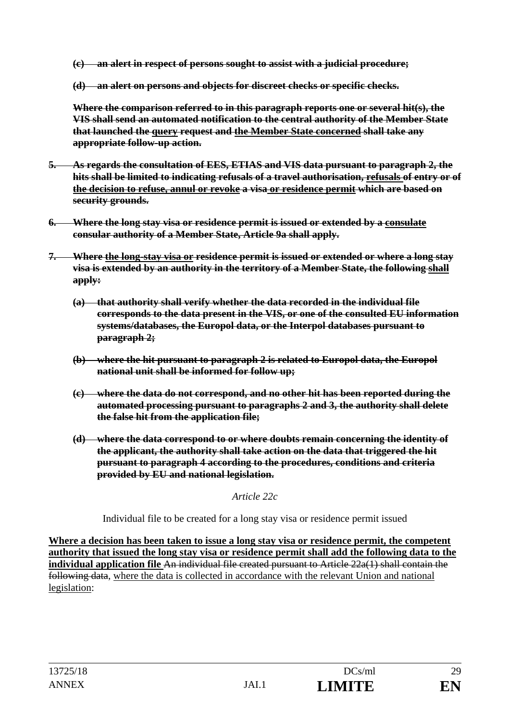**(c) an alert in respect of persons sought to assist with a judicial procedure;** 

**(d) an alert on persons and objects for discreet checks or specific checks.** 

**Where the comparison referred to in this paragraph reports one or several hit(s), the VIS shall send an automated notification to the central authority of the Member State that launched the query request and the Member State concerned shall take any appropriate follow-up action.** 

- **5. As regards the consultation of EES, ETIAS and VIS data pursuant to paragraph 2, the hits shall be limited to indicating refusals of a travel authorisation, refusals of entry or of the decision to refuse, annul or revoke a visa or residence permit which are based on security grounds.**
- **6. Where the long stay visa or residence permit is issued or extended by a consulate consular authority of a Member State, Article 9a shall apply.**
- **7. Where the long-stay visa or residence permit is issued or extended or where a long stay visa is extended by an authority in the territory of a Member State, the following shall apply:** 
	- **(a) that authority shall verify whether the data recorded in the individual file corresponds to the data present in the VIS, or one of the consulted EU information systems/databases, the Europol data, or the Interpol databases pursuant to paragraph 2;**
	- **(b) where the hit pursuant to paragraph 2 is related to Europol data, the Europol national unit shall be informed for follow up;**
	- **(c) where the data do not correspond, and no other hit has been reported during the automated processing pursuant to paragraphs 2 and 3, the authority shall delete the false hit from the application file;**
	- **(d) where the data correspond to or where doubts remain concerning the identity of the applicant, the authority shall take action on the data that triggered the hit pursuant to paragraph 4 according to the procedures, conditions and criteria provided by EU and national legislation.**

*Article 22c* 

Individual file to be created for a long stay visa or residence permit issued

**Where a decision has been taken to issue a long stay visa or residence permit, the competent authority that issued the long stay visa or residence permit shall add the following data to the individual application file** An individual file created pursuant to Article 22a(1) shall contain the following data, where the data is collected in accordance with the relevant Union and national legislation: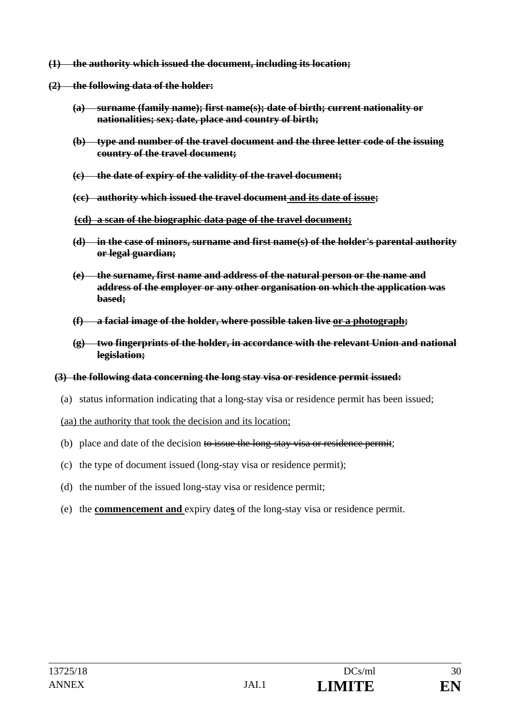- **(1) the authority which issued the document, including its location;**
- **(2) the following data of the holder:** 
	- **(a) surname (family name); first name(s); date of birth; current nationality or nationalities; sex; date, place and country of birth;**
	- **(b) type and number of the travel document and the three letter code of the issuing country of the travel document;**
	- **(c) the date of expiry of the validity of the travel document;**
	- **(cc) authority which issued the travel document and its date of issue;**
	- **(cd) a scan of the biographic data page of the travel document;**
	- **(d) in the case of minors, surname and first name(s) of the holder's parental authority or legal guardian;**
	- **(e) the surname, first name and address of the natural person or the name and address of the employer or any other organisation on which the application was based;**
	- **(f) a facial image of the holder, where possible taken live or a photograph;**
	- **(g) two fingerprints of the holder, in accordance with the relevant Union and national legislation;**
	- **(3) the following data concerning the long stay visa or residence permit issued:** 
		- (a) status information indicating that a long-stay visa or residence permit has been issued;

(aa) the authority that took the decision and its location;

- (b) place and date of the decision to issue the long-stay visa or residence permit;
- (c) the type of document issued (long-stay visa or residence permit);
- (d) the number of the issued long-stay visa or residence permit;
- (e) the **commencement and** expiry date**s** of the long-stay visa or residence permit.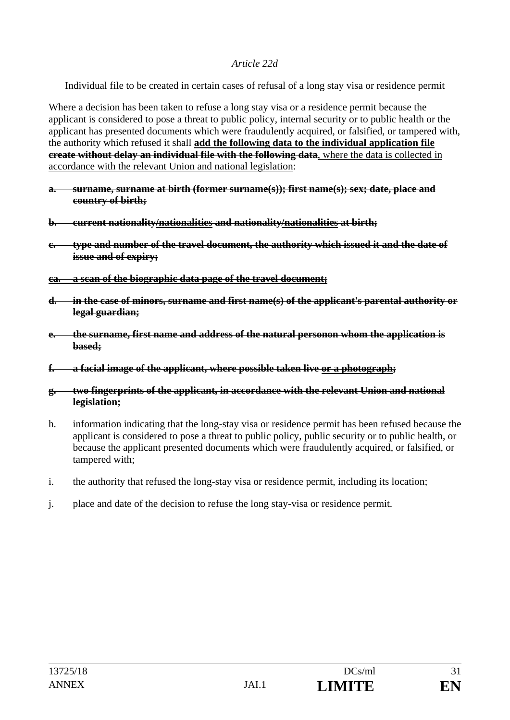### *Article 22d*

Individual file to be created in certain cases of refusal of a long stay visa or residence permit

Where a decision has been taken to refuse a long stay visa or a residence permit because the applicant is considered to pose a threat to public policy, internal security or to public health or the applicant has presented documents which were fraudulently acquired, or falsified, or tampered with, the authority which refused it shall **add the following data to the individual application file create without delay an individual file with the following data**, where the data is collected in accordance with the relevant Union and national legislation:

- **a. surname, surname at birth (former surname(s)); first name(s); sex; date, place and country of birth;**
- **b. current nationality/nationalities and nationality/nationalities at birth;**
- **c. type and number of the travel document, the authority which issued it and the date of issue and of expiry;**
- **ca. a scan of the biographic data page of the travel document;**
- **d. in the case of minors, surname and first name(s) of the applicant's parental authority or legal guardian;**
- **e. the surname, first name and address of the natural personon whom the application is based;**
- **f. a facial image of the applicant, where possible taken live or a photograph;**
- **g. two fingerprints of the applicant, in accordance with the relevant Union and national legislation;**
- h. information indicating that the long-stay visa or residence permit has been refused because the applicant is considered to pose a threat to public policy, public security or to public health, or because the applicant presented documents which were fraudulently acquired, or falsified, or tampered with;
- i. the authority that refused the long-stay visa or residence permit, including its location;
- j. place and date of the decision to refuse the long stay-visa or residence permit.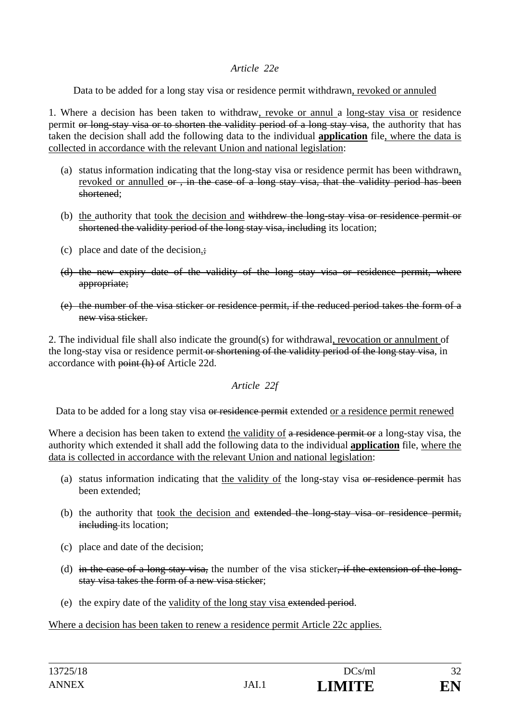### *Article 22e*

Data to be added for a long stay visa or residence permit withdrawn, revoked or annuled

1. Where a decision has been taken to withdraw, revoke or annul a long-stay visa or residence permit or long-stay visa or to shorten the validity period of a long stay visa, the authority that has taken the decision shall add the following data to the individual **application** file, where the data is collected in accordance with the relevant Union and national legislation:

- (a) status information indicating that the long-stay visa or residence permit has been withdrawn, revoked or annulled or, in the case of a long stay visa, that the validity period has been shortened;
- (b) the authority that took the decision and withdrew the long-stay visa or residence permit or shortened the validity period of the long stay visa, including its location;
- (c) place and date of the decision.;
- (d) the new expiry date of the validity of the long stay visa or residence permit, where appropriate;
- (e) the number of the visa sticker or residence permit, if the reduced period takes the form of a new visa sticker.

2. The individual file shall also indicate the ground(s) for withdrawal, revocation or annulment of the long-stay visa or residence permit or shortening of the validity period of the long stay visa, in accordance with point (h) of Article 22d.

*Article 22f* 

Data to be added for a long stay visa or residence permit extended or a residence permit renewed

Where a decision has been taken to extend the validity of a residence permit or a long-stay visa, the authority which extended it shall add the following data to the individual **application** file, where the data is collected in accordance with the relevant Union and national legislation:

- (a) status information indicating that the validity of the long-stay visa or residence permit has been extended;
- (b) the authority that took the decision and extended the long-stay visa or residence permit, including its location;
- (c) place and date of the decision;
- (d) in the case of a long stay visa, the number of the visa sticker, if the extension of the longstay visa takes the form of a new visa sticker;
- (e) the expiry date of the validity of the long stay visa extended period.

Where a decision has been taken to renew a residence permit Article 22c applies.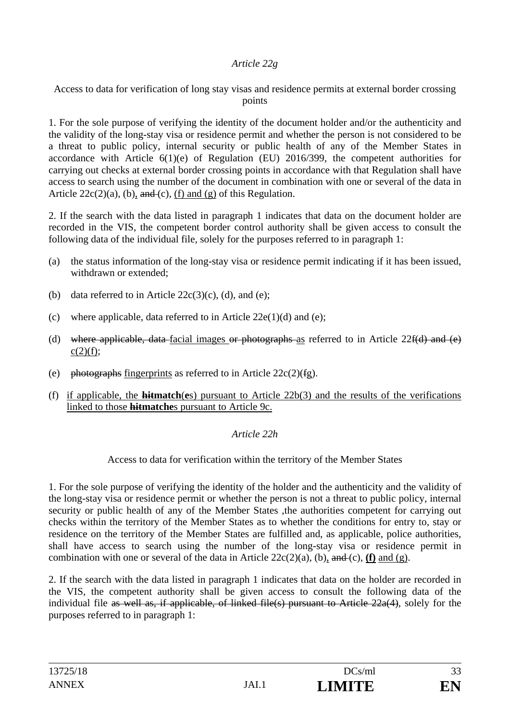## *Article 22g*

Access to data for verification of long stay visas and residence permits at external border crossing points

1. For the sole purpose of verifying the identity of the document holder and/or the authenticity and the validity of the long-stay visa or residence permit and whether the person is not considered to be a threat to public policy, internal security or public health of any of the Member States in accordance with Article 6(1)(e) of Regulation (EU) 2016/399, the competent authorities for carrying out checks at external border crossing points in accordance with that Regulation shall have access to search using the number of the document in combination with one or several of the data in Article  $22c(2)(a)$ , (b), and (c), (f) and (g) of this Regulation.

2. If the search with the data listed in paragraph 1 indicates that data on the document holder are recorded in the VIS, the competent border control authority shall be given access to consult the following data of the individual file, solely for the purposes referred to in paragraph 1:

- (a) the status information of the long-stay visa or residence permit indicating if it has been issued, withdrawn or extended;
- (b) data referred to in Article  $22c(3)(c)$ , (d), and (e);
- (c) where applicable, data referred to in Article  $22e(1)(d)$  and (e);
- (d) where applicable, data-facial images or photographs as referred to in Article  $22f(d)$  and (e)  $c(2)(f)$ ;
- (e) photographs fingerprints as referred to in Article  $22c(2)(fg)$ .
- (f) if applicable, the **hitmatch**(**e**s) pursuant to Article 22b(3) and the results of the verifications linked to those **hitmatche**s pursuant to Article 9c.

### *Article 22h*

Access to data for verification within the territory of the Member States

1. For the sole purpose of verifying the identity of the holder and the authenticity and the validity of the long-stay visa or residence permit or whether the person is not a threat to public policy, internal security or public health of any of the Member States ,the authorities competent for carrying out checks within the territory of the Member States as to whether the conditions for entry to, stay or residence on the territory of the Member States are fulfilled and, as applicable, police authorities, shall have access to search using the number of the long-stay visa or residence permit in combination with one or several of the data in Article  $22c(2)(a)$ , (b), and (c), **(f)** and (g).

2. If the search with the data listed in paragraph 1 indicates that data on the holder are recorded in the VIS, the competent authority shall be given access to consult the following data of the individual file as well as, if applicable, of linked file(s) pursuant to Article 22a(4), solely for the purposes referred to in paragraph 1: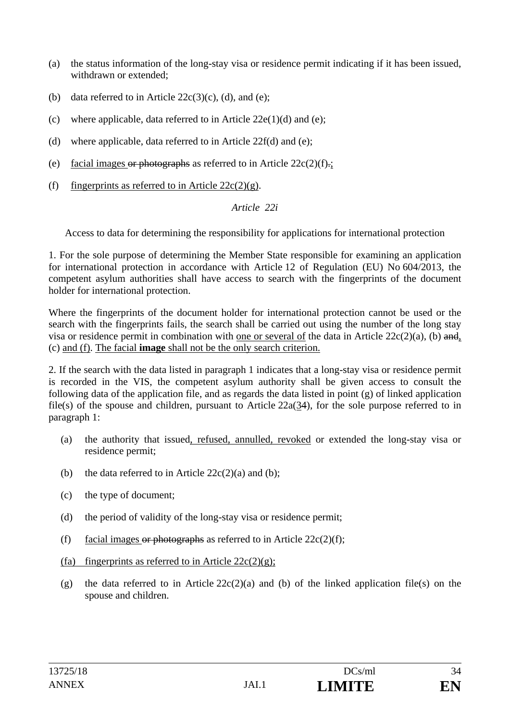- (a) the status information of the long-stay visa or residence permit indicating if it has been issued, withdrawn or extended;
- (b) data referred to in Article  $22c(3)(c)$ , (d), and (e);
- (c) where applicable, data referred to in Article  $22e(1)(d)$  and (e);
- (d) where applicable, data referred to in Article  $22f(d)$  and (e);
- (e) facial images or photographs as referred to in Article  $22c(2)(f)$ .;
- (f) fingerprints as referred to in Article  $22c(2)(g)$ .

*Article 22i* 

Access to data for determining the responsibility for applications for international protection

1. For the sole purpose of determining the Member State responsible for examining an application for international protection in accordance with Article 12 of Regulation (EU) No 604/2013, the competent asylum authorities shall have access to search with the fingerprints of the document holder for international protection.

Where the fingerprints of the document holder for international protection cannot be used or the search with the fingerprints fails, the search shall be carried out using the number of the long stay visa or residence permit in combination with one or several of the data in Article  $22c(2)(a)$ , (b) and, (c) and (f). The facial **image** shall not be the only search criterion.

2. If the search with the data listed in paragraph 1 indicates that a long-stay visa or residence permit is recorded in the VIS, the competent asylum authority shall be given access to consult the following data of the application file, and as regards the data listed in point (g) of linked application file(s) of the spouse and children, pursuant to Article 22a(34), for the sole purpose referred to in paragraph 1:

- (a) the authority that issued, refused, annulled, revoked or extended the long-stay visa or residence permit;
- (b) the data referred to in Article  $22c(2)(a)$  and (b);
- (c) the type of document;
- (d) the period of validity of the long-stay visa or residence permit;
- (f) facial images or photographs as referred to in Article  $22c(2)(f)$ ;
- (fa) fingerprints as referred to in Article  $22c(2)(g)$ ;
- (g) the data referred to in Article  $22c(2)(a)$  and (b) of the linked application file(s) on the spouse and children.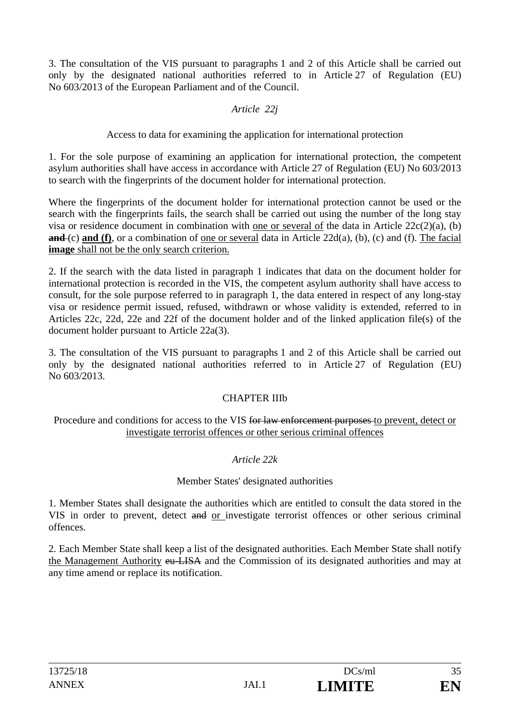3. The consultation of the VIS pursuant to paragraphs 1 and 2 of this Article shall be carried out only by the designated national authorities referred to in Article 27 of Regulation (EU) No 603/2013 of the European Parliament and of the Council.

## *Article 22j*

Access to data for examining the application for international protection

1. For the sole purpose of examining an application for international protection, the competent asylum authorities shall have access in accordance with Article 27 of Regulation (EU) No 603/2013 to search with the fingerprints of the document holder for international protection.

Where the fingerprints of the document holder for international protection cannot be used or the search with the fingerprints fails, the search shall be carried out using the number of the long stay visa or residence document in combination with one or several of the data in Article 22c(2)(a), (b) **and** (c) **and (f)**, or a combination of one or several data in Article 22d(a), (b), (c) and (f). The facial **image** shall not be the only search criterion.

2. If the search with the data listed in paragraph 1 indicates that data on the document holder for international protection is recorded in the VIS, the competent asylum authority shall have access to consult, for the sole purpose referred to in paragraph 1, the data entered in respect of any long-stay visa or residence permit issued, refused, withdrawn or whose validity is extended, referred to in Articles 22c, 22d, 22e and 22f of the document holder and of the linked application file(s) of the document holder pursuant to Article 22a(3).

3. The consultation of the VIS pursuant to paragraphs 1 and 2 of this Article shall be carried out only by the designated national authorities referred to in Article 27 of Regulation (EU) No 603/2013.

### CHAPTER IIIb

Procedure and conditions for access to the VIS for law enforcement purposes to prevent, detect or investigate terrorist offences or other serious criminal offences

# *Article 22k*

# Member States' designated authorities

1. Member States shall designate the authorities which are entitled to consult the data stored in the VIS in order to prevent, detect and or investigate terrorist offences or other serious criminal offences.

2. Each Member State shall keep a list of the designated authorities. Each Member State shall notify the Management Authority eu-LISA and the Commission of its designated authorities and may at any time amend or replace its notification.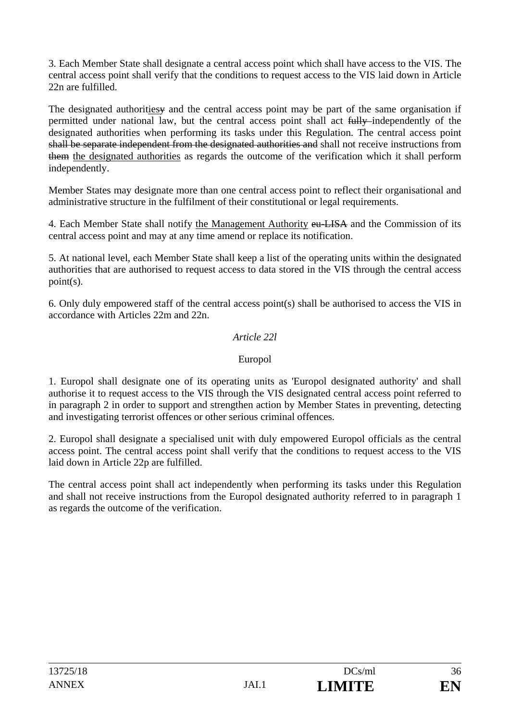3. Each Member State shall designate a central access point which shall have access to the VIS. The central access point shall verify that the conditions to request access to the VIS laid down in Article 22n are fulfilled.

The designated authorities and the central access point may be part of the same organisation if permitted under national law, but the central access point shall act fully independently of the designated authorities when performing its tasks under this Regulation. The central access point shall be separate independent from the designated authorities and shall not receive instructions from them the designated authorities as regards the outcome of the verification which it shall perform independently.

Member States may designate more than one central access point to reflect their organisational and administrative structure in the fulfilment of their constitutional or legal requirements.

4. Each Member State shall notify the Management Authority eu-LISA and the Commission of its central access point and may at any time amend or replace its notification.

5. At national level, each Member State shall keep a list of the operating units within the designated authorities that are authorised to request access to data stored in the VIS through the central access point(s).

6. Only duly empowered staff of the central access point(s) shall be authorised to access the VIS in accordance with Articles 22m and 22n.

### *Article 22l*

### Europol

1. Europol shall designate one of its operating units as 'Europol designated authority' and shall authorise it to request access to the VIS through the VIS designated central access point referred to in paragraph 2 in order to support and strengthen action by Member States in preventing, detecting and investigating terrorist offences or other serious criminal offences*.*

2. Europol shall designate a specialised unit with duly empowered Europol officials as the central access point. The central access point shall verify that the conditions to request access to the VIS laid down in Article 22p are fulfilled.

The central access point shall act independently when performing its tasks under this Regulation and shall not receive instructions from the Europol designated authority referred to in paragraph 1 as regards the outcome of the verification.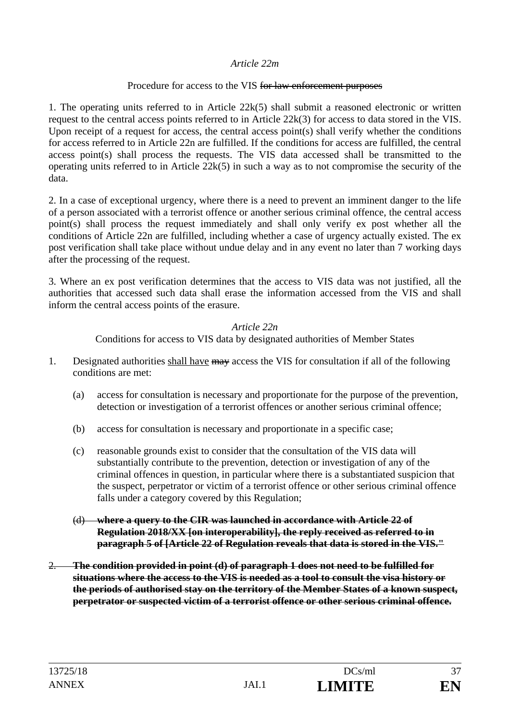#### *Article 22m*

### Procedure for access to the VIS for law enforcement purposes

1. The operating units referred to in Article 22k(5) shall submit a reasoned electronic or written request to the central access points referred to in Article 22k(3) for access to data stored in the VIS. Upon receipt of a request for access, the central access point(s) shall verify whether the conditions for access referred to in Article 22n are fulfilled. If the conditions for access are fulfilled, the central access point(s) shall process the requests. The VIS data accessed shall be transmitted to the operating units referred to in Article 22k(5) in such a way as to not compromise the security of the data.

2. In a case of exceptional urgency, where there is a need to prevent an imminent danger to the life of a person associated with a terrorist offence or another serious criminal offence, the central access point(s) shall process the request immediately and shall only verify ex post whether all the conditions of Article 22n are fulfilled, including whether a case of urgency actually existed. The ex post verification shall take place without undue delay and in any event no later than 7 working days after the processing of the request.

3. Where an ex post verification determines that the access to VIS data was not justified, all the authorities that accessed such data shall erase the information accessed from the VIS and shall inform the central access points of the erasure.

#### *Article 22n*

Conditions for access to VIS data by designated authorities of Member States

- 1. Designated authorities shall have may access the VIS for consultation if all of the following conditions are met:
	- (a) access for consultation is necessary and proportionate for the purpose of the prevention, detection or investigation of a terrorist offences or another serious criminal offence;
	- (b) access for consultation is necessary and proportionate in a specific case;
	- (c) reasonable grounds exist to consider that the consultation of the VIS data will substantially contribute to the prevention, detection or investigation of any of the criminal offences in question, in particular where there is a substantiated suspicion that the suspect, perpetrator or victim of a terrorist offence or other serious criminal offence falls under a category covered by this Regulation;
	- (d) **where a query to the CIR was launched in accordance with Article 22 of Regulation 2018/XX [on interoperability], the reply received as referred to in paragraph 5 of [Article 22 of Regulation reveals that data is stored in the VIS."**
- 2. **The condition provided in point (d) of paragraph 1 does not need to be fulfilled for situations where the access to the VIS is needed as a tool to consult the visa history or the periods of authorised stay on the territory of the Member States of a known suspect, perpetrator or suspected victim of a terrorist offence or other serious criminal offence.**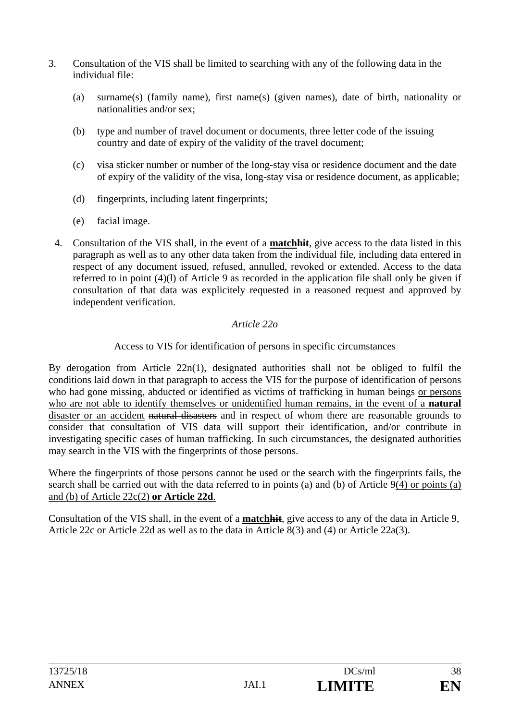- 3. Consultation of the VIS shall be limited to searching with any of the following data in the individual file:
	- (a) surname(s) (family name), first name(s) (given names), date of birth, nationality or nationalities and/or sex;
	- (b) type and number of travel document or documents, three letter code of the issuing country and date of expiry of the validity of the travel document;
	- (c) visa sticker number or number of the long-stay visa or residence document and the date of expiry of the validity of the visa, long-stay visa or residence document, as applicable;
	- (d) fingerprints, including latent fingerprints;
	- (e) facial image.
	- 4. Consultation of the VIS shall, in the event of a **matchhit**, give access to the data listed in this paragraph as well as to any other data taken from the individual file, including data entered in respect of any document issued, refused, annulled, revoked or extended. Access to the data referred to in point (4)(l) of Article 9 as recorded in the application file shall only be given if consultation of that data was explicitely requested in a reasoned request and approved by independent verification.

# *Article 22o*

# Access to VIS for identification of persons in specific circumstances

By derogation from Article 22n(1), designated authorities shall not be obliged to fulfil the conditions laid down in that paragraph to access the VIS for the purpose of identification of persons who had gone missing, abducted or identified as victims of trafficking in human beings or persons who are not able to identify themselves or unidentified human remains, in the event of a **natural** disaster or an accident natural disasters and in respect of whom there are reasonable grounds to consider that consultation of VIS data will support their identification, and/or contribute in investigating specific cases of human trafficking. In such circumstances, the designated authorities may search in the VIS with the fingerprints of those persons.

Where the fingerprints of those persons cannot be used or the search with the fingerprints fails, the search shall be carried out with the data referred to in points (a) and (b) of Article 9(4) or points (a) and (b) of Article 22c(2) **or Article 22d**.

Consultation of the VIS shall, in the event of a **matchhit**, give access to any of the data in Article 9, Article 22c or Article 22d as well as to the data in Article 8(3) and (4) or Article 22a(3).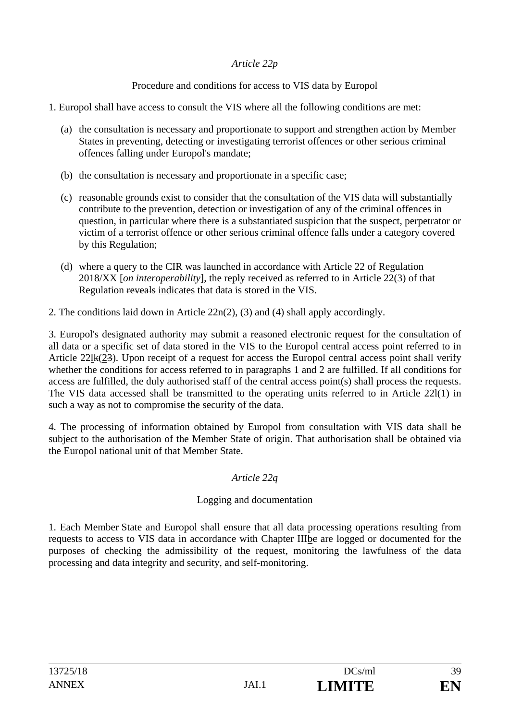# *Article 22p*

Procedure and conditions for access to VIS data by Europol

- 1. Europol shall have access to consult the VIS where all the following conditions are met:
	- (a) the consultation is necessary and proportionate to support and strengthen action by Member States in preventing, detecting or investigating terrorist offences or other serious criminal offences falling under Europol's mandate;
	- (b) the consultation is necessary and proportionate in a specific case;
	- (c) reasonable grounds exist to consider that the consultation of the VIS data will substantially contribute to the prevention, detection or investigation of any of the criminal offences in question, in particular where there is a substantiated suspicion that the suspect, perpetrator or victim of a terrorist offence or other serious criminal offence falls under a category covered by this Regulation;
	- (d) where a query to the CIR was launched in accordance with Article 22 of Regulation 2018/XX [*on interoperability*], the reply received as referred to in Article 22(3) of that Regulation reveals indicates that data is stored in the VIS.
- 2. The conditions laid down in Article 22n(2), (3) and (4) shall apply accordingly.

3. Europol's designated authority may submit a reasoned electronic request for the consultation of all data or a specific set of data stored in the VIS to the Europol central access point referred to in Article 22lk(23). Upon receipt of a request for access the Europol central access point shall verify whether the conditions for access referred to in paragraphs 1 and 2 are fulfilled. If all conditions for access are fulfilled, the duly authorised staff of the central access point(s) shall process the requests. The VIS data accessed shall be transmitted to the operating units referred to in Article 22l(1) in such a way as not to compromise the security of the data.

4. The processing of information obtained by Europol from consultation with VIS data shall be subject to the authorisation of the Member State of origin. That authorisation shall be obtained via the Europol national unit of that Member State.

# *Article 22q*

### Logging and documentation

1. Each Member State and Europol shall ensure that all data processing operations resulting from requests to access to VIS data in accordance with Chapter IIIbe are logged or documented for the purposes of checking the admissibility of the request, monitoring the lawfulness of the data processing and data integrity and security, and self-monitoring.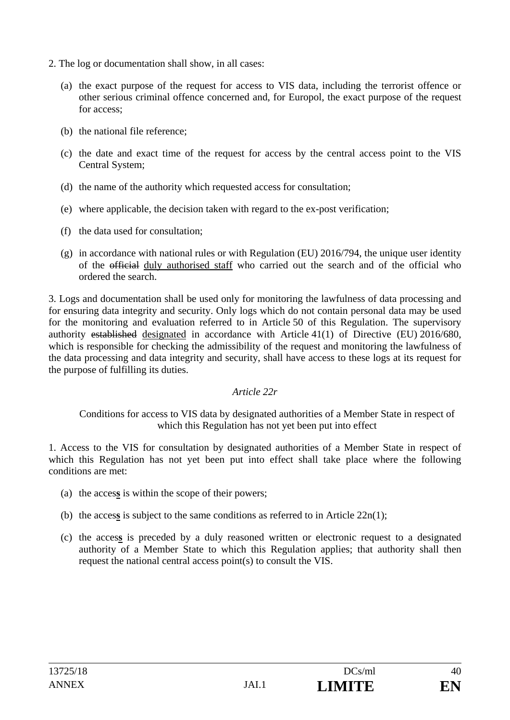- 2. The log or documentation shall show, in all cases:
	- (a) the exact purpose of the request for access to VIS data, including the terrorist offence or other serious criminal offence concerned and, for Europol, the exact purpose of the request for access;
	- (b) the national file reference;
	- (c) the date and exact time of the request for access by the central access point to the VIS Central System;
	- (d) the name of the authority which requested access for consultation;
	- (e) where applicable, the decision taken with regard to the ex-post verification;
	- (f) the data used for consultation;
	- (g) in accordance with national rules or with Regulation (EU) 2016/794, the unique user identity of the official duly authorised staff who carried out the search and of the official who ordered the search.

3. Logs and documentation shall be used only for monitoring the lawfulness of data processing and for ensuring data integrity and security. Only logs which do not contain personal data may be used for the monitoring and evaluation referred to in Article 50 of this Regulation. The supervisory authority established designated in accordance with Article 41(1) of Directive (EU) 2016/680, which is responsible for checking the admissibility of the request and monitoring the lawfulness of the data processing and data integrity and security, shall have access to these logs at its request for the purpose of fulfilling its duties.

#### *Article 22r*

Conditions for access to VIS data by designated authorities of a Member State in respect of which this Regulation has not yet been put into effect

1. Access to the VIS for consultation by designated authorities of a Member State in respect of which this Regulation has not yet been put into effect shall take place where the following conditions are met:

- (a) the acces**s** is within the scope of their powers;
- (b) the acces**s** is subject to the same conditions as referred to in Article 22n(1);
- (c) the acces**s** is preceded by a duly reasoned written or electronic request to a designated authority of a Member State to which this Regulation applies; that authority shall then request the national central access point(s) to consult the VIS.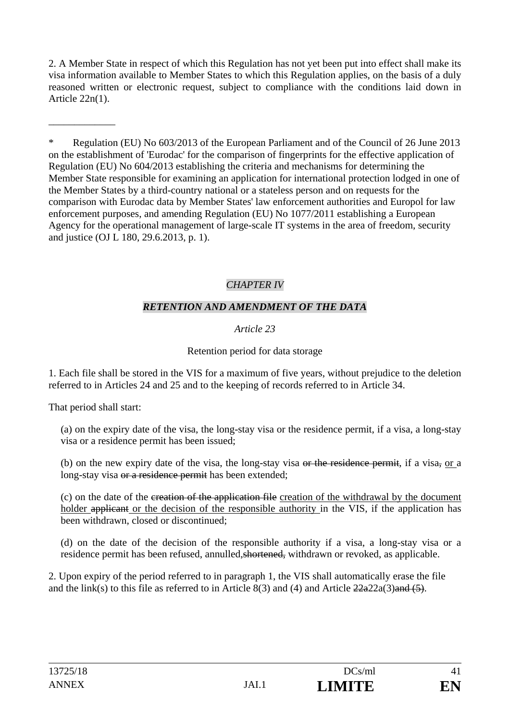2. A Member State in respect of which this Regulation has not yet been put into effect shall make its visa information available to Member States to which this Regulation applies, on the basis of a duly reasoned written or electronic request, subject to compliance with the conditions laid down in Article 22n(1).

\* Regulation (EU) No 603/2013 of the European Parliament and of the Council of 26 June 2013 on the establishment of 'Eurodac' for the comparison of fingerprints for the effective application of Regulation (EU) No 604/2013 establishing the criteria and mechanisms for determining the Member State responsible for examining an application for international protection lodged in one of the Member States by a third-country national or a stateless person and on requests for the comparison with Eurodac data by Member States' law enforcement authorities and Europol for law enforcement purposes, and amending Regulation (EU) No 1077/2011 establishing a European Agency for the operational management of large-scale IT systems in the area of freedom, security and justice (OJ L 180, 29.6.2013, p. 1).

# *CHAPTER IV*

# *RETENTION AND AMENDMENT OF THE DATA*

# *Article 23*

# Retention period for data storage

1. Each file shall be stored in the VIS for a maximum of five years, without prejudice to the deletion referred to in Articles 24 and 25 and to the keeping of records referred to in Article 34.

That period shall start:

\_\_\_\_\_\_\_\_\_\_\_\_\_

(a) on the expiry date of the visa, the long-stay visa or the residence permit, if a visa, a long-stay visa or a residence permit has been issued;

(b) on the new expiry date of the visa, the long-stay visa or the residence permit, if a visa, or a long-stay visa or a residence permit has been extended;

(c) on the date of the creation of the application file creation of the withdrawal by the document holder applicant or the decision of the responsible authority in the VIS, if the application has been withdrawn, closed or discontinued;

(d) on the date of the decision of the responsible authority if a visa, a long-stay visa or a residence permit has been refused, annulled,shortened, withdrawn or revoked, as applicable.

2. Upon expiry of the period referred to in paragraph 1, the VIS shall automatically erase the file and the link(s) to this file as referred to in Article 8(3) and (4) and Article  $22a22a(3)$  and  $(5)$ .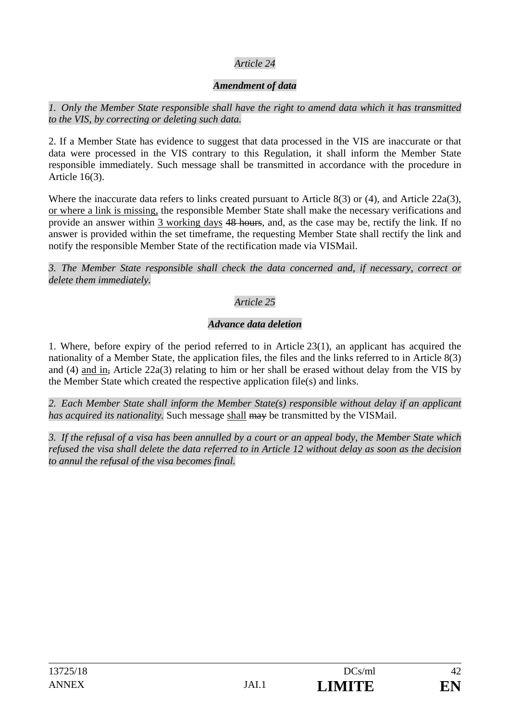# *Article 24*

# *Amendment of data*

*1. Only the Member State responsible shall have the right to amend data which it has transmitted to the VIS, by correcting or deleting such data.* 

2. If a Member State has evidence to suggest that data processed in the VIS are inaccurate or that data were processed in the VIS contrary to this Regulation, it shall inform the Member State responsible immediately. Such message shall be transmitted in accordance with the procedure in Article 16(3).

Where the inaccurate data refers to links created pursuant to Article 8(3) or (4), and Article 22a(3), or where a link is missing, the responsible Member State shall make the necessary verifications and provide an answer within 3 working days 48 hours, and, as the case may be, rectify the link. If no answer is provided within the set timeframe, the requesting Member State shall rectify the link and notify the responsible Member State of the rectification made via VISMail.

*3. The Member State responsible shall check the data concerned and, if necessary, correct or delete them immediately.* 

# *Article 25*

# *Advance data deletion*

1. Where, before expiry of the period referred to in Article 23(1), an applicant has acquired the nationality of a Member State, the application files, the files and the links referred to in Article 8(3) and (4) and in, Article 22a(3) relating to him or her shall be erased without delay from the VIS by the Member State which created the respective application file(s) and links.

*2. Each Member State shall inform the Member State(s) responsible without delay if an applicant has acquired its nationality.* Such message shall may be transmitted by the VISMail.

*3. If the refusal of a visa has been annulled by a court or an appeal body, the Member State which refused the visa shall delete the data referred to in Article 12 without delay as soon as the decision to annul the refusal of the visa becomes final.*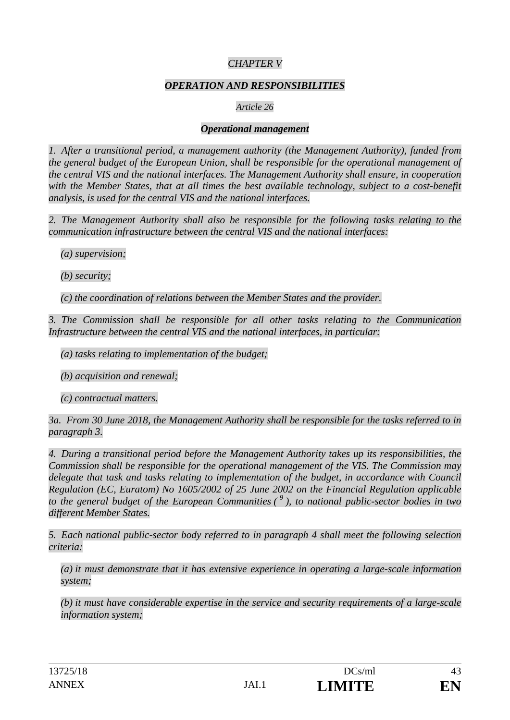# *CHAPTER V*

#### *OPERATION AND RESPONSIBILITIES*

#### *Article 26*

#### *Operational management*

*1. After a transitional period, a management authority (the Management Authority), funded from the general budget of the European Union, shall be responsible for the operational management of the central VIS and the national interfaces. The Management Authority shall ensure, in cooperation with the Member States, that at all times the best available technology, subject to a cost-benefit analysis, is used for the central VIS and the national interfaces.* 

*2. The Management Authority shall also be responsible for the following tasks relating to the communication infrastructure between the central VIS and the national interfaces:* 

*(a) supervision;* 

*(b) security;* 

*(c) the coordination of relations between the Member States and the provider.* 

*3. The Commission shall be responsible for all other tasks relating to the Communication Infrastructure between the central VIS and the national interfaces, in particular:* 

*(a) tasks relating to implementation of the budget;* 

*(b) acquisition and renewal;* 

*(c) contractual matters.* 

*3a. From 30 June 2018, the Management Authority shall be responsible for the tasks referred to in paragraph 3.* 

*4. During a transitional period before the Management Authority takes up its responsibilities, the Commission shall be responsible for the operational management of the VIS. The Commission may delegate that task and tasks relating to implementation of the budget, in accordance with Council Regulation (EC, Euratom) No 1605/2002 of 25 June 2002 on the Financial Regulation applicable to the general budget of the European Communities ( 9 ), to national public-sector bodies in two different Member States.* 

*5. Each national public-sector body referred to in paragraph 4 shall meet the following selection criteria:* 

*(a) it must demonstrate that it has extensive experience in operating a large-scale information system;* 

*(b) it must have considerable expertise in the service and security requirements of a large-scale information system;*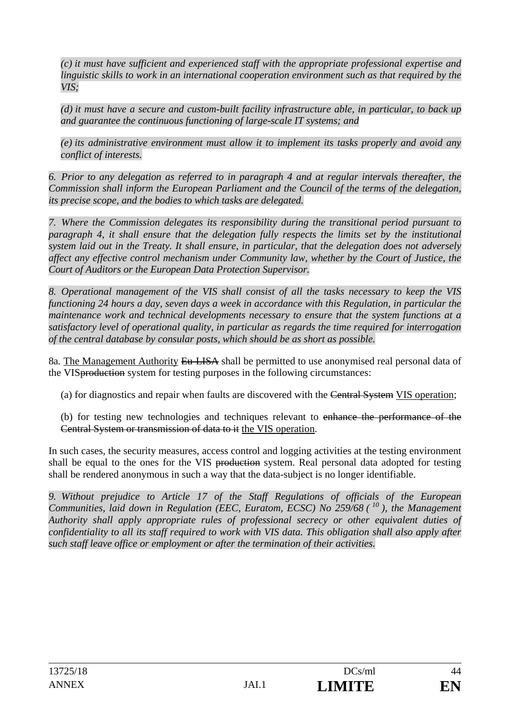*(c) it must have sufficient and experienced staff with the appropriate professional expertise and linguistic skills to work in an international cooperation environment such as that required by the VIS;* 

*(d) it must have a secure and custom-built facility infrastructure able, in particular, to back up and guarantee the continuous functioning of large-scale IT systems; and* 

*(e) its administrative environment must allow it to implement its tasks properly and avoid any conflict of interests.* 

*6. Prior to any delegation as referred to in paragraph 4 and at regular intervals thereafter, the Commission shall inform the European Parliament and the Council of the terms of the delegation, its precise scope, and the bodies to which tasks are delegated.* 

*7. Where the Commission delegates its responsibility during the transitional period pursuant to paragraph 4, it shall ensure that the delegation fully respects the limits set by the institutional system laid out in the Treaty. It shall ensure, in particular, that the delegation does not adversely affect any effective control mechanism under Community law, whether by the Court of Justice, the Court of Auditors or the European Data Protection Supervisor.* 

*8. Operational management of the VIS shall consist of all the tasks necessary to keep the VIS functioning 24 hours a day, seven days a week in accordance with this Regulation, in particular the maintenance work and technical developments necessary to ensure that the system functions at a satisfactory level of operational quality, in particular as regards the time required for interrogation of the central database by consular posts, which should be as short as possible.* 

8a*.* The Management Authority Eu-LISA shall be permitted to use anonymised real personal data of the VISproduction system for testing purposes in the following circumstances:

(a) for diagnostics and repair when faults are discovered with the Central System VIS operation;

(b) for testing new technologies and techniques relevant to enhance the performance of the Central System or transmission of data to it the VIS operation.

In such cases, the security measures, access control and logging activities at the testing environment shall be equal to the ones for the VIS production system. Real personal data adopted for testing shall be rendered anonymous in such a way that the data-subject is no longer identifiable.

*9. Without prejudice to Article 17 of the Staff Regulations of officials of the European Communities, laid down in Regulation (EEC, Euratom, ECSC) No 259/68 ( 10 ), the Management Authority shall apply appropriate rules of professional secrecy or other equivalent duties of confidentiality to all its staff required to work with VIS data. This obligation shall also apply after such staff leave office or employment or after the termination of their activities.*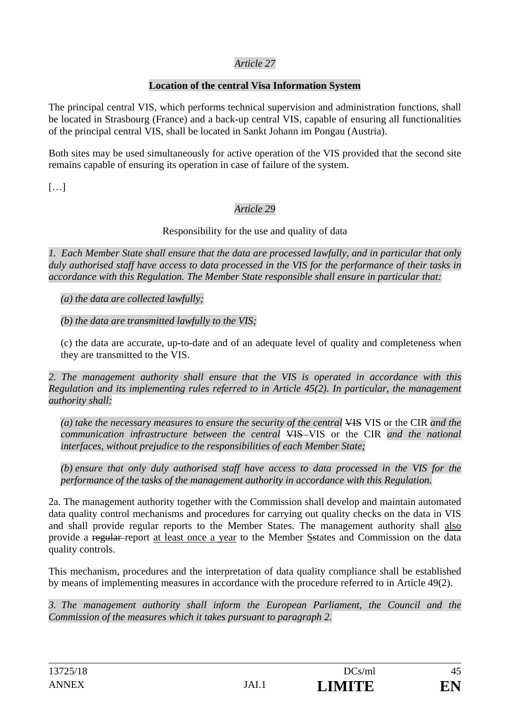# *Article 27*

# **Location of the central Visa Information System**

The principal central VIS, which performs technical supervision and administration functions, shall be located in Strasbourg (France) and a back-up central VIS, capable of ensuring all functionalities of the principal central VIS, shall be located in Sankt Johann im Pongau (Austria).

Both sites may be used simultaneously for active operation of the VIS provided that the second site remains capable of ensuring its operation in case of failure of the system.

 $[...]$ 

# *Article 29*

# Responsibility for the use and quality of data

*1. Each Member State shall ensure that the data are processed lawfully, and in particular that only duly authorised staff have access to data processed in the VIS for the performance of their tasks in accordance with this Regulation. The Member State responsible shall ensure in particular that:* 

*(a) the data are collected lawfully;* 

*(b) the data are transmitted lawfully to the VIS;* 

(c) the data are accurate, up-to-date and of an adequate level of quality and completeness when they are transmitted to the VIS.

*2. The management authority shall ensure that the VIS is operated in accordance with this Regulation and its implementing rules referred to in Article 45(2). In particular, the management authority shall:* 

*(a) take the necessary measures to ensure the security of the central* VIS VIS or the CIR *and the communication infrastructure between the central* VIS VIS or the CIR *and the national interfaces, without prejudice to the responsibilities of each Member State;* 

*(b) ensure that only duly authorised staff have access to data processed in the VIS for the performance of the tasks of the management authority in accordance with this Regulation.* 

2a. The management authority together with the Commission shall develop and maintain automated data quality control mechanisms and procedures for carrying out quality checks on the data in VIS and shall provide regular reports to the Member States. The management authority shall also provide a regular report at least once a year to the Member Sstates and Commission on the data quality controls.

This mechanism, procedures and the interpretation of data quality compliance shall be established by means of implementing measures in accordance with the procedure referred to in Article 49(2).

*3. The management authority shall inform the European Parliament, the Council and the Commission of the measures which it takes pursuant to paragraph 2.*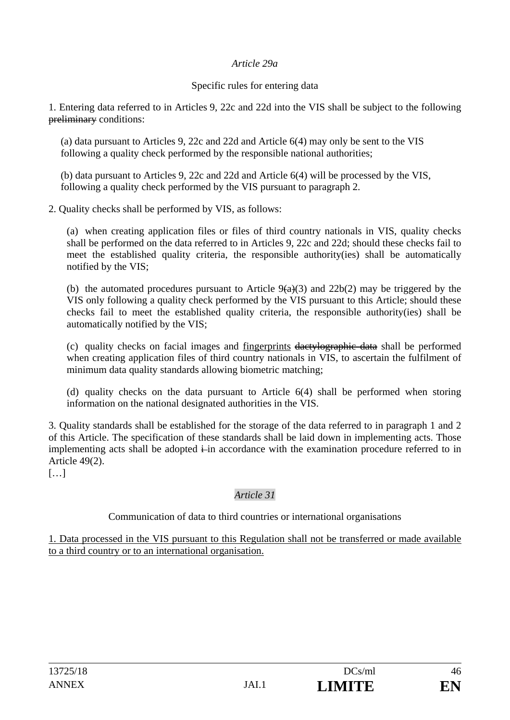#### *Article 29a*

### Specific rules for entering data

1. Entering data referred to in Articles 9, 22c and 22d into the VIS shall be subject to the following preliminary conditions:

(a) data pursuant to Articles 9, 22c and 22d and Article 6(4) may only be sent to the VIS following a quality check performed by the responsible national authorities;

(b) data pursuant to Articles 9, 22c and 22d and Article 6(4) will be processed by the VIS, following a quality check performed by the VIS pursuant to paragraph 2.

2. Quality checks shall be performed by VIS, as follows:

(a) when creating application files or files of third country nationals in VIS, quality checks shall be performed on the data referred to in Articles 9, 22c and 22d; should these checks fail to meet the established quality criteria, the responsible authority(ies) shall be automatically notified by the VIS;

(b) the automated procedures pursuant to Article  $9(a)(3)$  and  $22b(2)$  may be triggered by the VIS only following a quality check performed by the VIS pursuant to this Article; should these checks fail to meet the established quality criteria, the responsible authority(ies) shall be automatically notified by the VIS;

(c) quality checks on facial images and fingerprints dactylographic data shall be performed when creating application files of third country nationals in VIS, to ascertain the fulfilment of minimum data quality standards allowing biometric matching;

(d) quality checks on the data pursuant to Article 6(4) shall be performed when storing information on the national designated authorities in the VIS.

3. Quality standards shall be established for the storage of the data referred to in paragraph 1 and 2 of this Article. The specification of these standards shall be laid down in implementing acts. Those implementing acts shall be adopted  $\frac{1}{k}$  in accordance with the examination procedure referred to in Article 49(2).

 $[...]$ 

# *Article 31*

Communication of data to third countries or international organisations

1. Data processed in the VIS pursuant to this Regulation shall not be transferred or made available to a third country or to an international organisation.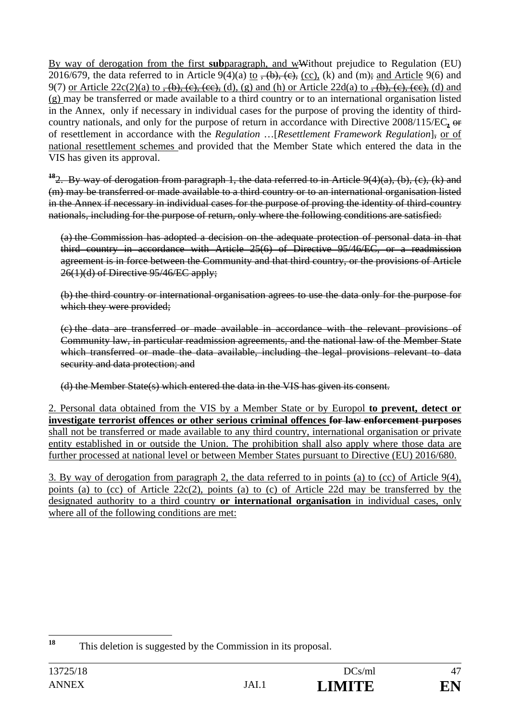By way of derogation from the first **sub**paragraph, and wWithout prejudice to Regulation (EU) 2016/679, the data referred to in Article  $9(4)(a)$  to  $\overline{, (b), (c), (c)}$ , (k) and (m); and Article 9(6) and 9(7) or Article  $22c(2)(a)$  to  $\overline{f(b)}, \overline{(e)}, \overline{(ee)},$  (d), (g) and (h) or Article  $22d(a)$  to  $\overline{f(b)}, \overline{(e)}, \overline{(ee)},$  (d) and (g) may be transferred or made available to a third country or to an international organisation listed in the Annex, only if necessary in individual cases for the purpose of proving the identity of thirdcountry nationals, and only for the purpose of return in accordance with Directive 2008/115/EC**,** or of resettlement in accordance with the *Regulation* …[*Resettlement Framework Regulation*], or of national resettlement schemes and provided that the Member State which entered the data in the VIS has given its approval.

**<sup>18</sup>**2. By way of derogation from paragraph 1, the data referred to in Article 9(4)(a), (b), (c), (k) and (m) may be transferred or made available to a third country or to an international organisation listed in the Annex if necessary in individual cases for the purpose of proving the identity of third-country nationals, including for the purpose of return, only where the following conditions are satisfied:

(a) the Commission has adopted a decision on the adequate protection of personal data in that third country in accordance with Article 25(6) of Directive 95/46/EC, or a readmission agreement is in force between the Community and that third country, or the provisions of Article 26(1)(d) of Directive 95/46/EC apply;

(b) the third country or international organisation agrees to use the data only for the purpose for which they were provided:

(c) the data are transferred or made available in accordance with the relevant provisions of Community law, in particular readmission agreements, and the national law of the Member State which transferred or made the data available, including the legal provisions relevant to data security and data protection; and

(d) the Member State(s) which entered the data in the VIS has given its consent.

2. Personal data obtained from the VIS by a Member State or by Europol **to prevent, detect or investigate terrorist offences or other serious criminal offences for law enforcement purposes** shall not be transferred or made available to any third country, international organisation or private entity established in or outside the Union. The prohibition shall also apply where those data are further processed at national level or between Member States pursuant to Directive (EU) 2016/680.

3. By way of derogation from paragraph 2, the data referred to in points (a) to (cc) of Article 9(4), points (a) to (cc) of Article 22c(2), points (a) to (c) of Article 22d may be transferred by the designated authority to a third country **or international organisation** in individual cases, only where all of the following conditions are met:

<sup>18</sup> This deletion is suggested by the Commission in its proposal.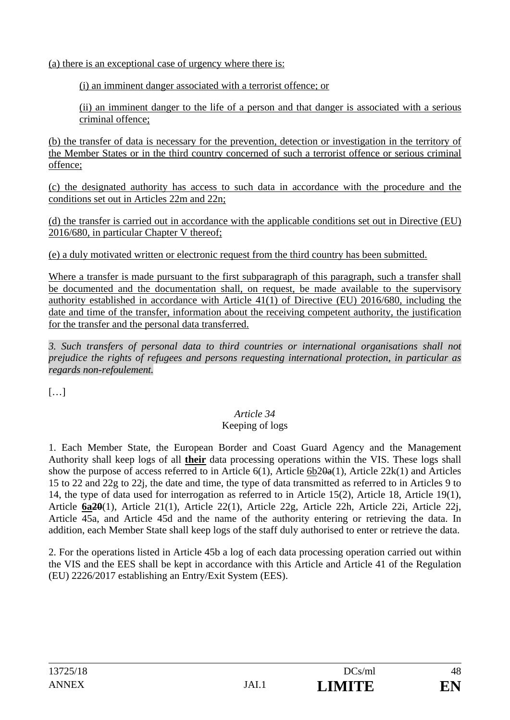(a) there is an exceptional case of urgency where there is:

(i) an imminent danger associated with a terrorist offence; or

(ii) an imminent danger to the life of a person and that danger is associated with a serious criminal offence;

(b) the transfer of data is necessary for the prevention, detection or investigation in the territory of the Member States or in the third country concerned of such a terrorist offence or serious criminal offence;

(c) the designated authority has access to such data in accordance with the procedure and the conditions set out in Articles 22m and 22n;

(d) the transfer is carried out in accordance with the applicable conditions set out in Directive (EU) 2016/680, in particular Chapter V thereof;

(e) a duly motivated written or electronic request from the third country has been submitted.

Where a transfer is made pursuant to the first subparagraph of this paragraph, such a transfer shall be documented and the documentation shall, on request, be made available to the supervisory authority established in accordance with Article 41(1) of Directive (EU) 2016/680, including the date and time of the transfer, information about the receiving competent authority, the justification for the transfer and the personal data transferred.

*3. Such transfers of personal data to third countries or international organisations shall not prejudice the rights of refugees and persons requesting international protection, in particular as regards non-refoulement.* 

 $[...]$ 

#### *Article 34*  Keeping of logs

1. Each Member State, the European Border and Coast Guard Agency and the Management Authority shall keep logs of all **their** data processing operations within the VIS. These logs shall show the purpose of access referred to in Article 6(1), Article  $6b2\theta a(1)$ , Article 22k(1) and Articles 15 to 22 and 22g to 22j, the date and time, the type of data transmitted as referred to in Articles 9 to 14, the type of data used for interrogation as referred to in Article 15(2), Article 18, Article 19(1), Article **6a20**(1), Article 21(1), Article 22(1), Article 22g, Article 22h, Article 22i, Article 22j, Article 45a, and Article 45d and the name of the authority entering or retrieving the data. In addition, each Member State shall keep logs of the staff duly authorised to enter or retrieve the data.

2. For the operations listed in Article 45b a log of each data processing operation carried out within the VIS and the EES shall be kept in accordance with this Article and Article 41 of the Regulation (EU) 2226/2017 establishing an Entry/Exit System (EES).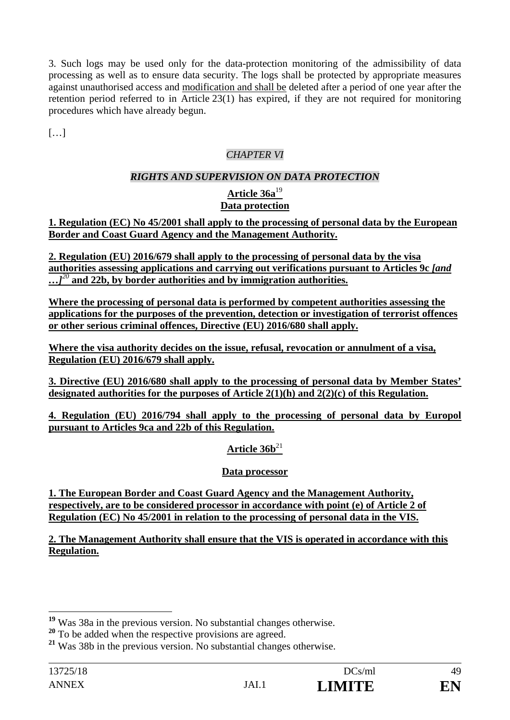3. Such logs may be used only for the data-protection monitoring of the admissibility of data processing as well as to ensure data security. The logs shall be protected by appropriate measures against unauthorised access and modification and shall be deleted after a period of one year after the retention period referred to in Article 23(1) has expired, if they are not required for monitoring procedures which have already begun.

 $[...]$ 

# *CHAPTER VI*

# *RIGHTS AND SUPERVISION ON DATA PROTECTION*

### **Article 36a**<sup>19</sup> **Data protection**

**1. Regulation (EC) No 45/2001 shall apply to the processing of personal data by the European Border and Coast Guard Agency and the Management Authority.** 

**2. Regulation (EU) 2016/679 shall apply to the processing of personal data by the visa authorities assessing applications and carrying out verifications pursuant to Articles 9c** *[and …]<sup>20</sup>* **and 22b, by border authorities and by immigration authorities.** 

**Where the processing of personal data is performed by competent authorities assessing the applications for the purposes of the prevention, detection or investigation of terrorist offences or other serious criminal offences, Directive (EU) 2016/680 shall apply.** 

**Where the visa authority decides on the issue, refusal, revocation or annulment of a visa, Regulation (EU) 2016/679 shall apply.** 

**3. Directive (EU) 2016/680 shall apply to the processing of personal data by Member States' designated authorities for the purposes of Article 2(1)(h) and 2(2)(c) of this Regulation.** 

**4. Regulation (EU) 2016/794 shall apply to the processing of personal data by Europol pursuant to Articles 9ca and 22b of this Regulation.** 

# Article  $36b^{21}$

# **Data processor**

**1. The European Border and Coast Guard Agency and the Management Authority, respectively, are to be considered processor in accordance with point (e) of Article 2 of Regulation (EC) No 45/2001 in relation to the processing of personal data in the VIS.** 

**2. The Management Authority shall ensure that the VIS is operated in accordance with this Regulation.** 

 $\overline{a}$ 

**<sup>19</sup>** Was 38a in the previous version. No substantial changes otherwise.

<sup>&</sup>lt;sup>20</sup> To be added when the respective provisions are agreed.

**<sup>21</sup>** Was 38b in the previous version. No substantial changes otherwise.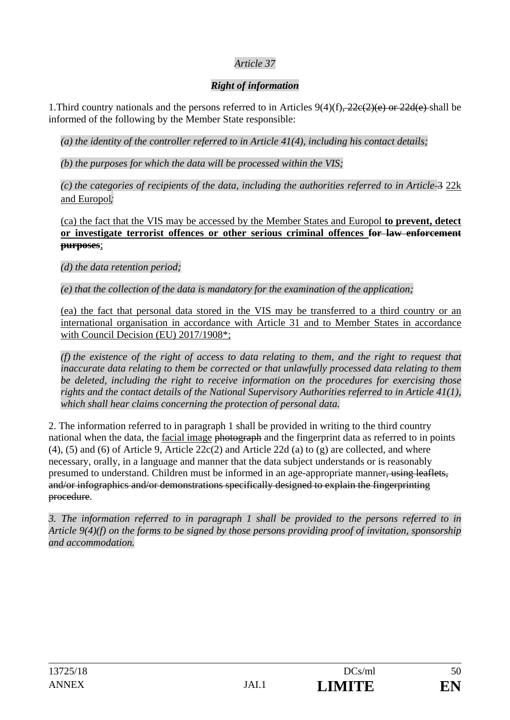# *Article 37*

# *Right of information*

1. Third country nationals and the persons referred to in Articles  $9(4)(f)$ ,  $22e(2)(e)$  or  $22d(e)$  shall be informed of the following by the Member State responsible:

*(a) the identity of the controller referred to in Article 41(4), including his contact details;* 

*(b) the purposes for which the data will be processed within the VIS;* 

*(c) the categories of recipients of the data, including the authorities referred to in Article* 3 22k and Europol*;* 

(ca) the fact that the VIS may be accessed by the Member States and Europol **to prevent, detect or investigate terrorist offences or other serious criminal offences for law enforcement purposes**;

*(d) the data retention period;* 

*(e) that the collection of the data is mandatory for the examination of the application;* 

(ea) the fact that personal data stored in the VIS may be transferred to a third country or an international organisation in accordance with Article 31 and to Member States in accordance with Council Decision (EU) 2017/1908\*;

*(f) the existence of the right of access to data relating to them, and the right to request that inaccurate data relating to them be corrected or that unlawfully processed data relating to them be deleted, including the right to receive information on the procedures for exercising those rights and the contact details of the National Supervisory Authorities referred to in Article 41(1), which shall hear claims concerning the protection of personal data.* 

2. The information referred to in paragraph 1 shall be provided in writing to the third country national when the data, the facial image photograph and the fingerprint data as referred to in points (4), (5) and (6) of Article 9, Article 22c(2) and Article 22d (a) to (g) are collected, and where necessary, orally, in a language and manner that the data subject understands or is reasonably presumed to understand. Children must be informed in an age-appropriate manner, using leaflets, and/or infographics and/or demonstrations specifically designed to explain the fingerprinting procedure.

*3. The information referred to in paragraph 1 shall be provided to the persons referred to in Article 9(4)(f) on the forms to be signed by those persons providing proof of invitation, sponsorship and accommodation.*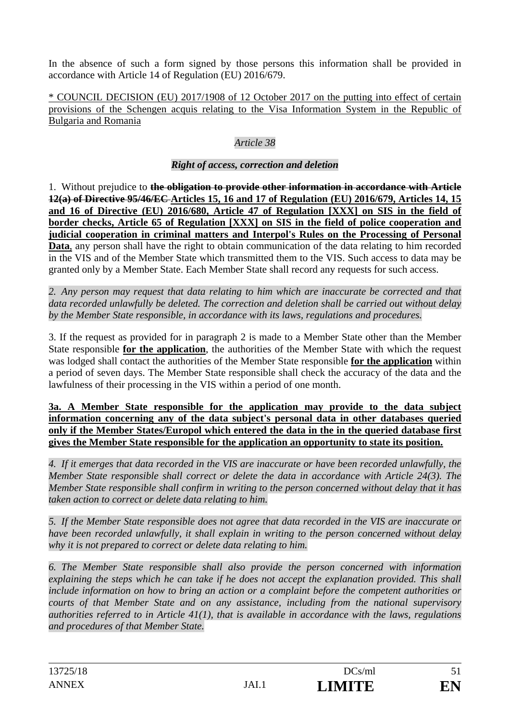In the absence of such a form signed by those persons this information shall be provided in accordance with Article 14 of Regulation (EU) 2016/679.

\* COUNCIL DECISION (EU) 2017/1908 of 12 October 2017 on the putting into effect of certain provisions of the Schengen acquis relating to the Visa Information System in the Republic of Bulgaria and Romania

# *Article 38*

# *Right of access, correction and deletion*

1. Without prejudice to **the obligation to provide other information in accordance with Article 12(a) of Directive 95/46/EC Articles 15, 16 and 17 of Regulation (EU) 2016/679, Articles 14, 15 and 16 of Directive (EU) 2016/680, Article 47 of Regulation [XXX] on SIS in the field of border checks, Article 65 of Regulation [XXX] on SIS in the field of police cooperation and judicial cooperation in criminal matters and Interpol's Rules on the Processing of Personal**  Data, any person shall have the right to obtain communication of the data relating to him recorded in the VIS and of the Member State which transmitted them to the VIS. Such access to data may be granted only by a Member State. Each Member State shall record any requests for such access.

*2. Any person may request that data relating to him which are inaccurate be corrected and that data recorded unlawfully be deleted. The correction and deletion shall be carried out without delay by the Member State responsible, in accordance with its laws, regulations and procedures.* 

3. If the request as provided for in paragraph 2 is made to a Member State other than the Member State responsible **for the application**, the authorities of the Member State with which the request was lodged shall contact the authorities of the Member State responsible **for the application** within a period of seven days. The Member State responsible shall check the accuracy of the data and the lawfulness of their processing in the VIS within a period of one month.

**3a. A Member State responsible for the application may provide to the data subject information concerning any of the data subject's personal data in other databases queried only if the Member States/Europol which entered the data in the in the queried database first gives the Member State responsible for the application an opportunity to state its position.** 

*4. If it emerges that data recorded in the VIS are inaccurate or have been recorded unlawfully, the Member State responsible shall correct or delete the data in accordance with Article 24(3). The Member State responsible shall confirm in writing to the person concerned without delay that it has taken action to correct or delete data relating to him.* 

*5. If the Member State responsible does not agree that data recorded in the VIS are inaccurate or have been recorded unlawfully, it shall explain in writing to the person concerned without delay why it is not prepared to correct or delete data relating to him.* 

*6. The Member State responsible shall also provide the person concerned with information*  explaining the steps which he can take if he does not accept the explanation provided. This shall *include information on how to bring an action or a complaint before the competent authorities or courts of that Member State and on any assistance, including from the national supervisory authorities referred to in Article 41(1), that is available in accordance with the laws, regulations and procedures of that Member State.*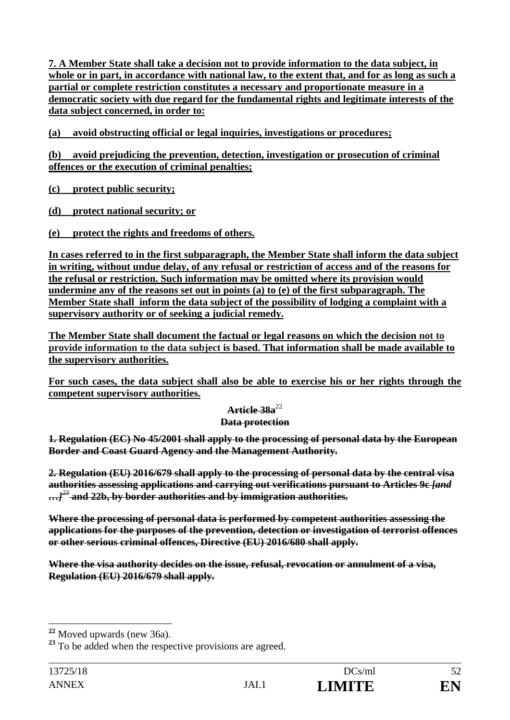**7. A Member State shall take a decision not to provide information to the data subject, in whole or in part, in accordance with national law, to the extent that, and for as long as such a partial or complete restriction constitutes a necessary and proportionate measure in a democratic society with due regard for the fundamental rights and legitimate interests of the data subject concerned, in order to:** 

**(a) avoid obstructing official or legal inquiries, investigations or procedures;** 

**(b) avoid prejudicing the prevention, detection, investigation or prosecution of criminal offences or the execution of criminal penalties;** 

**(c) protect public security;** 

**(d) protect national security; or** 

**(e) protect the rights and freedoms of others.** 

**In cases referred to in the first subparagraph, the Member State shall inform the data subject in writing, without undue delay, of any refusal or restriction of access and of the reasons for the refusal or restriction. Such information may be omitted where its provision would undermine any of the reasons set out in points (a) to (e) of the first subparagraph. The Member State shall inform the data subject of the possibility of lodging a complaint with a supervisory authority or of seeking a judicial remedy.** 

**The Member State shall document the factual or legal reasons on which the decision not to provide information to the data subject is based. That information shall be made available to the supervisory authorities.** 

**For such cases, the data subject shall also be able to exercise his or her rights through the competent supervisory authorities.** 

### **Article 38a**<sup>22</sup>

### **Data protection**

**1. Regulation (EC) No 45/2001 shall apply to the processing of personal data by the European Border and Coast Guard Agency and the Management Authority.** 

**2. Regulation (EU) 2016/679 shall apply to the processing of personal data by the central visa authorities assessing applications and carrying out verifications pursuant to Articles 9c** *[and …]<sup>23</sup>* **and 22b, by border authorities and by immigration authorities.** 

**Where the processing of personal data is performed by competent authorities assessing the applications for the purposes of the prevention, detection or investigation of terrorist offences or other serious criminal offences, Directive (EU) 2016/680 shall apply.** 

**Where the visa authority decides on the issue, refusal, revocation or annulment of a visa, Regulation (EU) 2016/679 shall apply.** 

 $\overline{a}$ 

**<sup>22</sup>** Moved upwards (new 36a).

<sup>&</sup>lt;sup>23</sup> To be added when the respective provisions are agreed.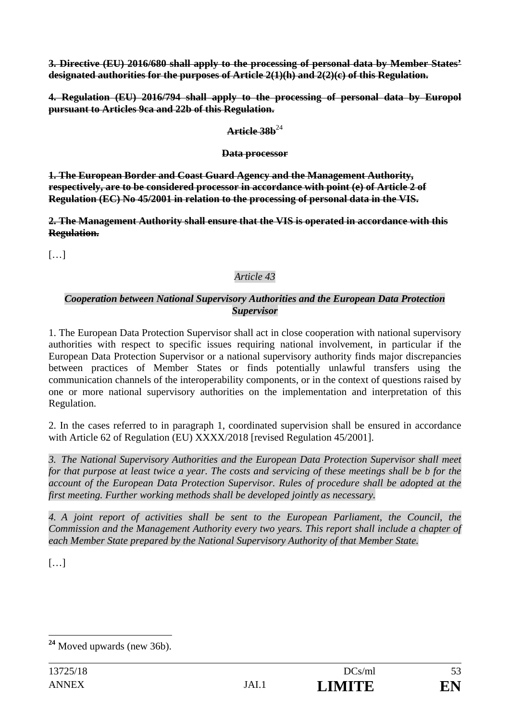**3. Directive (EU) 2016/680 shall apply to the processing of personal data by Member States' designated authorities for the purposes of Article 2(1)(h) and 2(2)(c) of this Regulation.** 

**4. Regulation (EU) 2016/794 shall apply to the processing of personal data by Europol pursuant to Articles 9ca and 22b of this Regulation.** 

### $Artiela$  38 $h^{24}$

### **Data processor**

**1. The European Border and Coast Guard Agency and the Management Authority, respectively, are to be considered processor in accordance with point (e) of Article 2 of Regulation (EC) No 45/2001 in relation to the processing of personal data in the VIS.** 

**2. The Management Authority shall ensure that the VIS is operated in accordance with this Regulation.** 

[…]

# *Article 43*

### *Cooperation between National Supervisory Authorities and the European Data Protection Supervisor*

1. The European Data Protection Supervisor shall act in close cooperation with national supervisory authorities with respect to specific issues requiring national involvement, in particular if the European Data Protection Supervisor or a national supervisory authority finds major discrepancies between practices of Member States or finds potentially unlawful transfers using the communication channels of the interoperability components, or in the context of questions raised by one or more national supervisory authorities on the implementation and interpretation of this Regulation.

2. In the cases referred to in paragraph 1, coordinated supervision shall be ensured in accordance with Article 62 of Regulation (EU) XXXX/2018 [revised Regulation 45/2001].

*3. The National Supervisory Authorities and the European Data Protection Supervisor shall meet for that purpose at least twice a year. The costs and servicing of these meetings shall be b for the account of the European Data Protection Supervisor. Rules of procedure shall be adopted at the first meeting. Further working methods shall be developed jointly as necessary.* 

*4. A joint report of activities shall be sent to the European Parliament, the Council, the Commission and the Management Authority every two years. This report shall include a chapter of each Member State prepared by the National Supervisory Authority of that Member State.* 

 $[\dots]$ 

 $\overline{a}$ **<sup>24</sup>** Moved upwards (new 36b).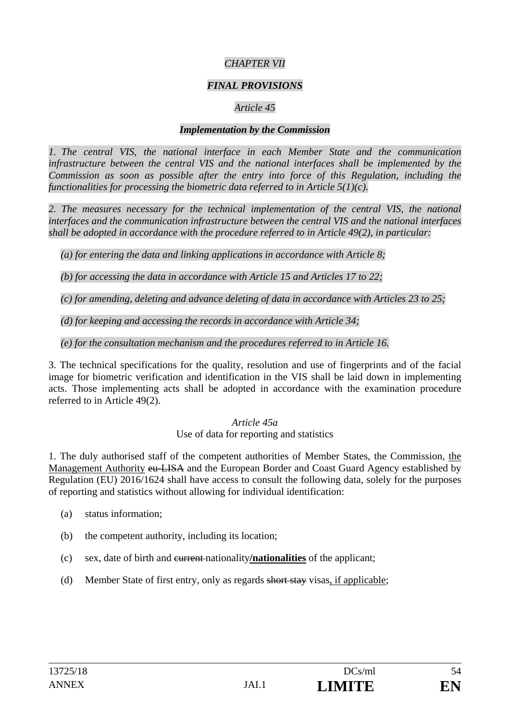# *CHAPTER VII*

### *FINAL PROVISIONS*

# *Article 45*

#### *Implementation by the Commission*

*1. The central VIS, the national interface in each Member State and the communication infrastructure between the central VIS and the national interfaces shall be implemented by the Commission as soon as possible after the entry into force of this Regulation, including the functionalities for processing the biometric data referred to in Article 5(1)(c).* 

*2. The measures necessary for the technical implementation of the central VIS, the national interfaces and the communication infrastructure between the central VIS and the national interfaces shall be adopted in accordance with the procedure referred to in Article 49(2), in particular:* 

*(a) for entering the data and linking applications in accordance with Article 8;* 

*(b) for accessing the data in accordance with Article 15 and Articles 17 to 22;* 

*(c) for amending, deleting and advance deleting of data in accordance with Articles 23 to 25;* 

*(d) for keeping and accessing the records in accordance with Article 34;* 

*(e) for the consultation mechanism and the procedures referred to in Article 16.* 

3. The technical specifications for the quality, resolution and use of fingerprints and of the facial image for biometric verification and identification in the VIS shall be laid down in implementing acts. Those implementing acts shall be adopted in accordance with the examination procedure referred to in Article 49(2).

### *Article 45a*

# Use of data for reporting and statistics

1. The duly authorised staff of the competent authorities of Member States, the Commission, the Management Authority eu-LISA and the European Border and Coast Guard Agency established by Regulation (EU) 2016/1624 shall have access to consult the following data, solely for the purposes of reporting and statistics without allowing for individual identification:

- (a) status information;
- (b) the competent authority, including its location;
- (c) sex, date of birth and current nationality**/nationalities** of the applicant;
- (d) Member State of first entry, only as regards short stay visas, if applicable;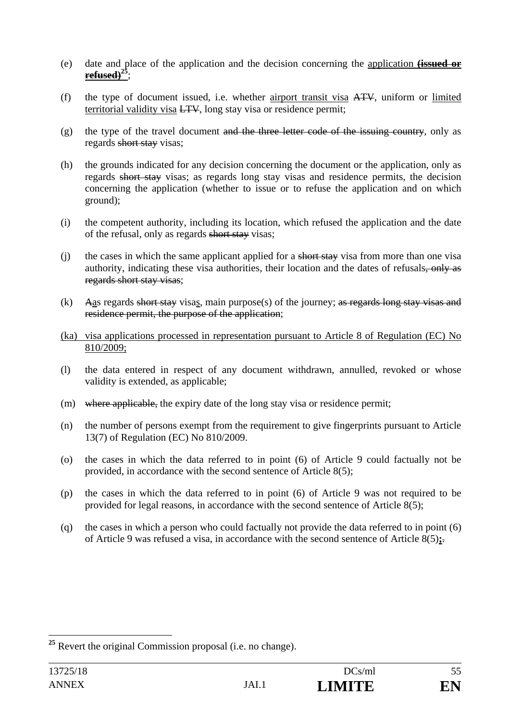- (e) date and place of the application and the decision concerning the application **(issued or refused)25**;
- (f) the type of document issued, i.e. whether airport transit visa ATV, uniform or limited territorial validity visa LTV, long stay visa or residence permit;
- $(g)$  the type of the travel document and the three letter code of the issuing country, only as regards short stay visas;
- (h) the grounds indicated for any decision concerning the document or the application, only as regards short stay visas; as regards long stay visas and residence permits, the decision concerning the application (whether to issue or to refuse the application and on which ground);
- (i) the competent authority, including its location, which refused the application and the date of the refusal, only as regards short stay visas;
- (i) the cases in which the same applicant applied for a short stay visa from more than one visa authority, indicating these visa authorities, their location and the dates of refusals. regards short stay visas;
- (k) Aas regards short stay visas, main purpose(s) of the journey; as regards long stay visas and residence permit, the purpose of the application;
- (ka) visa applications processed in representation pursuant to Article 8 of Regulation (EC) No 810/2009;
- (l) the data entered in respect of any document withdrawn, annulled, revoked or whose validity is extended, as applicable;
- (m) where applicable, the expiry date of the long stay visa or residence permit;
- (n) the number of persons exempt from the requirement to give fingerprints pursuant to Article 13(7) of Regulation (EC) No 810/2009.
- (o) the cases in which the data referred to in point (6) of Article 9 could factually not be provided, in accordance with the second sentence of Article 8(5);
- (p) the cases in which the data referred to in point (6) of Article 9 was not required to be provided for legal reasons, in accordance with the second sentence of Article 8(5);
- (q) the cases in which a person who could factually not provide the data referred to in point (6) of Article 9 was refused a visa, in accordance with the second sentence of Article 8(5)**;**.

 $\overline{a}$ 

**<sup>25</sup>** Revert the original Commission proposal (i.e. no change).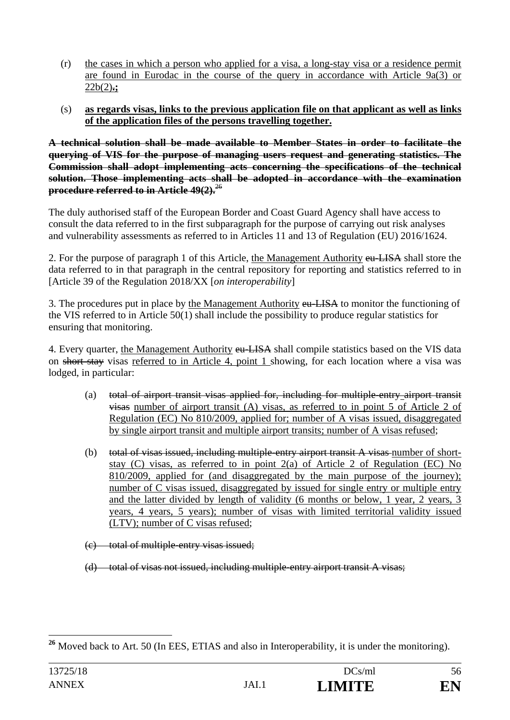- (r) the cases in which a person who applied for a visa, a long-stay visa or a residence permit are found in Eurodac in the course of the query in accordance with Article 9a(3) or 22b(2)**.;**
- (s) **as regards visas, links to the previous application file on that applicant as well as links of the application files of the persons travelling together.**

**A technical solution shall be made available to Member States in order to facilitate the querying of VIS for the purpose of managing users request and generating statistics. The Commission shall adopt implementing acts concerning the specifications of the technical solution. Those implementing acts shall be adopted in accordance with the examination procedure referred to in Article 49(2).**<sup>26</sup>

The duly authorised staff of the European Border and Coast Guard Agency shall have access to consult the data referred to in the first subparagraph for the purpose of carrying out risk analyses and vulnerability assessments as referred to in Articles 11 and 13 of Regulation (EU) 2016/1624.

2. For the purpose of paragraph 1 of this Article, the Management Authority eu-LISA shall store the data referred to in that paragraph in the central repository for reporting and statistics referred to in [Article 39 of the Regulation 2018/XX [*on interoperability*]

3. The procedures put in place by the Management Authority eu-LISA to monitor the functioning of the VIS referred to in Article 50(1) shall include the possibility to produce regular statistics for ensuring that monitoring.

4. Every quarter, the Management Authority eu-LISA shall compile statistics based on the VIS data on short stay visas referred to in Article 4, point 1 showing, for each location where a visa was lodged, in particular:

- (a) total of airport transit visas applied for, including for multiple-entry airport transit visas number of airport transit (A) visas, as referred to in point 5 of Article 2 of Regulation (EC) No 810/2009, applied for; number of A visas issued, disaggregated by single airport transit and multiple airport transits; number of A visas refused;
- (b) total of visas issued, including multiple entry airport transit A visas number of shortstay (C) visas, as referred to in point 2(a) of Article 2 of Regulation (EC) No 810/2009, applied for (and disaggregated by the main purpose of the journey); number of C visas issued, disaggregated by issued for single entry or multiple entry and the latter divided by length of validity (6 months or below, 1 year, 2 years, 3 years, 4 years, 5 years); number of visas with limited territorial validity issued (LTV); number of C visas refused;
- (c) total of multiple-entry visas issued;
- (d) total of visas not issued, including multiple-entry airport transit A visas;

 $\overline{a}$ **<sup>26</sup>** Moved back to Art. 50 (In EES, ETIAS and also in Interoperability, it is under the monitoring).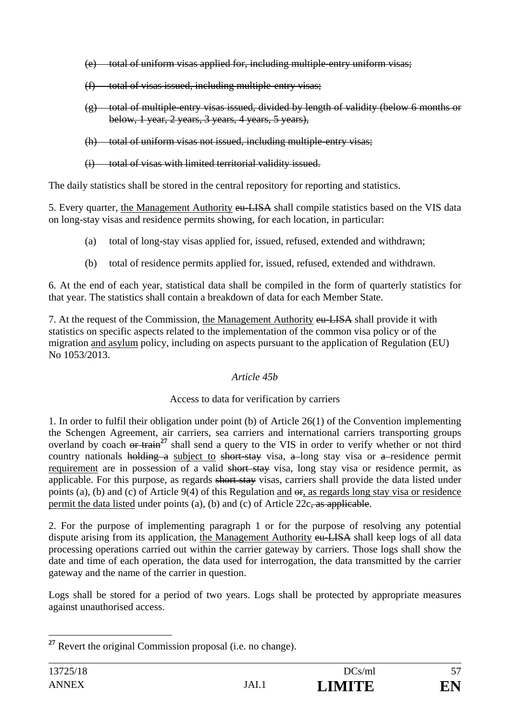- (e) total of uniform visas applied for, including multiple-entry uniform visas;
- $(f)$  total of visas issued, including multiple-entry visas;
- (g) total of multiple-entry visas issued, divided by length of validity (below 6 months or below, 1 year, 2 years, 3 years, 4 years, 5 years),
- (h) total of uniform visas not issued, including multiple entry visas;
- (i) total of visas with limited territorial validity issued.

The daily statistics shall be stored in the central repository for reporting and statistics.

5. Every quarter, the Management Authority eu-LISA shall compile statistics based on the VIS data on long-stay visas and residence permits showing, for each location, in particular:

- (a) total of long-stay visas applied for, issued, refused, extended and withdrawn;
- (b) total of residence permits applied for, issued, refused, extended and withdrawn.

6. At the end of each year, statistical data shall be compiled in the form of quarterly statistics for that year. The statistics shall contain a breakdown of data for each Member State.

7. At the request of the Commission, the Management Authority eu-LISA shall provide it with statistics on specific aspects related to the implementation of the common visa policy or of the migration and asylum policy, including on aspects pursuant to the application of Regulation (EU) No 1053/2013.

# *Article 45b*

# Access to data for verification by carriers

1. In order to fulfil their obligation under point (b) of Article 26(1) of the Convention implementing the Schengen Agreement, air carriers, sea carriers and international carriers transporting groups overland by coach or train<sup>27</sup> shall send a query to the VIS in order to verify whether or not third country nationals holding a subject to short-stay visa, a long stay visa or a residence permit requirement are in possession of a valid short stay visa, long stay visa or residence permit, as applicable. For this purpose, as regards short stay visas, carriers shall provide the data listed under points (a), (b) and (c) of Article 9(4) of this Regulation and  $\theta$ . as regards long stay visa or residence permit the data listed under points (a), (b) and (c) of Article 22c, as applicable.

2. For the purpose of implementing paragraph 1 or for the purpose of resolving any potential dispute arising from its application, the Management Authority eu-LISA shall keep logs of all data processing operations carried out within the carrier gateway by carriers. Those logs shall show the date and time of each operation, the data used for interrogation, the data transmitted by the carrier gateway and the name of the carrier in question.

Logs shall be stored for a period of two years. Logs shall be protected by appropriate measures against unauthorised access.

 $\overline{a}$ **<sup>27</sup>** Revert the original Commission proposal (i.e. no change).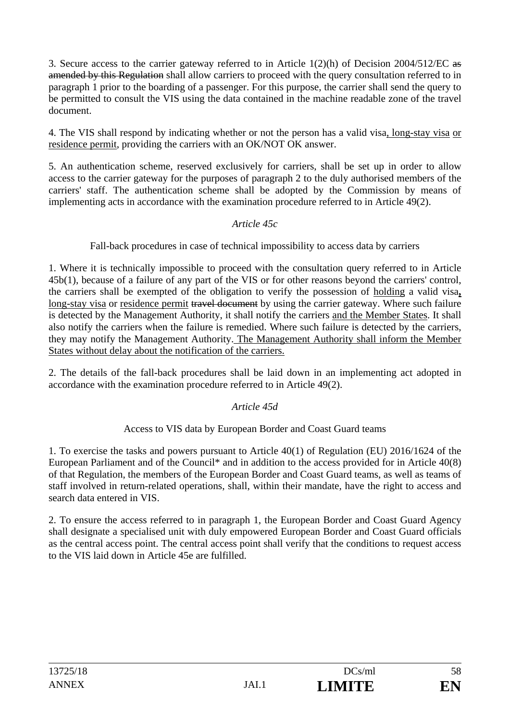3. Secure access to the carrier gateway referred to in Article 1(2)(h) of Decision 2004/512/EC as amended by this Regulation shall allow carriers to proceed with the query consultation referred to in paragraph 1 prior to the boarding of a passenger. For this purpose, the carrier shall send the query to be permitted to consult the VIS using the data contained in the machine readable zone of the travel document.

4. The VIS shall respond by indicating whether or not the person has a valid visa, long-stay visa or residence permit, providing the carriers with an OK/NOT OK answer.

5. An authentication scheme, reserved exclusively for carriers, shall be set up in order to allow access to the carrier gateway for the purposes of paragraph 2 to the duly authorised members of the carriers' staff. The authentication scheme shall be adopted by the Commission by means of implementing acts in accordance with the examination procedure referred to in Article 49(2).

# *Article 45c*

Fall-back procedures in case of technical impossibility to access data by carriers

1. Where it is technically impossible to proceed with the consultation query referred to in Article 45b(1), because of a failure of any part of the VIS or for other reasons beyond the carriers' control, the carriers shall be exempted of the obligation to verify the possession of holding a valid visa**,**  long-stay visa or residence permit travel document by using the carrier gateway. Where such failure is detected by the Management Authority, it shall notify the carriers and the Member States. It shall also notify the carriers when the failure is remedied. Where such failure is detected by the carriers, they may notify the Management Authority. The Management Authority shall inform the Member States without delay about the notification of the carriers.

2. The details of the fall-back procedures shall be laid down in an implementing act adopted in accordance with the examination procedure referred to in Article 49(2).

### *Article 45d*

### Access to VIS data by European Border and Coast Guard teams

1. To exercise the tasks and powers pursuant to Article 40(1) of Regulation (EU) 2016/1624 of the European Parliament and of the Council<sup>\*</sup> and in addition to the access provided for in Article 40(8) of that Regulation, the members of the European Border and Coast Guard teams, as well as teams of staff involved in return-related operations, shall, within their mandate, have the right to access and search data entered in VIS.

2. To ensure the access referred to in paragraph 1, the European Border and Coast Guard Agency shall designate a specialised unit with duly empowered European Border and Coast Guard officials as the central access point. The central access point shall verify that the conditions to request access to the VIS laid down in Article 45e are fulfilled.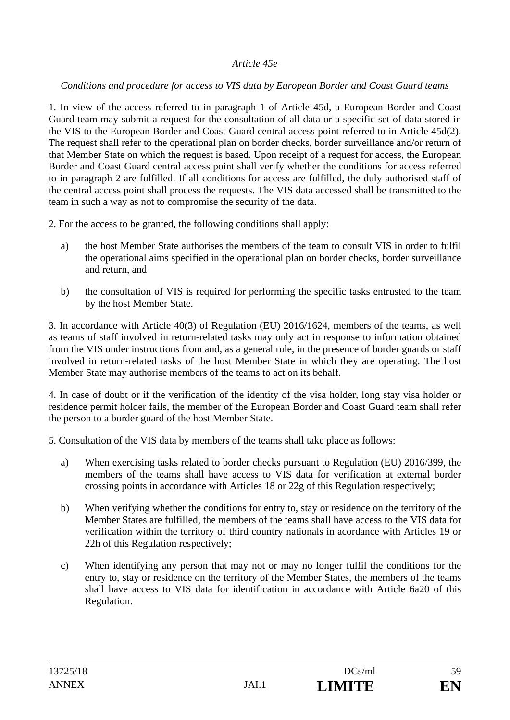### *Article 45e*

### *Conditions and procedure for access to VIS data by European Border and Coast Guard teams*

1. In view of the access referred to in paragraph 1 of Article 45d, a European Border and Coast Guard team may submit a request for the consultation of all data or a specific set of data stored in the VIS to the European Border and Coast Guard central access point referred to in Article 45d(2). The request shall refer to the operational plan on border checks, border surveillance and/or return of that Member State on which the request is based. Upon receipt of a request for access, the European Border and Coast Guard central access point shall verify whether the conditions for access referred to in paragraph 2 are fulfilled. If all conditions for access are fulfilled, the duly authorised staff of the central access point shall process the requests. The VIS data accessed shall be transmitted to the team in such a way as not to compromise the security of the data.

2. For the access to be granted, the following conditions shall apply:

- a) the host Member State authorises the members of the team to consult VIS in order to fulfil the operational aims specified in the operational plan on border checks, border surveillance and return, and
- b) the consultation of VIS is required for performing the specific tasks entrusted to the team by the host Member State.

3. In accordance with Article 40(3) of Regulation (EU) 2016/1624, members of the teams, as well as teams of staff involved in return-related tasks may only act in response to information obtained from the VIS under instructions from and, as a general rule, in the presence of border guards or staff involved in return-related tasks of the host Member State in which they are operating. The host Member State may authorise members of the teams to act on its behalf.

4. In case of doubt or if the verification of the identity of the visa holder, long stay visa holder or residence permit holder fails, the member of the European Border and Coast Guard team shall refer the person to a border guard of the host Member State.

5. Consultation of the VIS data by members of the teams shall take place as follows:

- a) When exercising tasks related to border checks pursuant to Regulation (EU) 2016/399, the members of the teams shall have access to VIS data for verification at external border crossing points in accordance with Articles 18 or 22g of this Regulation respectively;
- b) When verifying whether the conditions for entry to, stay or residence on the territory of the Member States are fulfilled, the members of the teams shall have access to the VIS data for verification within the territory of third country nationals in acordance with Articles 19 or 22h of this Regulation respectively;
- c) When identifying any person that may not or may no longer fulfil the conditions for the entry to, stay or residence on the territory of the Member States, the members of the teams shall have access to VIS data for identification in accordance with Article 6a20 of this Regulation.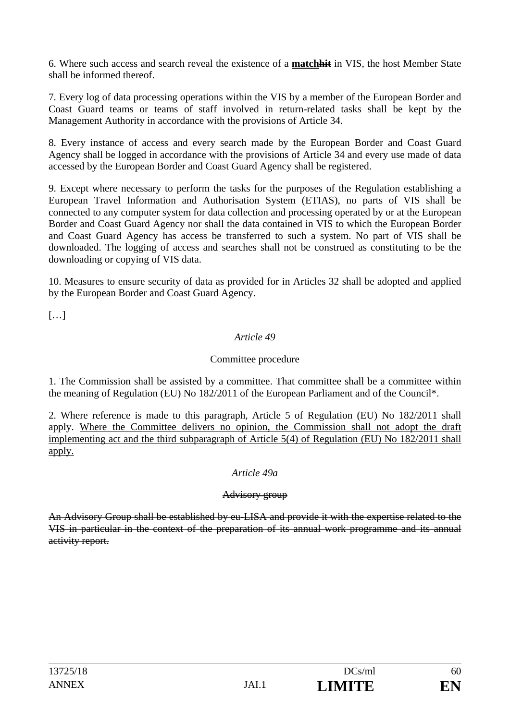6. Where such access and search reveal the existence of a **matchhit** in VIS, the host Member State shall be informed thereof.

7. Every log of data processing operations within the VIS by a member of the European Border and Coast Guard teams or teams of staff involved in return-related tasks shall be kept by the Management Authority in accordance with the provisions of Article 34.

8. Every instance of access and every search made by the European Border and Coast Guard Agency shall be logged in accordance with the provisions of Article 34 and every use made of data accessed by the European Border and Coast Guard Agency shall be registered.

9. Except where necessary to perform the tasks for the purposes of the Regulation establishing a European Travel Information and Authorisation System (ETIAS), no parts of VIS shall be connected to any computer system for data collection and processing operated by or at the European Border and Coast Guard Agency nor shall the data contained in VIS to which the European Border and Coast Guard Agency has access be transferred to such a system. No part of VIS shall be downloaded. The logging of access and searches shall not be construed as constituting to be the downloading or copying of VIS data.

10. Measures to ensure security of data as provided for in Articles 32 shall be adopted and applied by the European Border and Coast Guard Agency.

[…]

# *Article 49*

### Committee procedure

1. The Commission shall be assisted by a committee. That committee shall be a committee within the meaning of Regulation (EU) No 182/2011 of the European Parliament and of the Council\*.

2. Where reference is made to this paragraph, Article 5 of Regulation (EU) No 182/2011 shall apply. Where the Committee delivers no opinion, the Commission shall not adopt the draft implementing act and the third subparagraph of Article 5(4) of Regulation (EU) No 182/2011 shall apply.

### *Article 49a*

### Advisory group

An Advisory Group shall be established by eu-LISA and provide it with the expertise related to the VIS in particular in the context of the preparation of its annual work programme and its annual activity report.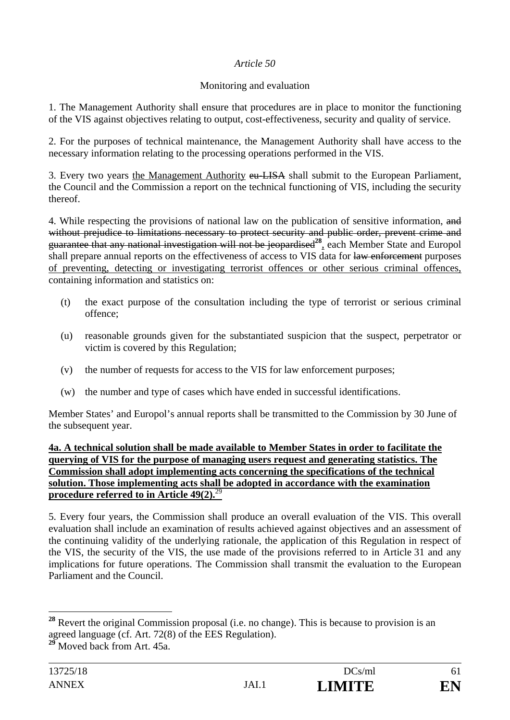### *Article 50*

### Monitoring and evaluation

1. The Management Authority shall ensure that procedures are in place to monitor the functioning of the VIS against objectives relating to output, cost-effectiveness, security and quality of service.

2. For the purposes of technical maintenance, the Management Authority shall have access to the necessary information relating to the processing operations performed in the VIS.

3. Every two years the Management Authority eu-LISA shall submit to the European Parliament, the Council and the Commission a report on the technical functioning of VIS, including the security thereof.

4. While respecting the provisions of national law on the publication of sensitive information, and without prejudice to limitations necessary to protect security and public order, prevent crime and guarantee that any national investigation will not be jeopardised**<sup>28</sup>**, each Member State and Europol shall prepare annual reports on the effectiveness of access to VIS data for law enforcement purposes of preventing, detecting or investigating terrorist offences or other serious criminal offences, containing information and statistics on:

- (t) the exact purpose of the consultation including the type of terrorist or serious criminal offence;
- (u) reasonable grounds given for the substantiated suspicion that the suspect, perpetrator or victim is covered by this Regulation;
- (v) the number of requests for access to the VIS for law enforcement purposes;
- (w) the number and type of cases which have ended in successful identifications.

Member States' and Europol's annual reports shall be transmitted to the Commission by 30 June of the subsequent year.

#### **4a. A technical solution shall be made available to Member States in order to facilitate the querying of VIS for the purpose of managing users request and generating statistics. The Commission shall adopt implementing acts concerning the specifications of the technical solution. Those implementing acts shall be adopted in accordance with the examination procedure referred to in Article 49(2).**<sup>29</sup>

5. Every four years, the Commission shall produce an overall evaluation of the VIS. This overall evaluation shall include an examination of results achieved against objectives and an assessment of the continuing validity of the underlying rationale, the application of this Regulation in respect of the VIS, the security of the VIS, the use made of the provisions referred to in Article 31 and any implications for future operations. The Commission shall transmit the evaluation to the European Parliament and the Council.

 $\overline{a}$ 

**<sup>28</sup>** Revert the original Commission proposal (i.e. no change). This is because to provision is an agreed language (cf. Art. 72(8) of the EES Regulation).

**<sup>29</sup>** Moved back from Art. 45a.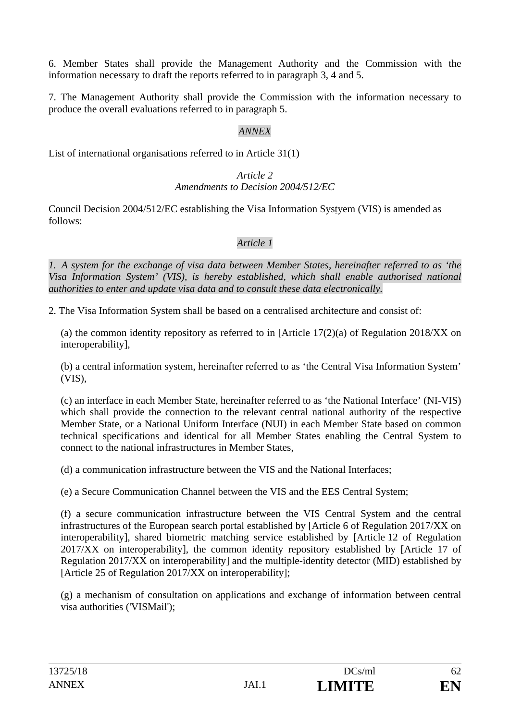6. Member States shall provide the Management Authority and the Commission with the information necessary to draft the reports referred to in paragraph 3, 4 and 5.

7. The Management Authority shall provide the Commission with the information necessary to produce the overall evaluations referred to in paragraph 5.

### *ANNEX*

List of international organisations referred to in Article 31(1)

#### *Article 2 Amendments to Decision 2004/512/EC*

Council Decision 2004/512/EC establishing the Visa Information Systyem (VIS) is amended as follows:

# *Article 1*

*1. A system for the exchange of visa data between Member States, hereinafter referred to as 'the Visa Information System' (VIS), is hereby established, which shall enable authorised national authorities to enter and update visa data and to consult these data electronically.* 

2. The Visa Information System shall be based on a centralised architecture and consist of:

(a) the common identity repository as referred to in [Article  $17(2)(a)$  of Regulation 2018/XX on interoperability],

(b) a central information system, hereinafter referred to as 'the Central Visa Information System' (VIS),

(c) an interface in each Member State, hereinafter referred to as 'the National Interface' (NI-VIS) which shall provide the connection to the relevant central national authority of the respective Member State, or a National Uniform Interface (NUI) in each Member State based on common technical specifications and identical for all Member States enabling the Central System to connect to the national infrastructures in Member States,

(d) a communication infrastructure between the VIS and the National Interfaces;

(e) a Secure Communication Channel between the VIS and the EES Central System;

(f) a secure communication infrastructure between the VIS Central System and the central infrastructures of the European search portal established by [Article 6 of Regulation 2017/XX on interoperability], shared biometric matching service established by [Article 12 of Regulation 2017/XX on interoperability], the common identity repository established by [Article 17 of Regulation 2017/XX on interoperability] and the multiple-identity detector (MID) established by [Article 25 of Regulation 2017/XX on interoperability];

(g) a mechanism of consultation on applications and exchange of information between central visa authorities ('VISMail');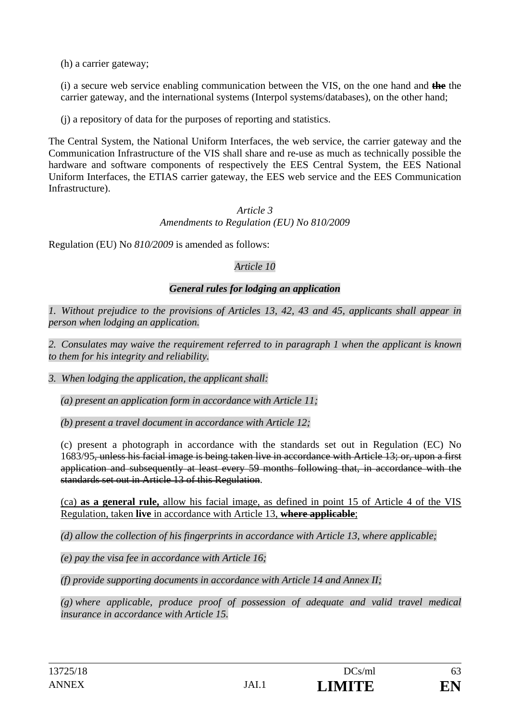(h) a carrier gateway;

(i) a secure web service enabling communication between the VIS, on the one hand and **the** the carrier gateway, and the international systems (Interpol systems/databases), on the other hand;

(j) a repository of data for the purposes of reporting and statistics.

The Central System, the National Uniform Interfaces, the web service, the carrier gateway and the Communication Infrastructure of the VIS shall share and re-use as much as technically possible the hardware and software components of respectively the EES Central System, the EES National Uniform Interfaces, the ETIAS carrier gateway, the EES web service and the EES Communication Infrastructure).

### *Article 3 Amendments to Regulation (EU) No 810/2009*

Regulation (EU) No *810/2009* is amended as follows:

# *Article 10*

# *General rules for lodging an application*

*1. Without prejudice to the provisions of Articles 13, 42, 43 and 45, applicants shall appear in person when lodging an application.* 

*2. Consulates may waive the requirement referred to in paragraph 1 when the applicant is known to them for his integrity and reliability.* 

*3. When lodging the application, the applicant shall:* 

*(a) present an application form in accordance with Article 11;* 

*(b) present a travel document in accordance with Article 12;* 

(c) present a photograph in accordance with the standards set out in Regulation (EC) No 1683/95, unless his facial image is being taken live in accordance with Article 13; or, upon a first application and subsequently at least every 59 months following that, in accordance with the standards set out in Article 13 of this Regulation.

(ca) **as a general rule,** allow his facial image, as defined in point 15 of Article 4 of the VIS Regulation, taken **live** in accordance with Article 13, **where applicable**;

*(d) allow the collection of his fingerprints in accordance with Article 13, where applicable;* 

*(e) pay the visa fee in accordance with Article 16;* 

*(f) provide supporting documents in accordance with Article 14 and Annex II;* 

*(g) where applicable, produce proof of possession of adequate and valid travel medical insurance in accordance with Article 15.*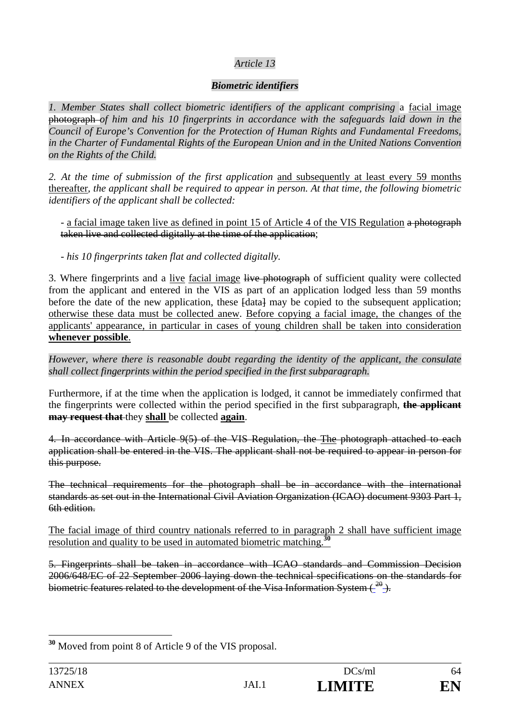# *Article 13*

# *Biometric identifiers*

*1. Member States shall collect biometric identifiers of the applicant comprising* a facial image photograph *of him and his 10 fingerprints in accordance with the safeguards laid down in the Council of Europe's Convention for the Protection of Human Rights and Fundamental Freedoms, in the Charter of Fundamental Rights of the European Union and in the United Nations Convention on the Rights of the Child.* 

*2. At the time of submission of the first application* and subsequently at least every 59 months thereafter*, the applicant shall be required to appear in person. At that time, the following biometric identifiers of the applicant shall be collected:* 

- a facial image taken live as defined in point 15 of Article 4 of the VIS Regulation a photograph taken live and collected digitally at the time of the application;

*- his 10 fingerprints taken flat and collected digitally.* 

3. Where fingerprints and a live facial image live photograph of sufficient quality were collected from the applicant and entered in the VIS as part of an application lodged less than 59 months before the date of the new application, these  $\text{fdata}$  may be copied to the subsequent application; otherwise these data must be collected anew. Before copying a facial image, the changes of the applicants' appearance, in particular in cases of young children shall be taken into consideration **whenever possible**.

*However, where there is reasonable doubt regarding the identity of the applicant, the consulate shall collect fingerprints within the period specified in the first subparagraph.* 

Furthermore, if at the time when the application is lodged, it cannot be immediately confirmed that the fingerprints were collected within the period specified in the first subparagraph, **the applicant may request that** they **shall** be collected **again**.

4. In accordance with Article 9(5) of the VIS Regulation, the The photograph attached to each application shall be entered in the VIS. The applicant shall not be required to appear in person for this purpose.

The technical requirements for the photograph shall be in accordance with the international standards as set out in the International Civil Aviation Organization (ICAO) document 9303 Part 1, 6th edition.

The facial image of third country nationals referred to in paragraph 2 shall have sufficient image resolution and quality to be used in automated biometric matching.**<sup>30</sup>**

5. Fingerprints shall be taken in accordance with ICAO standards and Commission Decision 2006/648/EC of 22 September 2006 laying down the technical specifications on the standards for biometric features related to the development of the Visa Information System  $\left(\frac{20}{2}\right)$ .

 $\overline{a}$ **<sup>30</sup>** Moved from point 8 of Article 9 of the VIS proposal.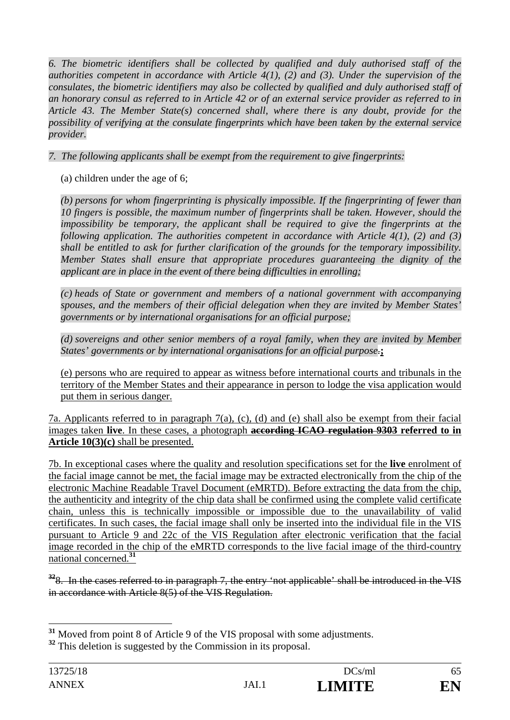*6. The biometric identifiers shall be collected by qualified and duly authorised staff of the authorities competent in accordance with Article 4(1), (2) and (3). Under the supervision of the consulates, the biometric identifiers may also be collected by qualified and duly authorised staff of an honorary consul as referred to in Article 42 or of an external service provider as referred to in Article 43. The Member State(s) concerned shall, where there is any doubt, provide for the possibility of verifying at the consulate fingerprints which have been taken by the external service provider.* 

*7. The following applicants shall be exempt from the requirement to give fingerprints:* 

(a) children under the age of 6;

*(b) persons for whom fingerprinting is physically impossible. If the fingerprinting of fewer than 10 fingers is possible, the maximum number of fingerprints shall be taken. However, should the impossibility be temporary, the applicant shall be required to give the fingerprints at the following application. The authorities competent in accordance with Article 4(1), (2) and (3) shall be entitled to ask for further clarification of the grounds for the temporary impossibility. Member States shall ensure that appropriate procedures guaranteeing the dignity of the applicant are in place in the event of there being difficulties in enrolling;* 

*(c) heads of State or government and members of a national government with accompanying spouses, and the members of their official delegation when they are invited by Member States' governments or by international organisations for an official purpose;* 

*(d) sovereigns and other senior members of a royal family, when they are invited by Member States' governments or by international organisations for an official purpose.***;** 

(e) persons who are required to appear as witness before international courts and tribunals in the territory of the Member States and their appearance in person to lodge the visa application would put them in serious danger.

7a. Applicants referred to in paragraph 7(a), (c), (d) and (e) shall also be exempt from their facial images taken **live**. In these cases, a photograph **according ICAO regulation 9303 referred to in Article 10(3)(c)** shall be presented.

7b. In exceptional cases where the quality and resolution specifications set for the **live** enrolment of the facial image cannot be met, the facial image may be extracted electronically from the chip of the electronic Machine Readable Travel Document (eMRTD). Before extracting the data from the chip, the authenticity and integrity of the chip data shall be confirmed using the complete valid certificate chain, unless this is technically impossible or impossible due to the unavailability of valid certificates. In such cases, the facial image shall only be inserted into the individual file in the VIS pursuant to Article 9 and 22c of the VIS Regulation after electronic verification that the facial image recorded in the chip of the eMRTD corresponds to the live facial image of the third-country national concerned.**<sup>31</sup>**

<sup>32</sup>8. In the cases referred to in paragraph 7, the entry 'not applicable' shall be introduced in the VIS in accordance with Article 8(5) of the VIS Regulation.

 $\overline{a}$ 

**<sup>31</sup>** Moved from point 8 of Article 9 of the VIS proposal with some adjustments.

<sup>&</sup>lt;sup>32</sup> This deletion is suggested by the Commission in its proposal.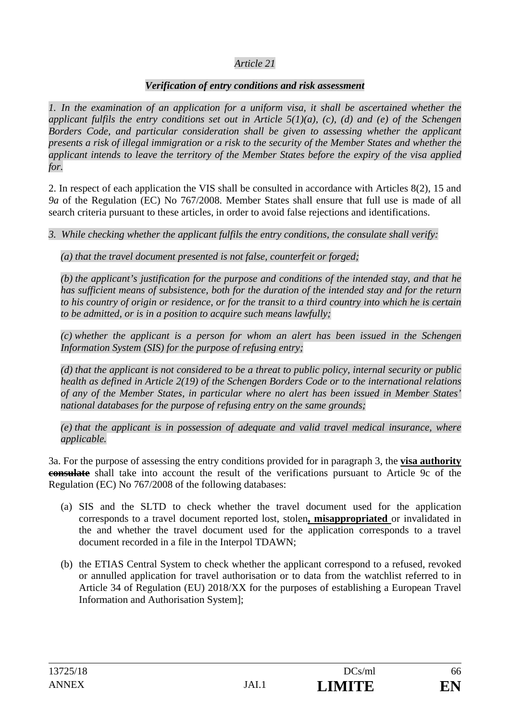# *Article 21*

### *Verification of entry conditions and risk assessment*

*1. In the examination of an application for a uniform visa, it shall be ascertained whether the applicant fulfils the entry conditions set out in Article 5(1)(a), (c), (d) and (e) of the Schengen Borders Code, and particular consideration shall be given to assessing whether the applicant presents a risk of illegal immigration or a risk to the security of the Member States and whether the applicant intends to leave the territory of the Member States before the expiry of the visa applied for.* 

2. In respect of each application the VIS shall be consulted in accordance with Articles 8(2), 15 and *9a* of the Regulation (EC) No 767/2008. Member States shall ensure that full use is made of all search criteria pursuant to these articles, in order to avoid false rejections and identifications.

*3. While checking whether the applicant fulfils the entry conditions, the consulate shall verify:* 

*(a) that the travel document presented is not false, counterfeit or forged;* 

*(b) the applicant's justification for the purpose and conditions of the intended stay, and that he has sufficient means of subsistence, both for the duration of the intended stay and for the return to his country of origin or residence, or for the transit to a third country into which he is certain to be admitted, or is in a position to acquire such means lawfully;* 

*(c) whether the applicant is a person for whom an alert has been issued in the Schengen Information System (SIS) for the purpose of refusing entry;* 

*(d) that the applicant is not considered to be a threat to public policy, internal security or public health as defined in Article 2(19) of the Schengen Borders Code or to the international relations of any of the Member States, in particular where no alert has been issued in Member States' national databases for the purpose of refusing entry on the same grounds;* 

*(e) that the applicant is in possession of adequate and valid travel medical insurance, where applicable.* 

3a. For the purpose of assessing the entry conditions provided for in paragraph 3, the **visa authority consulate** shall take into account the result of the verifications pursuant to Article 9c of the Regulation (EC) No 767/2008 of the following databases:

- (a) SIS and the SLTD to check whether the travel document used for the application corresponds to a travel document reported lost, stolen**, misappropriated** or invalidated in the and whether the travel document used for the application corresponds to a travel document recorded in a file in the Interpol TDAWN;
- (b) the ETIAS Central System to check whether the applicant correspond to a refused, revoked or annulled application for travel authorisation or to data from the watchlist referred to in Article 34 of Regulation (EU) 2018/XX for the purposes of establishing a European Travel Information and Authorisation System];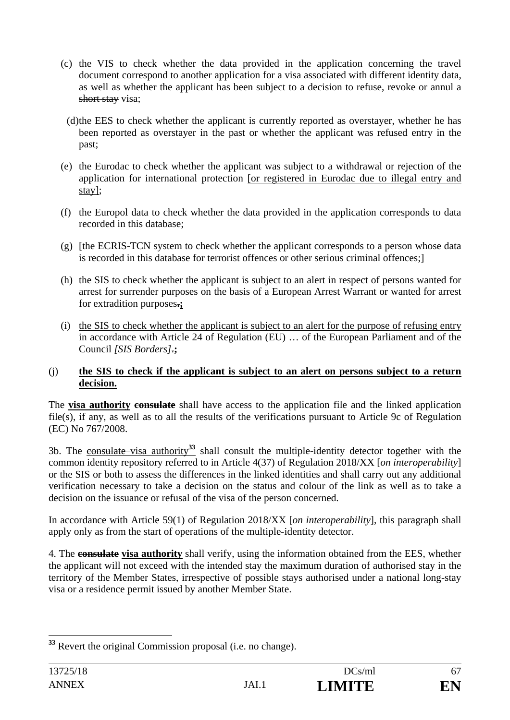- (c) the VIS to check whether the data provided in the application concerning the travel document correspond to another application for a visa associated with different identity data, as well as whether the applicant has been subject to a decision to refuse, revoke or annul a short stay visa;
- (d)the EES to check whether the applicant is currently reported as overstayer, whether he has been reported as overstayer in the past or whether the applicant was refused entry in the past;
- (e) the Eurodac to check whether the applicant was subject to a withdrawal or rejection of the application for international protection [or registered in Eurodac due to illegal entry and stay];
- (f) the Europol data to check whether the data provided in the application corresponds to data recorded in this database;
- (g) [the ECRIS-TCN system to check whether the applicant corresponds to a person whose data is recorded in this database for terrorist offences or other serious criminal offences;]
- (h) the SIS to check whether the applicant is subject to an alert in respect of persons wanted for arrest for surrender purposes on the basis of a European Arrest Warrant or wanted for arrest for extradition purposes**.;**
- (i) the SIS to check whether the applicant is subject to an alert for the purpose of refusing entry in accordance with Article 24 of Regulation (EU) … of the European Parliament and of the Council *[SIS Borders]*.**;**

#### (j) **the SIS to check if the applicant is subject to an alert on persons subject to a return decision.**

The **visa authority consulate** shall have access to the application file and the linked application file(s), if any, as well as to all the results of the verifications pursuant to Article 9c of Regulation (EC) No 767/2008.

3b. The consulate visa authority**<sup>33</sup>** shall consult the multiple-identity detector together with the common identity repository referred to in Article 4(37) of Regulation 2018/XX [*on interoperability*] or the SIS or both to assess the differences in the linked identities and shall carry out any additional verification necessary to take a decision on the status and colour of the link as well as to take a decision on the issuance or refusal of the visa of the person concerned.

In accordance with Article 59(1) of Regulation 2018/XX [*on interoperability*], this paragraph shall apply only as from the start of operations of the multiple-identity detector.

4. The **consulate visa authority** shall verify, using the information obtained from the EES, whether the applicant will not exceed with the intended stay the maximum duration of authorised stay in the territory of the Member States, irrespective of possible stays authorised under a national long-stay visa or a residence permit issued by another Member State.

 $\overline{a}$ 

**<sup>33</sup>** Revert the original Commission proposal (i.e. no change).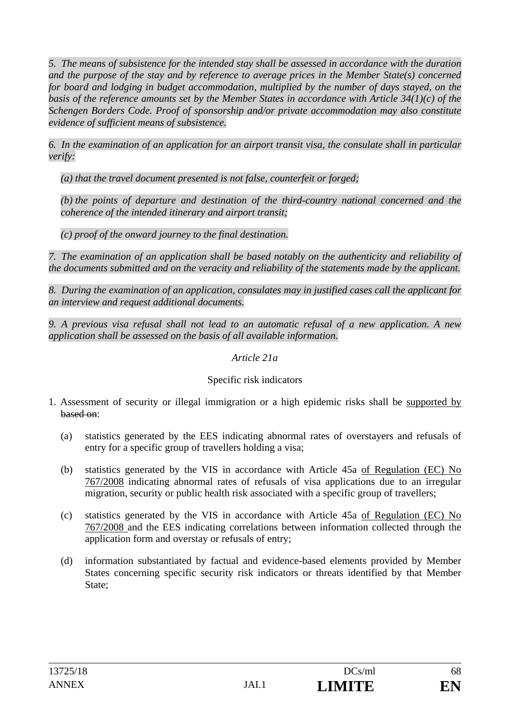*5. The means of subsistence for the intended stay shall be assessed in accordance with the duration and the purpose of the stay and by reference to average prices in the Member State(s) concerned for board and lodging in budget accommodation, multiplied by the number of days stayed, on the basis of the reference amounts set by the Member States in accordance with Article 34(1)(c) of the Schengen Borders Code. Proof of sponsorship and/or private accommodation may also constitute evidence of sufficient means of subsistence.* 

*6. In the examination of an application for an airport transit visa, the consulate shall in particular verify:* 

*(a) that the travel document presented is not false, counterfeit or forged;* 

*(b) the points of departure and destination of the third-country national concerned and the coherence of the intended itinerary and airport transit;* 

*(c) proof of the onward journey to the final destination.* 

*7. The examination of an application shall be based notably on the authenticity and reliability of the documents submitted and on the veracity and reliability of the statements made by the applicant.* 

*8. During the examination of an application, consulates may in justified cases call the applicant for an interview and request additional documents.* 

*9. A previous visa refusal shall not lead to an automatic refusal of a new application. A new application shall be assessed on the basis of all available information.* 

### *Article 21a*

# Specific risk indicators

- 1. Assessment of security or illegal immigration or a high epidemic risks shall be supported by based on:
	- (a) statistics generated by the EES indicating abnormal rates of overstayers and refusals of entry for a specific group of travellers holding a visa;
	- (b) statistics generated by the VIS in accordance with Article 45a of Regulation (EC) No 767/2008 indicating abnormal rates of refusals of visa applications due to an irregular migration, security or public health risk associated with a specific group of travellers;
	- (c) statistics generated by the VIS in accordance with Article 45a of Regulation (EC) No 767/2008 and the EES indicating correlations between information collected through the application form and overstay or refusals of entry;
	- (d) information substantiated by factual and evidence-based elements provided by Member States concerning specific security risk indicators or threats identified by that Member State;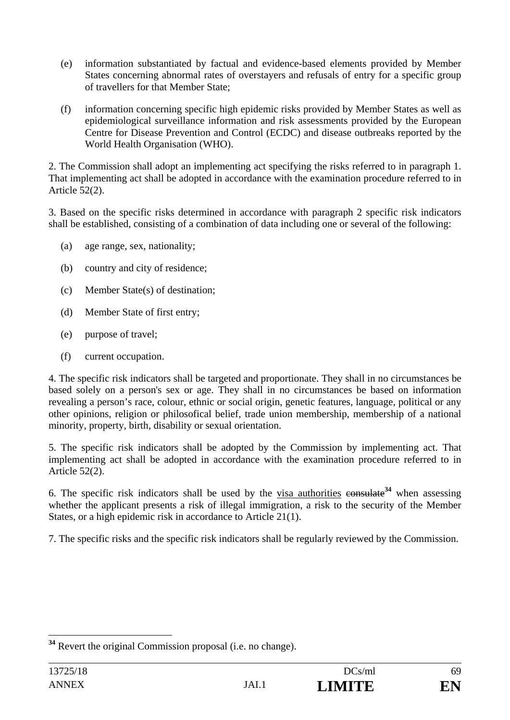- (e) information substantiated by factual and evidence-based elements provided by Member States concerning abnormal rates of overstayers and refusals of entry for a specific group of travellers for that Member State;
- (f) information concerning specific high epidemic risks provided by Member States as well as epidemiological surveillance information and risk assessments provided by the European Centre for Disease Prevention and Control (ECDC) and disease outbreaks reported by the World Health Organisation (WHO).

2. The Commission shall adopt an implementing act specifying the risks referred to in paragraph 1. That implementing act shall be adopted in accordance with the examination procedure referred to in Article 52(2).

3. Based on the specific risks determined in accordance with paragraph 2 specific risk indicators shall be established, consisting of a combination of data including one or several of the following:

- (a) age range, sex, nationality;
- (b) country and city of residence;
- (c) Member State(s) of destination;
- (d) Member State of first entry;
- (e) purpose of travel;
- (f) current occupation.

4. The specific risk indicators shall be targeted and proportionate. They shall in no circumstances be based solely on a person's sex or age. They shall in no circumstances be based on information revealing a person's race, colour, ethnic or social origin, genetic features, language, political or any other opinions, religion or philosofical belief, trade union membership, membership of a national minority, property, birth, disability or sexual orientation.

5. The specific risk indicators shall be adopted by the Commission by implementing act. That implementing act shall be adopted in accordance with the examination procedure referred to in Article 52(2).

6. The specific risk indicators shall be used by the visa authorities consulate**<sup>34</sup>** when assessing whether the applicant presents a risk of illegal immigration, a risk to the security of the Member States, or a high epidemic risk in accordance to Article 21(1).

7. The specific risks and the specific risk indicators shall be regularly reviewed by the Commission.

 $\overline{a}$ 

**<sup>34</sup>** Revert the original Commission proposal (i.e. no change).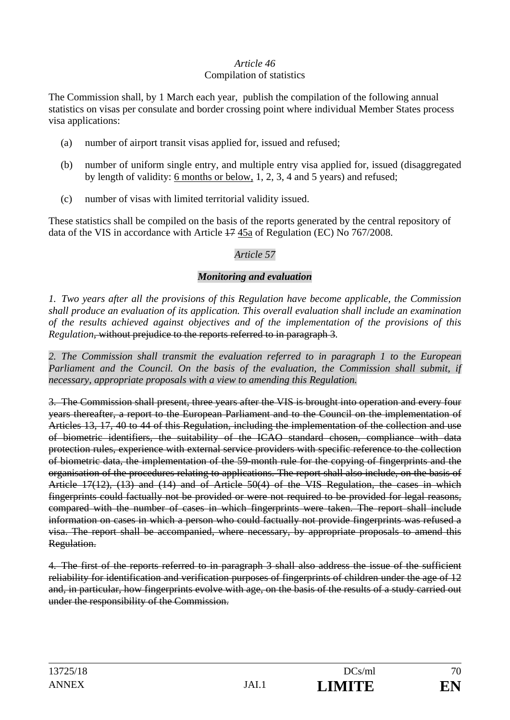# *Article 46*

#### Compilation of statistics

The Commission shall, by 1 March each year, publish the compilation of the following annual statistics on visas per consulate and border crossing point where individual Member States process visa applications:

- (a) number of airport transit visas applied for, issued and refused;
- (b) number of uniform single entry, and multiple entry visa applied for, issued (disaggregated by length of validity: 6 months or below, 1, 2, 3, 4 and 5 years) and refused;
- (c) number of visas with limited territorial validity issued.

These statistics shall be compiled on the basis of the reports generated by the central repository of data of the VIS in accordance with Article 17 45a of Regulation (EC) No 767/2008.

# *Article 57*

# *Monitoring and evaluation*

*1. Two years after all the provisions of this Regulation have become applicable, the Commission shall produce an evaluation of its application. This overall evaluation shall include an examination of the results achieved against objectives and of the implementation of the provisions of this Regulation*, without prejudice to the reports referred to in paragraph 3*.* 

*2. The Commission shall transmit the evaluation referred to in paragraph 1 to the European*  Parliament and the Council. On the basis of the evaluation, the Commission shall submit, if *necessary, appropriate proposals with a view to amending this Regulation.* 

3. The Commission shall present, three years after the VIS is brought into operation and every four years thereafter, a report to the European Parliament and to the Council on the implementation of Articles 13, 17, 40 to 44 of this Regulation, including the implementation of the collection and use of biometric identifiers, the suitability of the ICAO standard chosen, compliance with data protection rules, experience with external service providers with specific reference to the collection of biometric data, the implementation of the 59-month rule for the copying of fingerprints and the organisation of the procedures relating to applications. The report shall also include, on the basis of Article 17(12), (13) and (14) and of Article 50(4) of the VIS Regulation, the cases in which fingerprints could factually not be provided or were not required to be provided for legal reasons, compared with the number of cases in which fingerprints were taken. The report shall include information on cases in which a person who could factually not provide fingerprints was refused a visa. The report shall be accompanied, where necessary, by appropriate proposals to amend this Regulation.

4. The first of the reports referred to in paragraph 3 shall also address the issue of the sufficient reliability for identification and verification purposes of fingerprints of children under the age of 12 and, in particular, how fingerprints evolve with age, on the basis of the results of a study carried out under the responsibility of the Commission.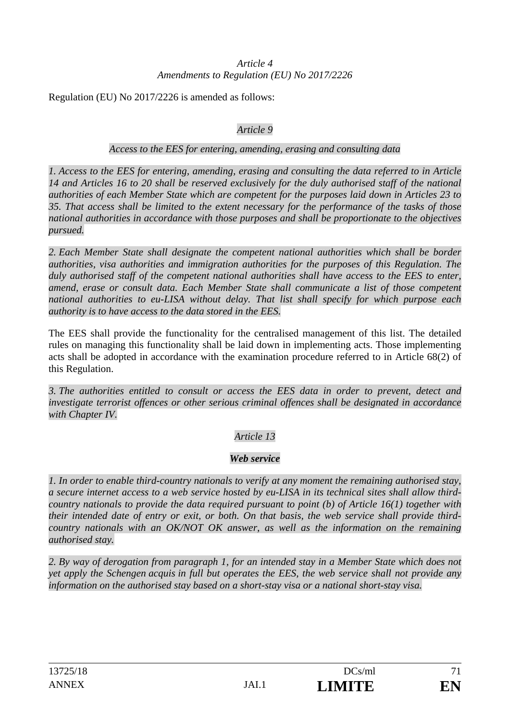#### *Article 4 Amendments to Regulation (EU) No 2017/2226*

Regulation (EU) No 2017/2226 is amended as follows:

### *Article 9*

#### *Access to the EES for entering, amending, erasing and consulting data*

*1. Access to the EES for entering, amending, erasing and consulting the data referred to in Article 14 and Articles 16 to 20 shall be reserved exclusively for the duly authorised staff of the national authorities of each Member State which are competent for the purposes laid down in Articles 23 to 35. That access shall be limited to the extent necessary for the performance of the tasks of those national authorities in accordance with those purposes and shall be proportionate to the objectives pursued.* 

*2. Each Member State shall designate the competent national authorities which shall be border authorities, visa authorities and immigration authorities for the purposes of this Regulation. The duly authorised staff of the competent national authorities shall have access to the EES to enter, amend, erase or consult data. Each Member State shall communicate a list of those competent national authorities to eu-LISA without delay. That list shall specify for which purpose each authority is to have access to the data stored in the EES.* 

The EES shall provide the functionality for the centralised management of this list. The detailed rules on managing this functionality shall be laid down in implementing acts. Those implementing acts shall be adopted in accordance with the examination procedure referred to in Article 68(2) of this Regulation.

*3. The authorities entitled to consult or access the EES data in order to prevent, detect and investigate terrorist offences or other serious criminal offences shall be designated in accordance with Chapter IV.* 

# *Article 13*

### *Web service*

*1. In order to enable third-country nationals to verify at any moment the remaining authorised stay, a secure internet access to a web service hosted by eu-LISA in its technical sites shall allow thirdcountry nationals to provide the data required pursuant to point (b) of Article 16(1) together with their intended date of entry or exit, or both. On that basis, the web service shall provide thirdcountry nationals with an OK/NOT OK answer, as well as the information on the remaining authorised stay.* 

*2. By way of derogation from paragraph 1, for an intended stay in a Member State which does not yet apply the Schengen acquis in full but operates the EES, the web service shall not provide any information on the authorised stay based on a short-stay visa or a national short-stay visa.*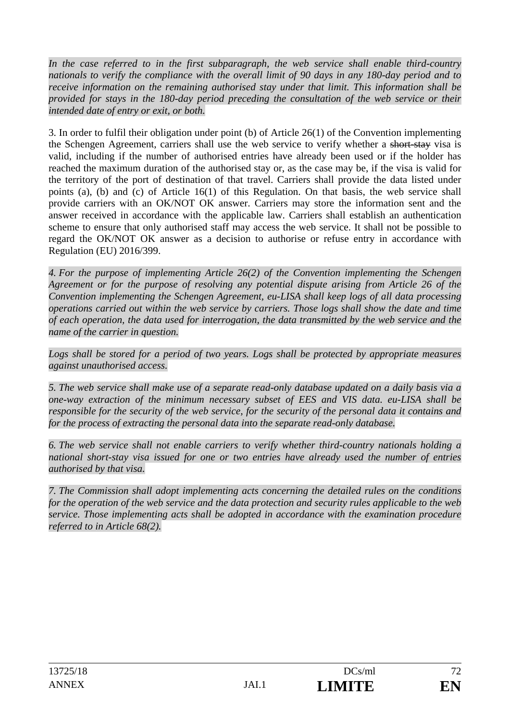In the case referred to in the first subparagraph, the web service shall enable third-country *nationals to verify the compliance with the overall limit of 90 days in any 180-day period and to receive information on the remaining authorised stay under that limit. This information shall be provided for stays in the 180-day period preceding the consultation of the web service or their intended date of entry or exit, or both.* 

3. In order to fulfil their obligation under point (b) of Article 26(1) of the Convention implementing the Schengen Agreement, carriers shall use the web service to verify whether a short-stay visa is valid, including if the number of authorised entries have already been used or if the holder has reached the maximum duration of the authorised stay or, as the case may be, if the visa is valid for the territory of the port of destination of that travel. Carriers shall provide the data listed under points (a), (b) and (c) of Article 16(1) of this Regulation. On that basis, the web service shall provide carriers with an OK/NOT OK answer. Carriers may store the information sent and the answer received in accordance with the applicable law. Carriers shall establish an authentication scheme to ensure that only authorised staff may access the web service. It shall not be possible to regard the OK/NOT OK answer as a decision to authorise or refuse entry in accordance with Regulation (EU) 2016/399.

*4. For the purpose of implementing Article 26(2) of the Convention implementing the Schengen Agreement or for the purpose of resolving any potential dispute arising from Article 26 of the Convention implementing the Schengen Agreement, eu-LISA shall keep logs of all data processing operations carried out within the web service by carriers. Those logs shall show the date and time of each operation, the data used for interrogation, the data transmitted by the web service and the name of the carrier in question.* 

*Logs shall be stored for a period of two years. Logs shall be protected by appropriate measures against unauthorised access.* 

*5. The web service shall make use of a separate read-only database updated on a daily basis via a one-way extraction of the minimum necessary subset of EES and VIS data. eu-LISA shall be responsible for the security of the web service, for the security of the personal data it contains and for the process of extracting the personal data into the separate read-only database.* 

*6. The web service shall not enable carriers to verify whether third-country nationals holding a national short-stay visa issued for one or two entries have already used the number of entries authorised by that visa.* 

*7. The Commission shall adopt implementing acts concerning the detailed rules on the conditions for the operation of the web service and the data protection and security rules applicable to the web service. Those implementing acts shall be adopted in accordance with the examination procedure referred to in Article 68(2).*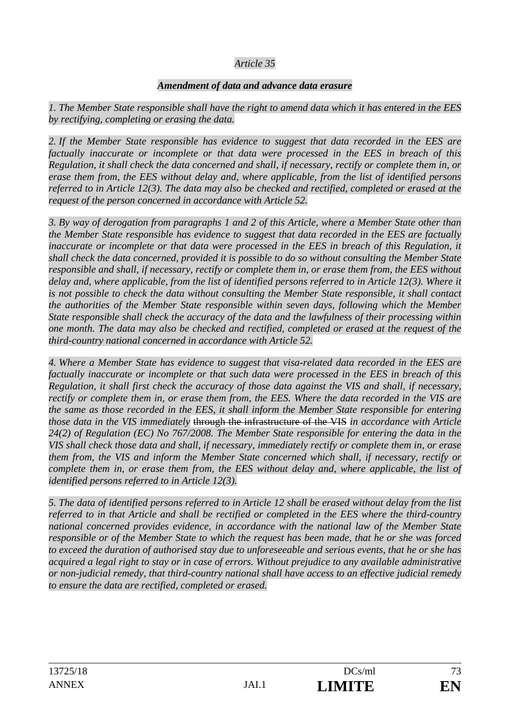## *Article 35*

#### *Amendment of data and advance data erasure*

*1. The Member State responsible shall have the right to amend data which it has entered in the EES by rectifying, completing or erasing the data.* 

*2. If the Member State responsible has evidence to suggest that data recorded in the EES are factually inaccurate or incomplete or that data were processed in the EES in breach of this Regulation, it shall check the data concerned and shall, if necessary, rectify or complete them in, or erase them from, the EES without delay and, where applicable, from the list of identified persons referred to in Article 12(3). The data may also be checked and rectified, completed or erased at the request of the person concerned in accordance with Article 52.* 

*3. By way of derogation from paragraphs 1 and 2 of this Article, where a Member State other than the Member State responsible has evidence to suggest that data recorded in the EES are factually inaccurate or incomplete or that data were processed in the EES in breach of this Regulation, it shall check the data concerned, provided it is possible to do so without consulting the Member State responsible and shall, if necessary, rectify or complete them in, or erase them from, the EES without delay and, where applicable, from the list of identified persons referred to in Article 12(3). Where it is not possible to check the data without consulting the Member State responsible, it shall contact the authorities of the Member State responsible within seven days, following which the Member State responsible shall check the accuracy of the data and the lawfulness of their processing within one month. The data may also be checked and rectified, completed or erased at the request of the third-country national concerned in accordance with Article 52.* 

*4. Where a Member State has evidence to suggest that visa-related data recorded in the EES are factually inaccurate or incomplete or that such data were processed in the EES in breach of this Regulation, it shall first check the accuracy of those data against the VIS and shall, if necessary, rectify or complete them in, or erase them from, the EES. Where the data recorded in the VIS are the same as those recorded in the EES, it shall inform the Member State responsible for entering those data in the VIS immediately* through the infrastructure of the VIS *in accordance with Article 24(2) of Regulation (EC) No 767/2008. The Member State responsible for entering the data in the VIS shall check those data and shall, if necessary, immediately rectify or complete them in, or erase them from, the VIS and inform the Member State concerned which shall, if necessary, rectify or complete them in, or erase them from, the EES without delay and, where applicable, the list of identified persons referred to in Article 12(3).* 

*5. The data of identified persons referred to in Article 12 shall be erased without delay from the list referred to in that Article and shall be rectified or completed in the EES where the third-country national concerned provides evidence, in accordance with the national law of the Member State responsible or of the Member State to which the request has been made, that he or she was forced to exceed the duration of authorised stay due to unforeseeable and serious events, that he or she has acquired a legal right to stay or in case of errors. Without prejudice to any available administrative or non-judicial remedy, that third-country national shall have access to an effective judicial remedy to ensure the data are rectified, completed or erased.*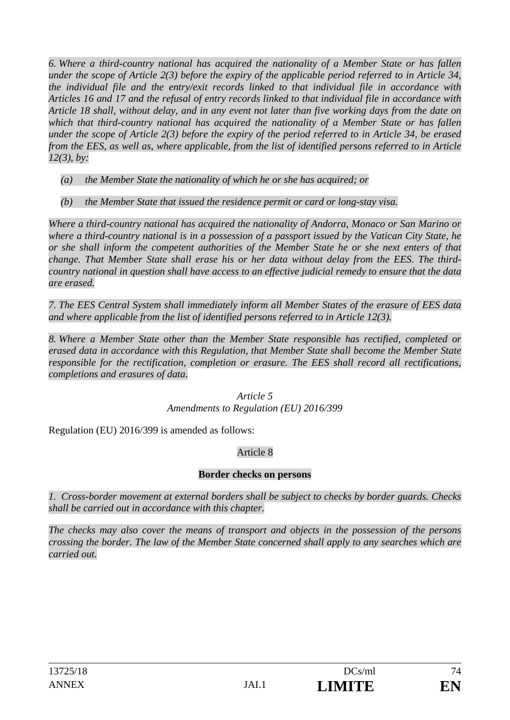*6. Where a third-country national has acquired the nationality of a Member State or has fallen under the scope of Article 2(3) before the expiry of the applicable period referred to in Article 34, the individual file and the entry/exit records linked to that individual file in accordance with Articles 16 and 17 and the refusal of entry records linked to that individual file in accordance with Article 18 shall, without delay, and in any event not later than five working days from the date on which that third-country national has acquired the nationality of a Member State or has fallen under the scope of Article 2(3) before the expiry of the period referred to in Article 34, be erased from the EES, as well as, where applicable, from the list of identified persons referred to in Article 12(3), by:* 

- *(a) the Member State the nationality of which he or she has acquired; or*
- *(b) the Member State that issued the residence permit or card or long-stay visa.*

*Where a third-country national has acquired the nationality of Andorra, Monaco or San Marino or where a third-country national is in a possession of a passport issued by the Vatican City State, he or she shall inform the competent authorities of the Member State he or she next enters of that change. That Member State shall erase his or her data without delay from the EES. The thirdcountry national in question shall have access to an effective judicial remedy to ensure that the data are erased.* 

*7. The EES Central System shall immediately inform all Member States of the erasure of EES data and where applicable from the list of identified persons referred to in Article 12(3).* 

*8. Where a Member State other than the Member State responsible has rectified, completed or erased data in accordance with this Regulation, that Member State shall become the Member State responsible for the rectification, completion or erasure. The EES shall record all rectifications, completions and erasures of data.* 

> *Article 5 Amendments to Regulation (EU) 2016/399*

Regulation (EU) 2016/399 is amended as follows:

# Article 8

## **Border checks on persons**

*1. Cross-border movement at external borders shall be subject to checks by border guards. Checks shall be carried out in accordance with this chapter.* 

*The checks may also cover the means of transport and objects in the possession of the persons crossing the border. The law of the Member State concerned shall apply to any searches which are carried out.*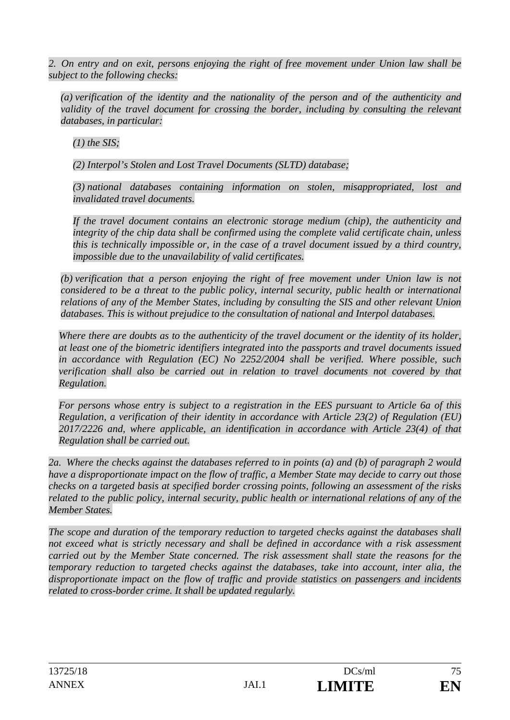*2. On entry and on exit, persons enjoying the right of free movement under Union law shall be subject to the following checks:* 

*(a) verification of the identity and the nationality of the person and of the authenticity and validity of the travel document for crossing the border, including by consulting the relevant databases, in particular:* 

*(1) the SIS;* 

*(2) Interpol's Stolen and Lost Travel Documents (SLTD) database;* 

*(3) national databases containing information on stolen, misappropriated, lost and invalidated travel documents.* 

*If the travel document contains an electronic storage medium (chip), the authenticity and integrity of the chip data shall be confirmed using the complete valid certificate chain, unless this is technically impossible or, in the case of a travel document issued by a third country, impossible due to the unavailability of valid certificates.* 

*(b) verification that a person enjoying the right of free movement under Union law is not considered to be a threat to the public policy, internal security, public health or international relations of any of the Member States, including by consulting the SIS and other relevant Union databases. This is without prejudice to the consultation of national and Interpol databases.* 

*Where there are doubts as to the authenticity of the travel document or the identity of its holder, at least one of the biometric identifiers integrated into the passports and travel documents issued in accordance with Regulation (EC) No 2252/2004 shall be verified. Where possible, such verification shall also be carried out in relation to travel documents not covered by that Regulation.* 

*For persons whose entry is subject to a registration in the EES pursuant to Article 6a of this Regulation, a verification of their identity in accordance with Article 23(2) of Regulation (EU) 2017/2226 and, where applicable, an identification in accordance with Article 23(4) of that Regulation shall be carried out.* 

*2a. Where the checks against the databases referred to in points (a) and (b) of paragraph 2 would have a disproportionate impact on the flow of traffic, a Member State may decide to carry out those checks on a targeted basis at specified border crossing points, following an assessment of the risks related to the public policy, internal security, public health or international relations of any of the Member States.* 

*The scope and duration of the temporary reduction to targeted checks against the databases shall not exceed what is strictly necessary and shall be defined in accordance with a risk assessment carried out by the Member State concerned. The risk assessment shall state the reasons for the temporary reduction to targeted checks against the databases, take into account, inter alia, the disproportionate impact on the flow of traffic and provide statistics on passengers and incidents related to cross-border crime. It shall be updated regularly.*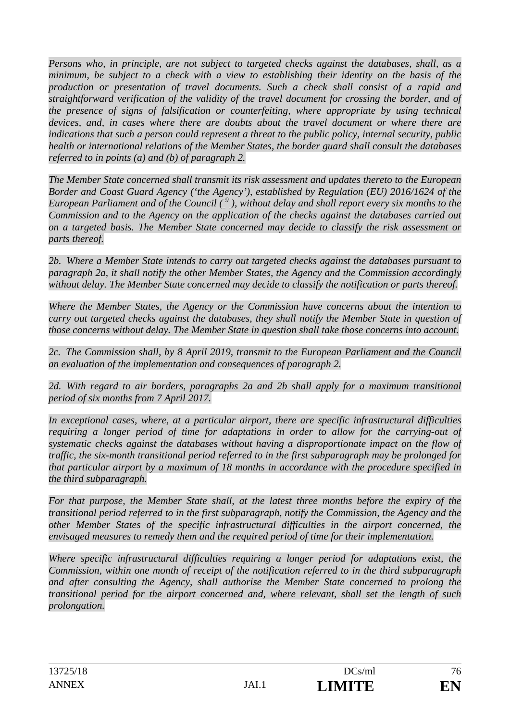*Persons who, in principle, are not subject to targeted checks against the databases, shall, as a minimum, be subject to a check with a view to establishing their identity on the basis of the production or presentation of travel documents. Such a check shall consist of a rapid and straightforward verification of the validity of the travel document for crossing the border, and of the presence of signs of falsification or counterfeiting, where appropriate by using technical devices, and, in cases where there are doubts about the travel document or where there are indications that such a person could represent a threat to the public policy, internal security, public health or international relations of the Member States, the border guard shall consult the databases referred to in points (a) and (b) of paragraph 2.* 

*The Member State concerned shall transmit its risk assessment and updates thereto to the European Border and Coast Guard Agency ('the Agency'), established by Regulation (EU) 2016/1624 of the*  European Parliament and of the Council (<sup>9</sup>), without delay and shall report every six months to the *Commission and to the Agency on the application of the checks against the databases carried out on a targeted basis. The Member State concerned may decide to classify the risk assessment or parts thereof.* 

*2b. Where a Member State intends to carry out targeted checks against the databases pursuant to paragraph 2a, it shall notify the other Member States, the Agency and the Commission accordingly without delay. The Member State concerned may decide to classify the notification or parts thereof.* 

*Where the Member States, the Agency or the Commission have concerns about the intention to carry out targeted checks against the databases, they shall notify the Member State in question of those concerns without delay. The Member State in question shall take those concerns into account.* 

*2c. The Commission shall, by 8 April 2019, transmit to the European Parliament and the Council an evaluation of the implementation and consequences of paragraph 2.* 

2d. With regard to air borders, paragraphs 2a and 2b shall apply for a maximum transitional *period of six months from 7 April 2017.* 

*In exceptional cases, where, at a particular airport, there are specific infrastructural difficulties requiring a longer period of time for adaptations in order to allow for the carrying-out of systematic checks against the databases without having a disproportionate impact on the flow of traffic, the six-month transitional period referred to in the first subparagraph may be prolonged for that particular airport by a maximum of 18 months in accordance with the procedure specified in the third subparagraph.* 

*For that purpose, the Member State shall, at the latest three months before the expiry of the transitional period referred to in the first subparagraph, notify the Commission, the Agency and the other Member States of the specific infrastructural difficulties in the airport concerned, the envisaged measures to remedy them and the required period of time for their implementation.* 

*Where specific infrastructural difficulties requiring a longer period for adaptations exist, the Commission, within one month of receipt of the notification referred to in the third subparagraph and after consulting the Agency, shall authorise the Member State concerned to prolong the transitional period for the airport concerned and, where relevant, shall set the length of such prolongation.*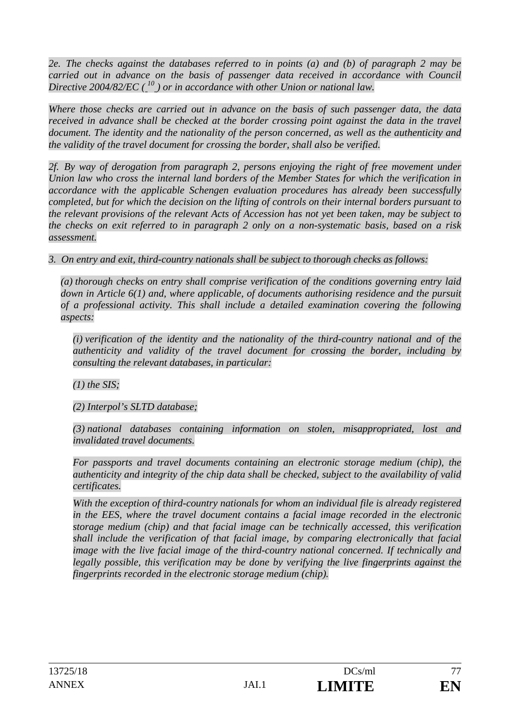*2e. The checks against the databases referred to in points (a) and (b) of paragraph 2 may be carried out in advance on the basis of passenger data received in accordance with Council Directive 2004/82/EC*  $(\begin{bmatrix} 1^0 \\ 2 \end{bmatrix})$  or in accordance with other Union or national law.

*Where those checks are carried out in advance on the basis of such passenger data, the data*  received in advance shall be checked at the border crossing point against the data in the travel *document. The identity and the nationality of the person concerned, as well as the authenticity and the validity of the travel document for crossing the border, shall also be verified.* 

2f. By way of derogation from paragraph 2, persons enjoying the right of free movement under *Union law who cross the internal land borders of the Member States for which the verification in accordance with the applicable Schengen evaluation procedures has already been successfully completed, but for which the decision on the lifting of controls on their internal borders pursuant to the relevant provisions of the relevant Acts of Accession has not yet been taken, may be subject to the checks on exit referred to in paragraph 2 only on a non-systematic basis, based on a risk assessment.* 

*3. On entry and exit, third-country nationals shall be subject to thorough checks as follows:* 

*(a) thorough checks on entry shall comprise verification of the conditions governing entry laid down in Article 6(1) and, where applicable, of documents authorising residence and the pursuit of a professional activity. This shall include a detailed examination covering the following aspects:* 

*(i) verification of the identity and the nationality of the third-country national and of the authenticity and validity of the travel document for crossing the border, including by consulting the relevant databases, in particular:* 

*(1) the SIS;* 

*(2) Interpol's SLTD database;* 

*(3) national databases containing information on stolen, misappropriated, lost and invalidated travel documents.* 

*For passports and travel documents containing an electronic storage medium (chip), the authenticity and integrity of the chip data shall be checked, subject to the availability of valid certificates.* 

*With the exception of third-country nationals for whom an individual file is already registered in the EES, where the travel document contains a facial image recorded in the electronic storage medium (chip) and that facial image can be technically accessed, this verification shall include the verification of that facial image, by comparing electronically that facial image with the live facial image of the third-country national concerned. If technically and legally possible, this verification may be done by verifying the live fingerprints against the fingerprints recorded in the electronic storage medium (chip).*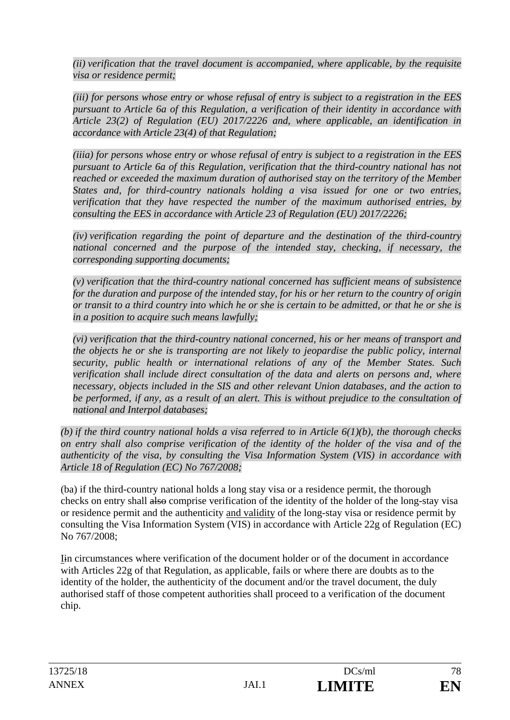*(ii) verification that the travel document is accompanied, where applicable, by the requisite visa or residence permit;* 

*(iii) for persons whose entry or whose refusal of entry is subject to a registration in the EES pursuant to Article 6a of this Regulation, a verification of their identity in accordance with Article 23(2) of Regulation (EU) 2017/2226 and, where applicable, an identification in accordance with Article 23(4) of that Regulation;* 

*(iiia) for persons whose entry or whose refusal of entry is subject to a registration in the EES pursuant to Article 6a of this Regulation, verification that the third-country national has not reached or exceeded the maximum duration of authorised stay on the territory of the Member States and, for third-country nationals holding a visa issued for one or two entries, verification that they have respected the number of the maximum authorised entries, by consulting the EES in accordance with Article 23 of Regulation (EU) 2017/2226;* 

*(iv) verification regarding the point of departure and the destination of the third-country national concerned and the purpose of the intended stay, checking, if necessary, the corresponding supporting documents;* 

*(v) verification that the third-country national concerned has sufficient means of subsistence for the duration and purpose of the intended stay, for his or her return to the country of origin or transit to a third country into which he or she is certain to be admitted, or that he or she is in a position to acquire such means lawfully;* 

*(vi) verification that the third-country national concerned, his or her means of transport and the objects he or she is transporting are not likely to jeopardise the public policy, internal security, public health or international relations of any of the Member States. Such verification shall include direct consultation of the data and alerts on persons and, where necessary, objects included in the SIS and other relevant Union databases, and the action to*  be performed, if any, as a result of an alert. This is without prejudice to the consultation of *national and Interpol databases;* 

*(b) if the third country national holds a visa referred to in Article 6(1)(b), the thorough checks on entry shall also comprise verification of the identity of the holder of the visa and of the authenticity of the visa, by consulting the Visa Information System (VIS) in accordance with Article 18 of Regulation (EC) No 767/2008;* 

(ba) if the third-country national holds a long stay visa or a residence permit, the thorough checks on entry shall also comprise verification of the identity of the holder of the long-stay visa or residence permit and the authenticity and validity of the long-stay visa or residence permit by consulting the Visa Information System (VIS) in accordance with Article 22g of Regulation (EC) No 767/2008;

Iin circumstances where verification of the document holder or of the document in accordance with Articles 22g of that Regulation, as applicable, fails or where there are doubts as to the identity of the holder, the authenticity of the document and/or the travel document, the duly authorised staff of those competent authorities shall proceed to a verification of the document chip.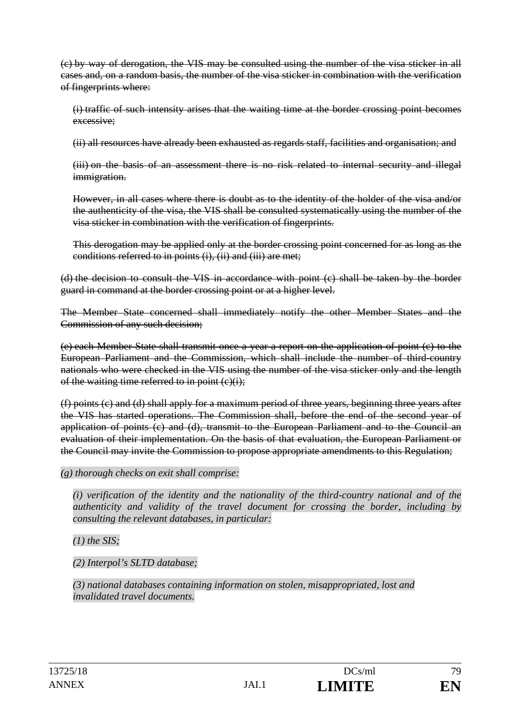(c) by way of derogation, the VIS may be consulted using the number of the visa sticker in all cases and, on a random basis, the number of the visa sticker in combination with the verification of fingerprints where:

(i) traffic of such intensity arises that the waiting time at the border crossing point becomes excessive;

(ii) all resources have already been exhausted as regards staff, facilities and organisation; and

(iii) on the basis of an assessment there is no risk related to internal security and illegal immigration.

However, in all cases where there is doubt as to the identity of the holder of the visa and/or the authenticity of the visa, the VIS shall be consulted systematically using the number of the visa sticker in combination with the verification of fingerprints.

This derogation may be applied only at the border crossing point concerned for as long as the conditions referred to in points (i), (ii) and (iii) are met;

(d) the decision to consult the VIS in accordance with point (c) shall be taken by the border guard in command at the border crossing point or at a higher level.

The Member State concerned shall immediately notify the other Member States and the Commission of any such decision;

(e) each Member State shall transmit once a year a report on the application of point (c) to the European Parliament and the Commission, which shall include the number of third-country nationals who were checked in the VIS using the number of the visa sticker only and the length of the waiting time referred to in point  $(c)(i)$ ;

(f) points (c) and (d) shall apply for a maximum period of three years, beginning three years after the VIS has started operations. The Commission shall, before the end of the second year of application of points (c) and (d), transmit to the European Parliament and to the Council an evaluation of their implementation. On the basis of that evaluation, the European Parliament or the Council may invite the Commission to propose appropriate amendments to this Regulation;

#### *(g) thorough checks on exit shall comprise:*

*(i) verification of the identity and the nationality of the third-country national and of the authenticity and validity of the travel document for crossing the border, including by consulting the relevant databases, in particular:* 

*(1) the SIS;* 

*(2) Interpol's SLTD database;* 

*(3) national databases containing information on stolen, misappropriated, lost and invalidated travel documents.*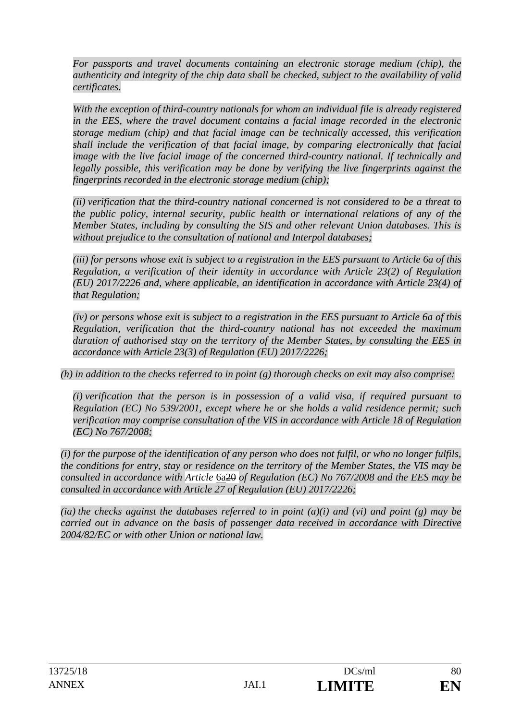*For passports and travel documents containing an electronic storage medium (chip), the authenticity and integrity of the chip data shall be checked, subject to the availability of valid certificates.* 

With the exception of third-country nationals for whom an individual file is already registered *in the EES, where the travel document contains a facial image recorded in the electronic storage medium (chip) and that facial image can be technically accessed, this verification shall include the verification of that facial image, by comparing electronically that facial image with the live facial image of the concerned third-country national. If technically and legally possible, this verification may be done by verifying the live fingerprints against the fingerprints recorded in the electronic storage medium (chip);* 

*(ii) verification that the third-country national concerned is not considered to be a threat to the public policy, internal security, public health or international relations of any of the Member States, including by consulting the SIS and other relevant Union databases. This is without prejudice to the consultation of national and Interpol databases;* 

*(iii) for persons whose exit is subject to a registration in the EES pursuant to Article 6a of this Regulation, a verification of their identity in accordance with Article 23(2) of Regulation (EU) 2017/2226 and, where applicable, an identification in accordance with Article 23(4) of that Regulation;* 

*(iv) or persons whose exit is subject to a registration in the EES pursuant to Article 6a of this Regulation, verification that the third-country national has not exceeded the maximum duration of authorised stay on the territory of the Member States, by consulting the EES in accordance with Article 23(3) of Regulation (EU) 2017/2226;* 

*(h) in addition to the checks referred to in point (g) thorough checks on exit may also comprise:* 

*(i) verification that the person is in possession of a valid visa, if required pursuant to Regulation (EC) No 539/2001, except where he or she holds a valid residence permit; such verification may comprise consultation of the VIS in accordance with Article 18 of Regulation (EC) No 767/2008;* 

*(i) for the purpose of the identification of any person who does not fulfil, or who no longer fulfils, the conditions for entry, stay or residence on the territory of the Member States, the VIS may be consulted in accordance with Article* 6a20 *of Regulation (EC) No 767/2008 and the EES may be consulted in accordance with Article 27 of Regulation (EU) 2017/2226;* 

*(ia) the checks against the databases referred to in point (a)(i) and (vi) and point (g) may be carried out in advance on the basis of passenger data received in accordance with Directive 2004/82/EC or with other Union or national law.*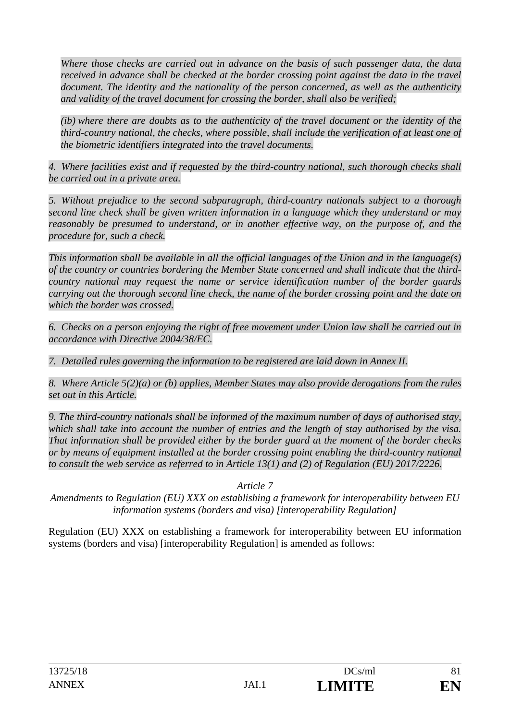*Where those checks are carried out in advance on the basis of such passenger data, the data received in advance shall be checked at the border crossing point against the data in the travel document. The identity and the nationality of the person concerned, as well as the authenticity and validity of the travel document for crossing the border, shall also be verified;* 

*(ib) where there are doubts as to the authenticity of the travel document or the identity of the third-country national, the checks, where possible, shall include the verification of at least one of the biometric identifiers integrated into the travel documents.* 

*4. Where facilities exist and if requested by the third-country national, such thorough checks shall be carried out in a private area.* 

*5. Without prejudice to the second subparagraph, third-country nationals subject to a thorough second line check shall be given written information in a language which they understand or may*  reasonably be presumed to understand, or in another effective way, on the purpose of, and the *procedure for, such a check.* 

*This information shall be available in all the official languages of the Union and in the language(s) of the country or countries bordering the Member State concerned and shall indicate that the thirdcountry national may request the name or service identification number of the border guards carrying out the thorough second line check, the name of the border crossing point and the date on which the border was crossed.* 

*6. Checks on a person enjoying the right of free movement under Union law shall be carried out in accordance with Directive 2004/38/EC.* 

*7. Detailed rules governing the information to be registered are laid down in Annex II.* 

*8. Where Article 5(2)(a) or (b) applies, Member States may also provide derogations from the rules set out in this Article.* 

*9. The third-country nationals shall be informed of the maximum number of days of authorised stay, which shall take into account the number of entries and the length of stay authorised by the visa. That information shall be provided either by the border guard at the moment of the border checks or by means of equipment installed at the border crossing point enabling the third-country national to consult the web service as referred to in Article 13(1) and (2) of Regulation (EU) 2017/2226.* 

*Article 7* 

*Amendments to Regulation (EU) XXX on establishing a framework for interoperability between EU information systems (borders and visa) [interoperability Regulation]*

Regulation (EU) XXX on establishing a framework for interoperability between EU information systems (borders and visa) [interoperability Regulation] is amended as follows: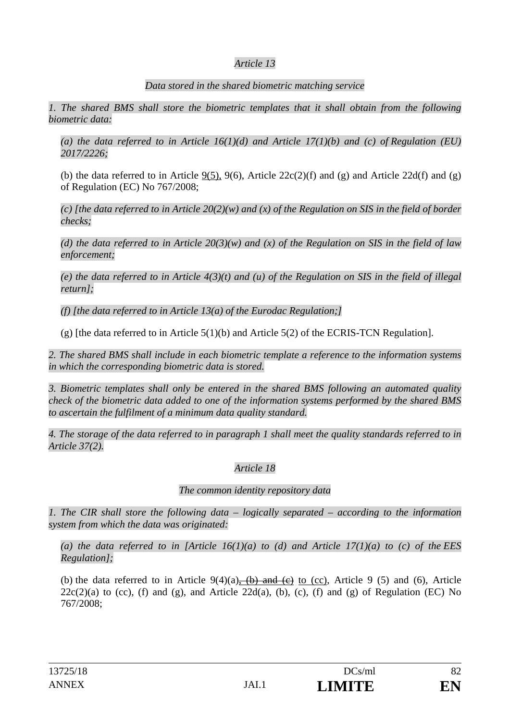## *Article 13*

#### *Data stored in the shared biometric matching service*

*1. The shared BMS shall store the biometric templates that it shall obtain from the following biometric data:* 

*(a) the data referred to in Article 16(1)(d) and Article 17(1)(b) and (c) of Regulation (EU) 2017/2226;* 

(b) the data referred to in Article  $9(5)$ ,  $9(6)$ , Article  $22c(2)(f)$  and  $(g)$  and Article  $22d(f)$  and  $(g)$ of Regulation (EC) No 767/2008;

*(c) [the data referred to in Article 20(2)(w) and (x) of the Regulation on SIS in the field of border checks;* 

*(d) the data referred to in Article 20(3)(w) and (x) of the Regulation on SIS in the field of law enforcement;* 

*(e) the data referred to in Article 4(3)(t) and (u) of the Regulation on SIS in the field of illegal return];* 

*(f) [the data referred to in Article 13(a) of the Eurodac Regulation;]* 

(g) [the data referred to in Article  $5(1)(b)$  and Article  $5(2)$  of the ECRIS-TCN Regulation].

*2. The shared BMS shall include in each biometric template a reference to the information systems in which the corresponding biometric data is stored.* 

*3. Biometric templates shall only be entered in the shared BMS following an automated quality check of the biometric data added to one of the information systems performed by the shared BMS to ascertain the fulfilment of a minimum data quality standard.* 

*4. The storage of the data referred to in paragraph 1 shall meet the quality standards referred to in Article 37(2).* 

## *Article 18*

#### *The common identity repository data*

*1. The CIR shall store the following data – logically separated – according to the information system from which the data was originated:* 

*(a) the data referred to in [Article 16(1)(a) to (d) and Article 17(1)(a) to (c) of the EES Regulation];* 

(b) the data referred to in Article  $9(4)(a)$ ,  $(b)$  and  $(c)$  to (cc), Article 9 (5) and (6), Article  $22c(2)(a)$  to (cc), (f) and (g), and Article  $22d(a)$ , (b), (c), (f) and (g) of Regulation (EC) No 767/2008;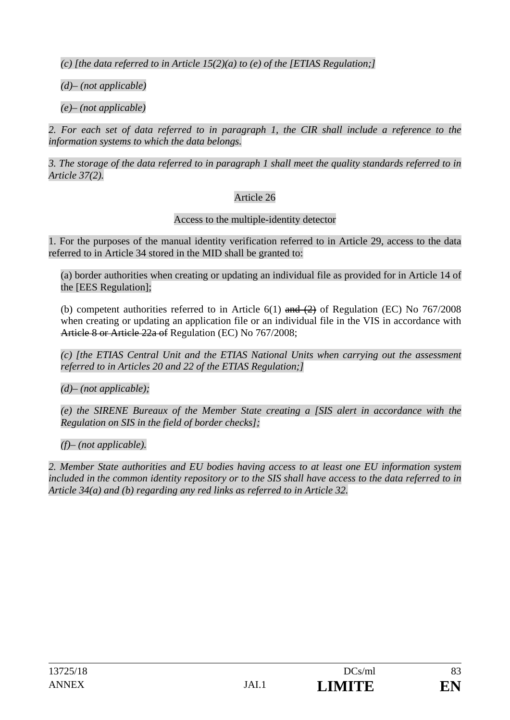*(c) [the data referred to in Article 15(2)(a) to (e) of the [ETIAS Regulation;]* 

*(d)– (not applicable)* 

*(e)– (not applicable)* 

2. For each set of data referred to in paragraph 1, the CIR shall include a reference to the *information systems to which the data belongs.* 

*3. The storage of the data referred to in paragraph 1 shall meet the quality standards referred to in Article 37(2).* 

## Article 26

Access to the multiple-identity detector

1. For the purposes of the manual identity verification referred to in Article 29, access to the data referred to in Article 34 stored in the MID shall be granted to:

(a) border authorities when creating or updating an individual file as provided for in Article 14 of the [EES Regulation];

(b) competent authorities referred to in Article  $6(1)$  and  $(2)$  of Regulation (EC) No 767/2008 when creating or updating an application file or an individual file in the VIS in accordance with Article 8 or Article 22a of Regulation (EC) No 767/2008;

*(c) [the ETIAS Central Unit and the ETIAS National Units when carrying out the assessment referred to in Articles 20 and 22 of the ETIAS Regulation;]* 

*(d)– (not applicable);* 

*(e) the SIRENE Bureaux of the Member State creating a [SIS alert in accordance with the Regulation on SIS in the field of border checks];* 

*(f)– (not applicable).* 

*2. Member State authorities and EU bodies having access to at least one EU information system included in the common identity repository or to the SIS shall have access to the data referred to in Article 34(a) and (b) regarding any red links as referred to in Article 32.*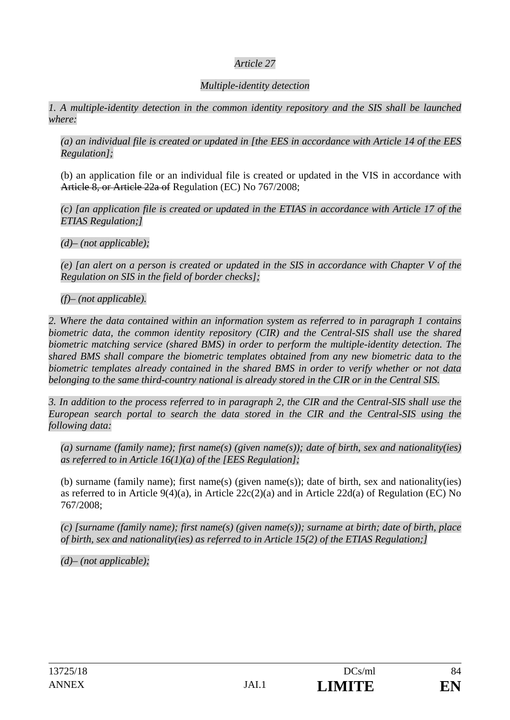## *Article 27*

## *Multiple-identity detection*

*1. A multiple-identity detection in the common identity repository and the SIS shall be launched where:* 

*(a) an individual file is created or updated in [the EES in accordance with Article 14 of the EES Regulation];* 

(b) an application file or an individual file is created or updated in the VIS in accordance with Article 8, or Article 22a of Regulation (EC) No 767/2008;

*(c) [an application file is created or updated in the ETIAS in accordance with Article 17 of the ETIAS Regulation;]* 

*(d)– (not applicable);* 

*(e) [an alert on a person is created or updated in the SIS in accordance with Chapter V of the Regulation on SIS in the field of border checks];* 

*(f)– (not applicable).* 

*2. Where the data contained within an information system as referred to in paragraph 1 contains biometric data, the common identity repository (CIR) and the Central-SIS shall use the shared biometric matching service (shared BMS) in order to perform the multiple-identity detection. The shared BMS shall compare the biometric templates obtained from any new biometric data to the biometric templates already contained in the shared BMS in order to verify whether or not data belonging to the same third-country national is already stored in the CIR or in the Central SIS.* 

*3. In addition to the process referred to in paragraph 2, the CIR and the Central-SIS shall use the European search portal to search the data stored in the CIR and the Central-SIS using the following data:* 

*(a) surname (family name); first name(s) (given name(s)); date of birth, sex and nationality(ies) as referred to in Article 16(1)(a) of the [EES Regulation];* 

(b) surname (family name); first name(s) (given name(s)); date of birth, sex and nationality(ies) as referred to in Article 9(4)(a), in Article 22c(2)(a) and in Article 22d(a) of Regulation (EC) No 767/2008;

*(c) [surname (family name); first name(s) (given name(s)); surname at birth; date of birth, place of birth, sex and nationality(ies) as referred to in Article 15(2) of the ETIAS Regulation;]* 

*(d)– (not applicable);*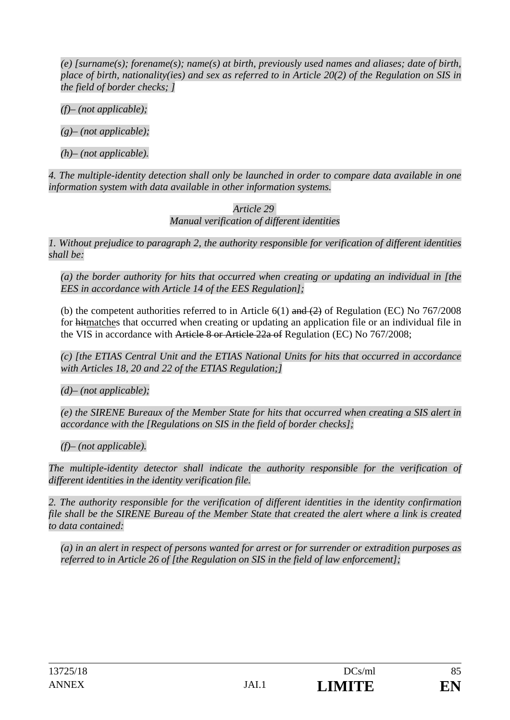*(e) [surname(s); forename(s); name(s) at birth, previously used names and aliases; date of birth, place of birth, nationality(ies) and sex as referred to in Article 20(2) of the Regulation on SIS in the field of border checks; ]* 

*(f)– (not applicable);* 

*(g)– (not applicable);* 

*(h)– (not applicable).* 

*4. The multiple-identity detection shall only be launched in order to compare data available in one information system with data available in other information systems.* 

> *Article 29 Manual verification of different identities*

*1. Without prejudice to paragraph 2, the authority responsible for verification of different identities shall be:* 

*(a) the border authority for hits that occurred when creating or updating an individual in [the EES in accordance with Article 14 of the EES Regulation];* 

(b) the competent authorities referred to in Article 6(1) and  $(2)$  of Regulation (EC) No 767/2008 for hitmatches that occurred when creating or updating an application file or an individual file in the VIS in accordance with Article 8 or Article 22a of Regulation (EC) No 767/2008;

*(c) [the ETIAS Central Unit and the ETIAS National Units for hits that occurred in accordance with Articles 18, 20 and 22 of the ETIAS Regulation;]* 

*(d)– (not applicable);* 

*(e) the SIRENE Bureaux of the Member State for hits that occurred when creating a SIS alert in accordance with the [Regulations on SIS in the field of border checks];* 

*(f)– (not applicable).* 

*The multiple-identity detector shall indicate the authority responsible for the verification of different identities in the identity verification file.* 

*2. The authority responsible for the verification of different identities in the identity confirmation file shall be the SIRENE Bureau of the Member State that created the alert where a link is created to data contained:* 

*(a) in an alert in respect of persons wanted for arrest or for surrender or extradition purposes as referred to in Article 26 of [the Regulation on SIS in the field of law enforcement];*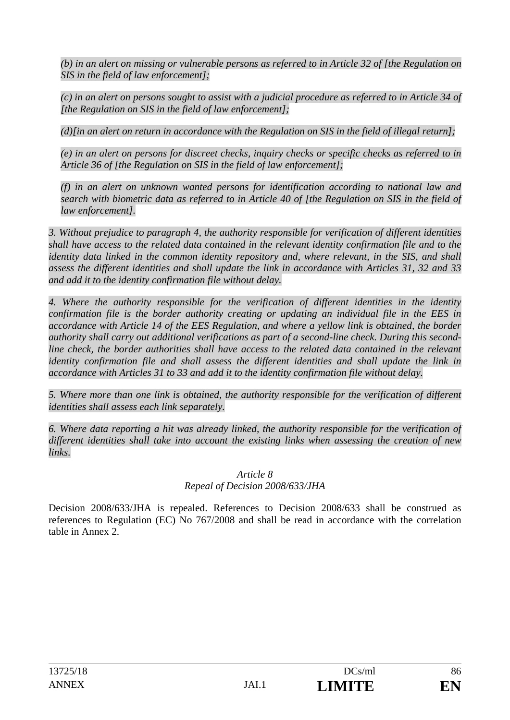*(b) in an alert on missing or vulnerable persons as referred to in Article 32 of [the Regulation on SIS in the field of law enforcement];* 

*(c) in an alert on persons sought to assist with a judicial procedure as referred to in Article 34 of [the Regulation on SIS in the field of law enforcement];* 

*(d)[in an alert on return in accordance with the Regulation on SIS in the field of illegal return];* 

*(e) in an alert on persons for discreet checks, inquiry checks or specific checks as referred to in Article 36 of [the Regulation on SIS in the field of law enforcement];* 

*(f) in an alert on unknown wanted persons for identification according to national law and search with biometric data as referred to in Article 40 of [the Regulation on SIS in the field of law enforcement].* 

*3. Without prejudice to paragraph 4, the authority responsible for verification of different identities shall have access to the related data contained in the relevant identity confirmation file and to the identity data linked in the common identity repository and, where relevant, in the SIS, and shall assess the different identities and shall update the link in accordance with Articles 31, 32 and 33 and add it to the identity confirmation file without delay.* 

*4. Where the authority responsible for the verification of different identities in the identity confirmation file is the border authority creating or updating an individual file in the EES in accordance with Article 14 of the EES Regulation, and where a yellow link is obtained, the border authority shall carry out additional verifications as part of a second-line check. During this secondline check, the border authorities shall have access to the related data contained in the relevant identity confirmation file and shall assess the different identities and shall update the link in accordance with Articles 31 to 33 and add it to the identity confirmation file without delay.* 

*5. Where more than one link is obtained, the authority responsible for the verification of different identities shall assess each link separately.* 

*6. Where data reporting a hit was already linked, the authority responsible for the verification of different identities shall take into account the existing links when assessing the creation of new links.* 

#### *Article 8 Repeal of Decision 2008/633/JHA*

Decision 2008/633/JHA is repealed. References to Decision 2008/633 shall be construed as references to Regulation (EC) No 767/2008 and shall be read in accordance with the correlation table in Annex 2.